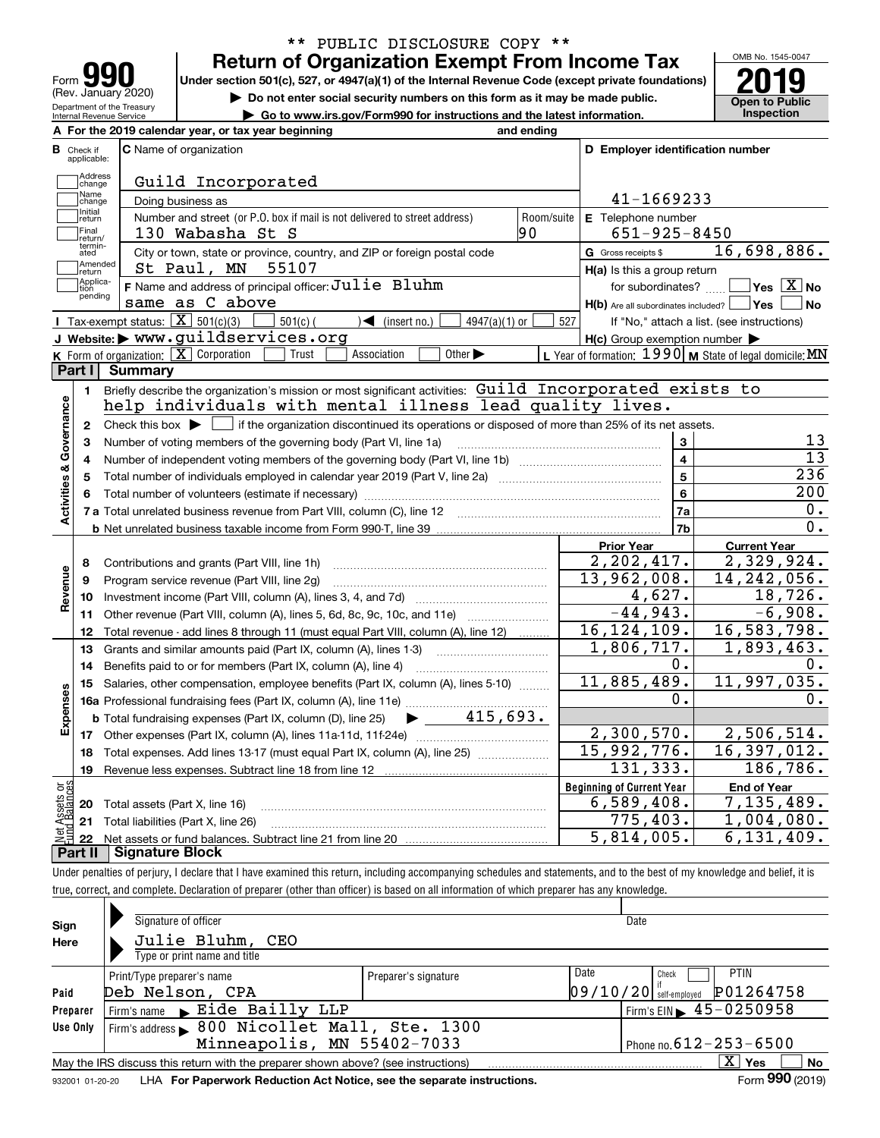| q<br>Form                                              |
|--------------------------------------------------------|
| (Rev. January 2020)                                    |
| Department of the Treasury<br>Internal Revenue Service |

### **Return of Organization Exempt From Income Tax** \*\* PUBLIC DISCLOSURE COPY \*\*

Under section 501(c), 527, or 4947(a)(1) of the Internal Revenue Code (except private foundations) **2019** 

**| Do not enter social security numbers on this form as it may be made public.**

**| Go to www.irs.gov/Form990 for instructions and the latest information. Inspection**

OMB No. 1545-0047 **Open to Public** 

|                         |                         | A For the 2019 calendar year, or tax year beginning                                                                                                 | and ending |                                                     |                                                                 |
|-------------------------|-------------------------|-----------------------------------------------------------------------------------------------------------------------------------------------------|------------|-----------------------------------------------------|-----------------------------------------------------------------|
| В                       | Check if<br>applicable: | <b>C</b> Name of organization                                                                                                                       |            | D Employer identification number                    |                                                                 |
|                         | Address<br>change       | Guild Incorporated                                                                                                                                  |            |                                                     |                                                                 |
|                         | Name<br>change          | Doing business as                                                                                                                                   |            | 41-1669233                                          |                                                                 |
|                         | Initial<br>return       | Number and street (or P.O. box if mail is not delivered to street address)                                                                          | Room/suite | E Telephone number                                  |                                                                 |
|                         | Final<br>return/        | 130 Wabasha St S                                                                                                                                    | 19 O       | $651 - 925 - 8450$                                  |                                                                 |
|                         | termin-<br>ated         | City or town, state or province, country, and ZIP or foreign postal code                                                                            |            | G Gross receipts \$                                 | 16,698,886.                                                     |
|                         | Amended<br>return       | St Paul, MN<br>55107                                                                                                                                |            | $H(a)$ is this a group return                       |                                                                 |
|                         | Applica-<br>tion        | F Name and address of principal officer: $\texttt{Julie}$ Bluhm                                                                                     |            | for subordinates?                                   | $\overline{\ }$ Yes $\overline{\rm X}$ No                       |
|                         | pending                 | same as C above                                                                                                                                     |            | H(b) Are all subordinates included?   Yes           | ∣No                                                             |
|                         |                         | <b>I</b> Tax-exempt status: $\overline{X}$ 501(c)(3)<br>$501(c)$ (<br>$\mathcal{L}$ (insert no.)<br>$4947(a)(1)$ or                                 | 527        |                                                     | If "No," attach a list. (see instructions)                      |
|                         |                         | J Website: > www.guildservices.org                                                                                                                  |            | $H(c)$ Group exemption number $\blacktriangleright$ |                                                                 |
|                         |                         | K Form of organization: $X$ Corporation<br><b>Trust</b><br>Other $\blacktriangleright$<br>Association                                               |            |                                                     | L Year of formation: $1990 \vert$ M State of legal domicile: MN |
|                         | Part I                  | <b>Summary</b>                                                                                                                                      |            |                                                     |                                                                 |
|                         | 1.                      | Briefly describe the organization's mission or most significant activities: Guild Incorporated exists to                                            |            |                                                     |                                                                 |
|                         |                         | help individuals with mental illness lead quality lives.                                                                                            |            |                                                     |                                                                 |
|                         | $\mathbf{2}$            | Check this box $\blacktriangleright$ $\blacksquare$ if the organization discontinued its operations or disposed of more than 25% of its net assets. |            |                                                     |                                                                 |
| Activities & Governance | з                       | Number of voting members of the governing body (Part VI, line 1a)                                                                                   |            | 3                                                   | 13                                                              |
|                         | 4                       |                                                                                                                                                     |            | $\overline{\mathbf{4}}$                             | $\overline{13}$                                                 |
|                         | 5                       |                                                                                                                                                     |            | 5                                                   | 236                                                             |
|                         |                         |                                                                                                                                                     |            | 6                                                   | 200                                                             |
|                         |                         |                                                                                                                                                     |            | 7a                                                  | 0.                                                              |
|                         |                         |                                                                                                                                                     |            | 7 <sub>b</sub>                                      | 0.                                                              |
|                         |                         |                                                                                                                                                     |            | <b>Prior Year</b>                                   | <b>Current Year</b>                                             |
|                         | 8                       | Contributions and grants (Part VIII, line 1h)                                                                                                       |            | 2, 202, 417.                                        | 2,329,924.                                                      |
| Revenue                 | 9                       | Program service revenue (Part VIII, line 2q)                                                                                                        |            | 13,962,008.                                         | 14, 242, 056.                                                   |
|                         | 10                      |                                                                                                                                                     |            | 4,627.                                              | 18,726.                                                         |
|                         | 11                      | Other revenue (Part VIII, column (A), lines 5, 6d, 8c, 9c, 10c, and 11e)                                                                            |            | $-44,943.$                                          | $-6,908.$                                                       |
|                         | 12                      | Total revenue - add lines 8 through 11 (must equal Part VIII, column (A), line 12)                                                                  |            | 16, 124, 109.                                       | 16,583,798.                                                     |
|                         | 13                      | Grants and similar amounts paid (Part IX, column (A), lines 1-3)                                                                                    |            | 1,806,717.                                          | 1,893,463.                                                      |
|                         | 14                      | Benefits paid to or for members (Part IX, column (A), line 4)                                                                                       |            | 0.                                                  | 0.                                                              |
|                         | 15                      | Salaries, other compensation, employee benefits (Part IX, column (A), lines 5-10)                                                                   |            | 11,885,489.                                         | 11,997,035.                                                     |
|                         |                         | 16a Professional fundraising fees (Part IX, column (A), line 11e)                                                                                   |            | 0.                                                  | Ο.                                                              |
| Expenses                |                         | $\blacktriangleright$ 415,693.<br><b>b</b> Total fundraising expenses (Part IX, column (D), line 25)                                                |            |                                                     |                                                                 |
|                         |                         |                                                                                                                                                     |            | 2,300,570.                                          | 2,506,514.                                                      |
|                         | 18                      | Total expenses. Add lines 13-17 (must equal Part IX, column (A), line 25) <i>marrouum</i>                                                           |            | 15,992,776.                                         | 16,397,012.                                                     |
|                         | 19                      | Revenue less expenses. Subtract line 18 from line 12                                                                                                |            | 131, 333.                                           | 186,786.                                                        |
| ag                      |                         |                                                                                                                                                     |            | <b>Beginning of Current Year</b>                    | <b>End of Year</b>                                              |
| sets<br>alanz           |                         | 20 Total assets (Part X, line 16)                                                                                                                   |            | 6,589,408.                                          | $\overline{7,}135,489.$                                         |
|                         | 21                      | Total liabilities (Part X, line 26)                                                                                                                 |            | 775,403.                                            | 1,004,080.                                                      |
|                         | 22                      |                                                                                                                                                     |            | $\overline{5,814,005}$ .                            | 6, 131, 409.                                                    |
|                         |                         |                                                                                                                                                     |            |                                                     |                                                                 |

true, correct, and complete. Declaration of preparer (other than officer) is based on all information of which preparer has any knowledge.

| Sign<br>Here    | Signature of officer<br>Julie Bluhm, CEO                                                                        |                      | Date                                        |  |  |  |  |  |  |  |
|-----------------|-----------------------------------------------------------------------------------------------------------------|----------------------|---------------------------------------------|--|--|--|--|--|--|--|
|                 | Type or print name and title                                                                                    |                      |                                             |  |  |  |  |  |  |  |
|                 | Print/Type preparer's name                                                                                      | Preparer's signature | Date<br>PTIN<br>Check                       |  |  |  |  |  |  |  |
| Paid            | Deb Nelson, CPA                                                                                                 |                      | P01264758<br>$09/10/20$ self-employed       |  |  |  |  |  |  |  |
| Preparer        | Firm's name Eide Bailly LLP                                                                                     |                      | Firm's EIN $\blacktriangleright$ 45-0250958 |  |  |  |  |  |  |  |
| Use Only        | Firm's address > 800 Nicollet Mall, Ste. 1300                                                                   |                      |                                             |  |  |  |  |  |  |  |
|                 | Minneapolis, MN 55402-7033                                                                                      |                      | Phone no. $612 - 253 - 6500$                |  |  |  |  |  |  |  |
|                 | $X \mid Y$ es<br><b>No</b><br>May the IRS discuss this return with the preparer shown above? (see instructions) |                      |                                             |  |  |  |  |  |  |  |
| 932001 01-20-20 | LHA For Paperwork Reduction Act Notice, see the separate instructions.                                          |                      | Form 990 (2019)                             |  |  |  |  |  |  |  |
|                 |                                                                                                                 |                      |                                             |  |  |  |  |  |  |  |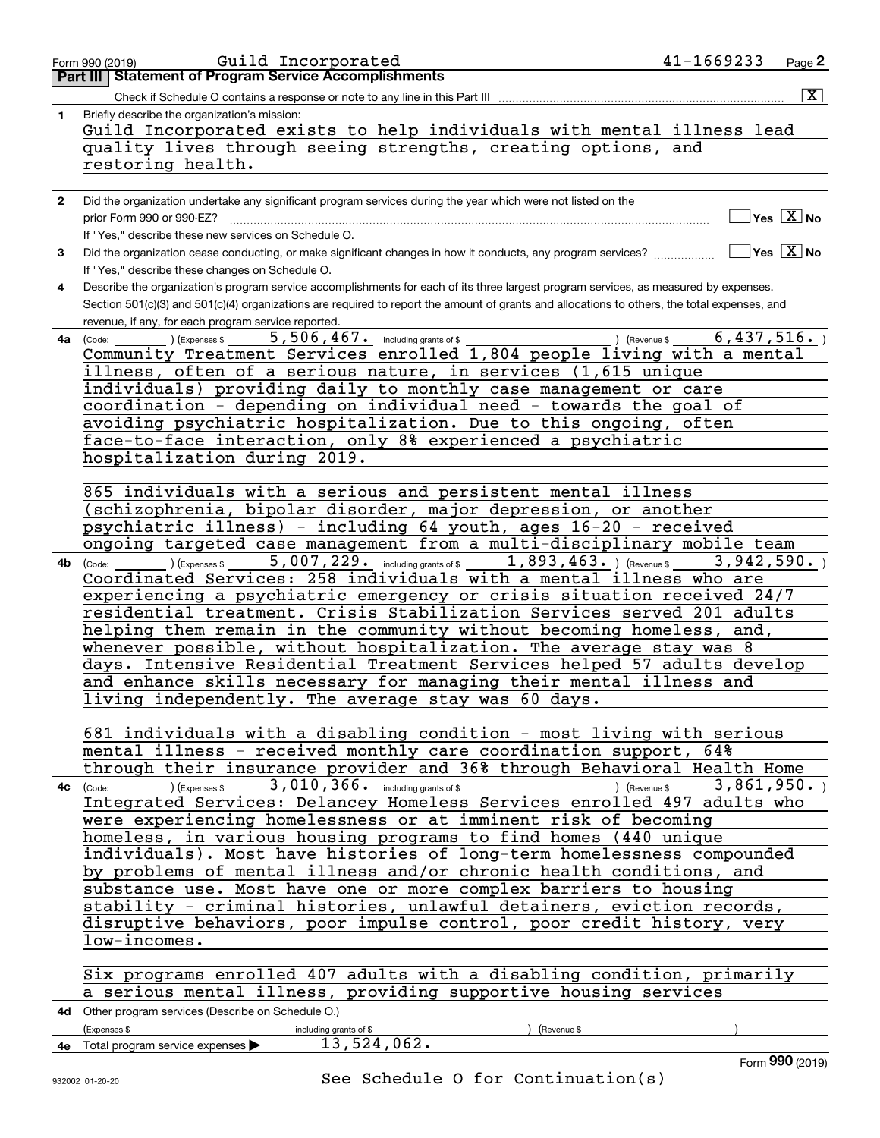|              | Guild Incorporated<br>Form 990 (2019)                                                                                                                           | 41-1669233                                      | Page 2             |
|--------------|-----------------------------------------------------------------------------------------------------------------------------------------------------------------|-------------------------------------------------|--------------------|
|              | <b>Part III Statement of Program Service Accomplishments</b>                                                                                                    |                                                 |                    |
|              | Check if Schedule O contains a response or note to any line in this Part III                                                                                    |                                                 | $\boxed{\text{X}}$ |
| 1.           | Briefly describe the organization's mission:                                                                                                                    |                                                 |                    |
|              | Guild Incorporated exists to help individuals with mental illness lead                                                                                          |                                                 |                    |
|              | quality lives through seeing strengths, creating options, and<br>restoring health.                                                                              |                                                 |                    |
|              |                                                                                                                                                                 |                                                 |                    |
| $\mathbf{2}$ | Did the organization undertake any significant program services during the year which were not listed on the                                                    |                                                 |                    |
|              | prior Form 990 or 990-EZ?                                                                                                                                       | $\sqrt{\ }$ Yes $\sqrt{\ \text{X}}$ No          |                    |
|              | If "Yes," describe these new services on Schedule O.                                                                                                            |                                                 |                    |
| 3            | Did the organization cease conducting, or make significant changes in how it conducts, any program services?                                                    | $\boxed{\phantom{1}}$ Yes $\boxed{\text{X}}$ No |                    |
|              | If "Yes," describe these changes on Schedule O.                                                                                                                 |                                                 |                    |
| 4            | Describe the organization's program service accomplishments for each of its three largest program services, as measured by expenses.                            |                                                 |                    |
|              | Section 501(c)(3) and 501(c)(4) organizations are required to report the amount of grants and allocations to others, the total expenses, and                    |                                                 |                    |
|              | revenue, if any, for each program service reported.                                                                                                             |                                                 |                    |
| 4a           | (Code: $($ ) (Expenses \$ 5,506,467. including grants of \$                                                                                                     | 6,437,516.<br>(Revenue \$                       |                    |
|              | Community Treatment Services enrolled 1,804 people living with a mental<br>illness, often of a serious nature, in services (1,615 unique                        |                                                 |                    |
|              | individuals) providing daily to monthly case management or care                                                                                                 |                                                 |                    |
|              | coordination - depending on individual need - towards the goal of                                                                                               |                                                 |                    |
|              | avoiding psychiatric hospitalization. Due to this ongoing, often                                                                                                |                                                 |                    |
|              | face-to-face interaction, only 8% experienced a psychiatric                                                                                                     |                                                 |                    |
|              | hospitalization during 2019.                                                                                                                                    |                                                 |                    |
|              |                                                                                                                                                                 |                                                 |                    |
|              | 865 individuals with a serious and persistent mental illness                                                                                                    |                                                 |                    |
|              | schizophrenia, bipolar disorder, major depression, or another                                                                                                   |                                                 |                    |
|              | psychiatric illness) - including 64 youth, ages 16-20 - received                                                                                                |                                                 |                    |
|              | ongoing targeted case management from a multi-disciplinary mobile team                                                                                          |                                                 |                    |
| 4b           | Coordinated Services: 258 individuals with a mental illness who are                                                                                             | 3,942,590.                                      |                    |
|              | experiencing a psychiatric emergency or crisis situation received 24/7                                                                                          |                                                 |                    |
|              | residential treatment. Crisis Stabilization Services served 201 adults                                                                                          |                                                 |                    |
|              | helping them remain in the community without becoming homeless, and,                                                                                            |                                                 |                    |
|              | whenever possible, without hospitalization. The average stay was 8                                                                                              |                                                 |                    |
|              | days. Intensive Residential Treatment Services helped 57 adults develop                                                                                         |                                                 |                    |
|              | and enhance skills necessary for managing their mental illness and                                                                                              |                                                 |                    |
|              | living independently. The average stay was 60 days.                                                                                                             |                                                 |                    |
|              | 681 individuals with a disabling condition - most living with serious                                                                                           |                                                 |                    |
|              | mental illness - received monthly care coordination support, 64%                                                                                                |                                                 |                    |
|              | through their insurance provider and 36% through Behavioral Health Home                                                                                         |                                                 |                    |
|              |                                                                                                                                                                 | 3,861,950.                                      |                    |
|              | 4c (Code: 1) (Expenses \$ 3,010,366. including grants of \$ 1) (Revenue \$ 3,861,950<br>Integrated Services: Delancey Homeless Services enrolled 497 adults who |                                                 |                    |
|              | were experiencing homelessness or at imminent risk of becoming                                                                                                  |                                                 |                    |
|              | homeless, in various housing programs to find homes (440 unique                                                                                                 |                                                 |                    |
|              | individuals). Most have histories of long-term homelessness compounded                                                                                          |                                                 |                    |
|              | by problems of mental illness and/or chronic health conditions, and                                                                                             |                                                 |                    |
|              | substance use. Most have one or more complex barriers to housing                                                                                                |                                                 |                    |
|              | stability - criminal histories, unlawful detainers, eviction records,                                                                                           |                                                 |                    |
|              | disruptive behaviors, poor impulse control, poor credit history, very<br>low-incomes.                                                                           |                                                 |                    |
|              |                                                                                                                                                                 |                                                 |                    |
|              | Six programs enrolled 407 adults with a disabling condition, primarily                                                                                          |                                                 |                    |
|              | a serious mental illness, providing supportive housing services                                                                                                 |                                                 |                    |
|              | 4d Other program services (Describe on Schedule O.)                                                                                                             |                                                 |                    |
|              | (Expenses \$<br>including grants of \$<br>) (Revenue \$                                                                                                         |                                                 |                    |
|              | $13,524,062$ .<br>4e Total program service expenses                                                                                                             | $000 \text{ m}$                                 |                    |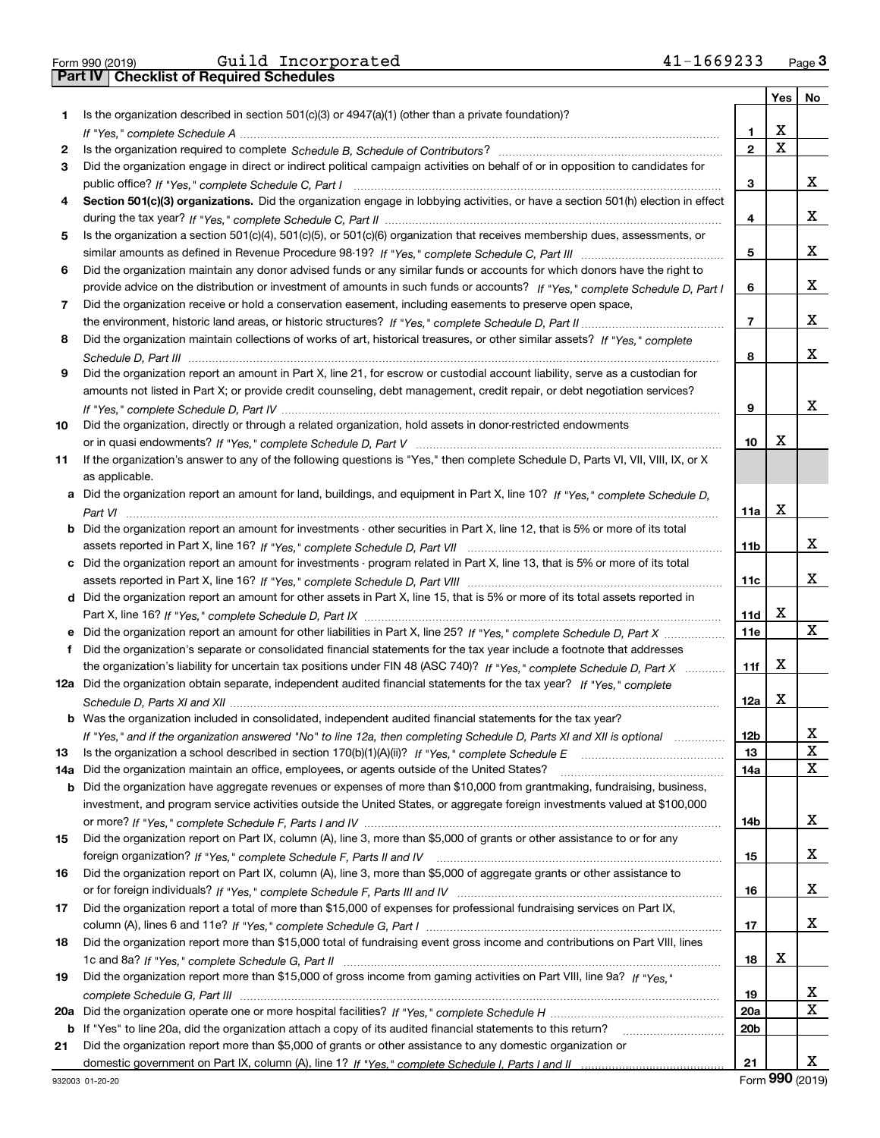Form 990 (2019) Guild Incorporated 41-1669233 <sub>Page</sub> 3<br>**Part IV | Checklist of Required Schedules** 

|     |                                                                                                                                                                                                                                                   |                  | Yes | No     |
|-----|---------------------------------------------------------------------------------------------------------------------------------------------------------------------------------------------------------------------------------------------------|------------------|-----|--------|
| 1   | Is the organization described in section $501(c)(3)$ or $4947(a)(1)$ (other than a private foundation)?                                                                                                                                           |                  |     |        |
|     |                                                                                                                                                                                                                                                   | 1                | х   |        |
| 2   |                                                                                                                                                                                                                                                   | $\mathbf{2}$     | X   |        |
| 3   | Did the organization engage in direct or indirect political campaign activities on behalf of or in opposition to candidates for                                                                                                                   |                  |     |        |
|     |                                                                                                                                                                                                                                                   | 3                |     | х      |
| 4   | Section 501(c)(3) organizations. Did the organization engage in lobbying activities, or have a section 501(h) election in effect                                                                                                                  |                  |     |        |
|     |                                                                                                                                                                                                                                                   | 4                |     | х      |
| 5   | Is the organization a section 501(c)(4), 501(c)(5), or 501(c)(6) organization that receives membership dues, assessments, or                                                                                                                      |                  |     |        |
|     |                                                                                                                                                                                                                                                   | 5                |     | х      |
| 6   | Did the organization maintain any donor advised funds or any similar funds or accounts for which donors have the right to                                                                                                                         |                  |     |        |
|     | provide advice on the distribution or investment of amounts in such funds or accounts? If "Yes," complete Schedule D, Part I                                                                                                                      | 6                |     | х      |
| 7   | Did the organization receive or hold a conservation easement, including easements to preserve open space,                                                                                                                                         |                  |     |        |
|     |                                                                                                                                                                                                                                                   | $\overline{7}$   |     | х      |
| 8   | Did the organization maintain collections of works of art, historical treasures, or other similar assets? If "Yes," complete                                                                                                                      |                  |     |        |
|     |                                                                                                                                                                                                                                                   | 8                |     | х      |
| 9   | Did the organization report an amount in Part X, line 21, for escrow or custodial account liability, serve as a custodian for                                                                                                                     |                  |     |        |
|     | amounts not listed in Part X; or provide credit counseling, debt management, credit repair, or debt negotiation services?                                                                                                                         |                  |     |        |
|     |                                                                                                                                                                                                                                                   | 9                |     | х      |
| 10  | Did the organization, directly or through a related organization, hold assets in donor-restricted endowments                                                                                                                                      |                  |     |        |
|     |                                                                                                                                                                                                                                                   | 10               | х   |        |
| 11  | If the organization's answer to any of the following questions is "Yes," then complete Schedule D, Parts VI, VII, VIII, IX, or X                                                                                                                  |                  |     |        |
|     | as applicable.                                                                                                                                                                                                                                    |                  |     |        |
|     | a Did the organization report an amount for land, buildings, and equipment in Part X, line 10? If "Yes," complete Schedule D,                                                                                                                     |                  |     |        |
|     |                                                                                                                                                                                                                                                   | 11a              | х   |        |
| b   | Did the organization report an amount for investments - other securities in Part X, line 12, that is 5% or more of its total                                                                                                                      |                  |     |        |
|     |                                                                                                                                                                                                                                                   | 11b              |     | х      |
|     |                                                                                                                                                                                                                                                   |                  |     |        |
|     | c Did the organization report an amount for investments - program related in Part X, line 13, that is 5% or more of its total                                                                                                                     | 11c              |     | x      |
|     | d Did the organization report an amount for other assets in Part X, line 15, that is 5% or more of its total assets reported in                                                                                                                   |                  |     |        |
|     |                                                                                                                                                                                                                                                   | 11d              | х   |        |
|     | Did the organization report an amount for other liabilities in Part X, line 25? If "Yes," complete Schedule D, Part X                                                                                                                             | 11e              |     | х      |
|     | Did the organization's separate or consolidated financial statements for the tax year include a footnote that addresses                                                                                                                           |                  |     |        |
| f.  |                                                                                                                                                                                                                                                   | 11f              | х   |        |
|     | the organization's liability for uncertain tax positions under FIN 48 (ASC 740)? If "Yes," complete Schedule D, Part X<br>12a Did the organization obtain separate, independent audited financial statements for the tax year? If "Yes," complete |                  |     |        |
|     |                                                                                                                                                                                                                                                   |                  | х   |        |
|     |                                                                                                                                                                                                                                                   | 12a              |     |        |
|     | <b>b</b> Was the organization included in consolidated, independent audited financial statements for the tax year?                                                                                                                                |                  |     | х      |
|     | If "Yes," and if the organization answered "No" to line 12a, then completing Schedule D, Parts XI and XII is optional<br>Is the organization a school described in section 170(b)(1)(A)(ii)? If "Yes," complete Schedule E                        | <b>12b</b><br>13 |     | X      |
| 13  |                                                                                                                                                                                                                                                   |                  |     | х      |
| 14a | Did the organization maintain an office, employees, or agents outside of the United States?                                                                                                                                                       | 14a              |     |        |
| b   | Did the organization have aggregate revenues or expenses of more than \$10,000 from grantmaking, fundraising, business,                                                                                                                           |                  |     |        |
|     | investment, and program service activities outside the United States, or aggregate foreign investments valued at \$100,000                                                                                                                        | 14b              |     | x      |
| 15  | Did the organization report on Part IX, column (A), line 3, more than \$5,000 of grants or other assistance to or for any                                                                                                                         |                  |     |        |
|     |                                                                                                                                                                                                                                                   | 15               |     | x      |
| 16  | Did the organization report on Part IX, column (A), line 3, more than \$5,000 of aggregate grants or other assistance to                                                                                                                          |                  |     |        |
|     |                                                                                                                                                                                                                                                   |                  |     | x      |
|     |                                                                                                                                                                                                                                                   | 16               |     |        |
| 17  | Did the organization report a total of more than \$15,000 of expenses for professional fundraising services on Part IX,                                                                                                                           |                  |     | x      |
|     |                                                                                                                                                                                                                                                   | 17               |     |        |
| 18  | Did the organization report more than \$15,000 total of fundraising event gross income and contributions on Part VIII, lines                                                                                                                      |                  | х   |        |
|     |                                                                                                                                                                                                                                                   | 18               |     |        |
| 19  | Did the organization report more than \$15,000 of gross income from gaming activities on Part VIII, line 9a? If "Yes."                                                                                                                            |                  |     |        |
|     |                                                                                                                                                                                                                                                   | 19               |     | X<br>X |
| 20a |                                                                                                                                                                                                                                                   | 20a              |     |        |
| b   | If "Yes" to line 20a, did the organization attach a copy of its audited financial statements to this return?                                                                                                                                      | 20b              |     |        |
| 21  | Did the organization report more than \$5,000 of grants or other assistance to any domestic organization or                                                                                                                                       |                  |     | x      |
|     |                                                                                                                                                                                                                                                   | 21               |     |        |

Form (2019) **990**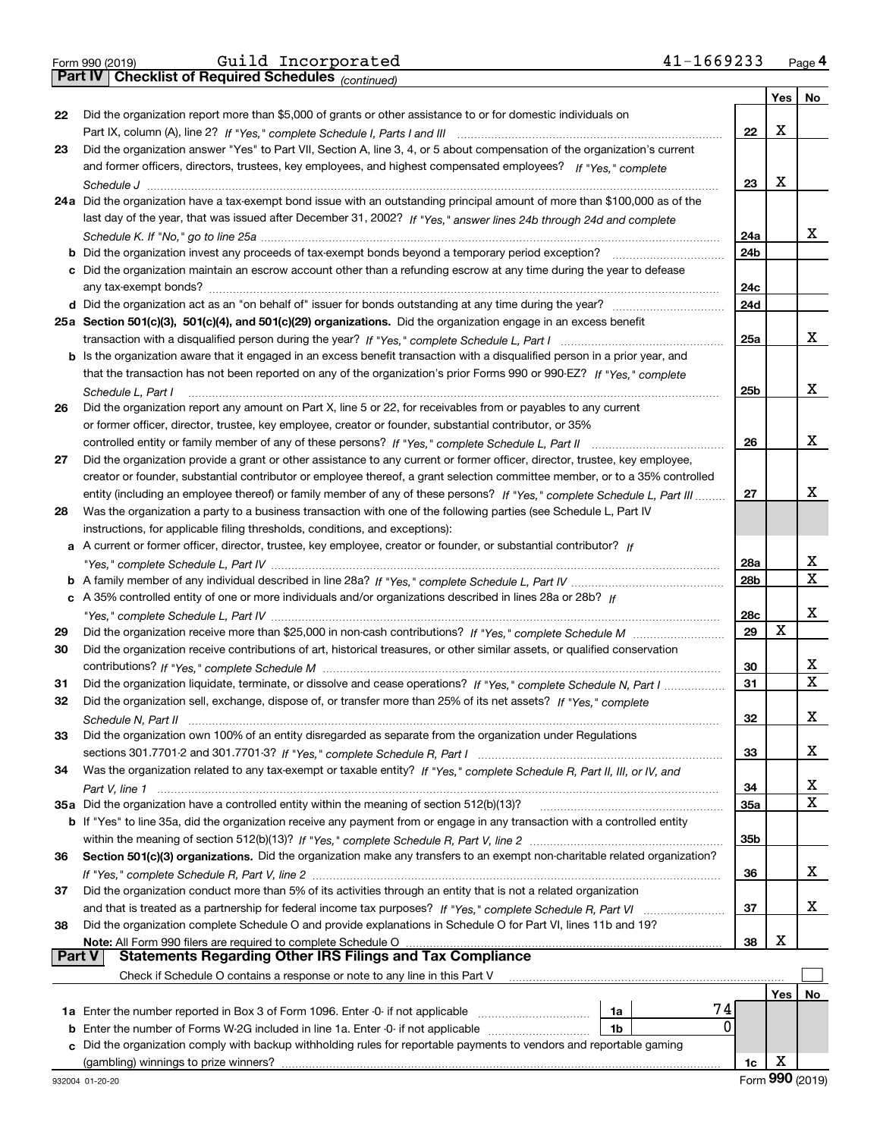|  | Form 990 (2019) |
|--|-----------------|
|  |                 |

Form 990 (2019) Guild Incorporated 41-1669233 <sub>Page</sub> 4<br>**Part IV | Checklist of Required Schedules** <sub>(continued)</sub>

*(continued)*

|               |                                                                                                                                                                                                             |                 | <b>Yes</b>  | No |
|---------------|-------------------------------------------------------------------------------------------------------------------------------------------------------------------------------------------------------------|-----------------|-------------|----|
| 22            | Did the organization report more than \$5,000 of grants or other assistance to or for domestic individuals on                                                                                               |                 |             |    |
|               |                                                                                                                                                                                                             | 22              | X           |    |
| 23            | Did the organization answer "Yes" to Part VII, Section A, line 3, 4, or 5 about compensation of the organization's current                                                                                  |                 |             |    |
|               | and former officers, directors, trustees, key employees, and highest compensated employees? If "Yes," complete                                                                                              |                 |             |    |
|               |                                                                                                                                                                                                             | 23              | X           |    |
|               | 24a Did the organization have a tax-exempt bond issue with an outstanding principal amount of more than \$100,000 as of the                                                                                 |                 |             |    |
|               | last day of the year, that was issued after December 31, 2002? If "Yes," answer lines 24b through 24d and complete                                                                                          |                 |             |    |
|               |                                                                                                                                                                                                             | 24a             |             | x  |
|               |                                                                                                                                                                                                             | 24 <sub>b</sub> |             |    |
|               | c Did the organization maintain an escrow account other than a refunding escrow at any time during the year to defease                                                                                      |                 |             |    |
|               |                                                                                                                                                                                                             | 24c             |             |    |
|               |                                                                                                                                                                                                             | 24d             |             |    |
|               | 25a Section 501(c)(3), 501(c)(4), and 501(c)(29) organizations. Did the organization engage in an excess benefit                                                                                            |                 |             |    |
|               |                                                                                                                                                                                                             | 25a             |             | x  |
|               | b Is the organization aware that it engaged in an excess benefit transaction with a disqualified person in a prior year, and                                                                                |                 |             |    |
|               | that the transaction has not been reported on any of the organization's prior Forms 990 or 990-EZ? If "Yes," complete                                                                                       |                 |             |    |
|               | Schedule L, Part I                                                                                                                                                                                          | 25b             |             | X  |
| 26            | Did the organization report any amount on Part X, line 5 or 22, for receivables from or payables to any current                                                                                             |                 |             |    |
|               | or former officer, director, trustee, key employee, creator or founder, substantial contributor, or 35%                                                                                                     |                 |             |    |
|               | controlled entity or family member of any of these persons? If "Yes," complete Schedule L, Part II                                                                                                          | 26              |             | X  |
| 27            | Did the organization provide a grant or other assistance to any current or former officer, director, trustee, key employee,                                                                                 |                 |             |    |
|               | creator or founder, substantial contributor or employee thereof, a grant selection committee member, or to a 35% controlled                                                                                 |                 |             |    |
|               | entity (including an employee thereof) or family member of any of these persons? If "Yes," complete Schedule L, Part III                                                                                    | 27              |             | х  |
| 28            | Was the organization a party to a business transaction with one of the following parties (see Schedule L, Part IV                                                                                           |                 |             |    |
|               | instructions, for applicable filing thresholds, conditions, and exceptions):                                                                                                                                |                 |             |    |
| а             | A current or former officer, director, trustee, key employee, creator or founder, or substantial contributor? If                                                                                            |                 |             |    |
|               |                                                                                                                                                                                                             | 28a             |             | х  |
|               |                                                                                                                                                                                                             | 28 <sub>b</sub> |             | X  |
|               | c A 35% controlled entity of one or more individuals and/or organizations described in lines 28a or 28b? If                                                                                                 |                 |             |    |
|               |                                                                                                                                                                                                             | 28c             |             | x  |
| 29            |                                                                                                                                                                                                             | 29              | $\mathbf X$ |    |
| 30            | Did the organization receive contributions of art, historical treasures, or other similar assets, or qualified conservation                                                                                 |                 |             |    |
|               |                                                                                                                                                                                                             | 30              |             | х  |
| 31            | Did the organization liquidate, terminate, or dissolve and cease operations? If "Yes," complete Schedule N, Part I                                                                                          | 31              |             | X  |
| 32            | Did the organization sell, exchange, dispose of, or transfer more than 25% of its net assets? If "Yes," complete                                                                                            |                 |             |    |
|               |                                                                                                                                                                                                             | 32              |             | х  |
| 33            | Did the organization own 100% of an entity disregarded as separate from the organization under Regulations                                                                                                  |                 |             |    |
|               |                                                                                                                                                                                                             | 33              |             | x  |
| 34            | Was the organization related to any tax-exempt or taxable entity? If "Yes," complete Schedule R, Part II, III, or IV, and                                                                                   |                 |             |    |
|               |                                                                                                                                                                                                             | 34              |             | х  |
|               | 35a Did the organization have a controlled entity within the meaning of section 512(b)(13)?                                                                                                                 | 35a             |             | х  |
|               | b If "Yes" to line 35a, did the organization receive any payment from or engage in any transaction with a controlled entity                                                                                 |                 |             |    |
|               |                                                                                                                                                                                                             | 35b             |             |    |
| 36            | Section 501(c)(3) organizations. Did the organization make any transfers to an exempt non-charitable related organization?                                                                                  |                 |             |    |
|               |                                                                                                                                                                                                             | 36              |             | x  |
| 37            | Did the organization conduct more than 5% of its activities through an entity that is not a related organization                                                                                            |                 |             |    |
|               |                                                                                                                                                                                                             | 37              |             | x  |
| 38            | Did the organization complete Schedule O and provide explanations in Schedule O for Part VI, lines 11b and 19?                                                                                              |                 |             |    |
| <b>Part V</b> | Note: All Form 990 filers are required to complete Schedule O<br><b>Statements Regarding Other IRS Filings and Tax Compliance</b>                                                                           | 38              | х           |    |
|               |                                                                                                                                                                                                             |                 |             |    |
|               | Check if Schedule O contains a response or note to any line in this Part V                                                                                                                                  |                 |             |    |
|               | 74                                                                                                                                                                                                          |                 | Yes         | No |
|               | 1a Enter the number reported in Box 3 of Form 1096. Enter -0- if not applicable<br>1a<br>0                                                                                                                  |                 |             |    |
| b             | Enter the number of Forms W-2G included in line 1a. Enter -0- if not applicable<br>1b<br>Did the organization comply with backup withholding rules for reportable payments to vendors and reportable gaming |                 |             |    |
| c             |                                                                                                                                                                                                             | 1c              | X           |    |
|               |                                                                                                                                                                                                             |                 |             |    |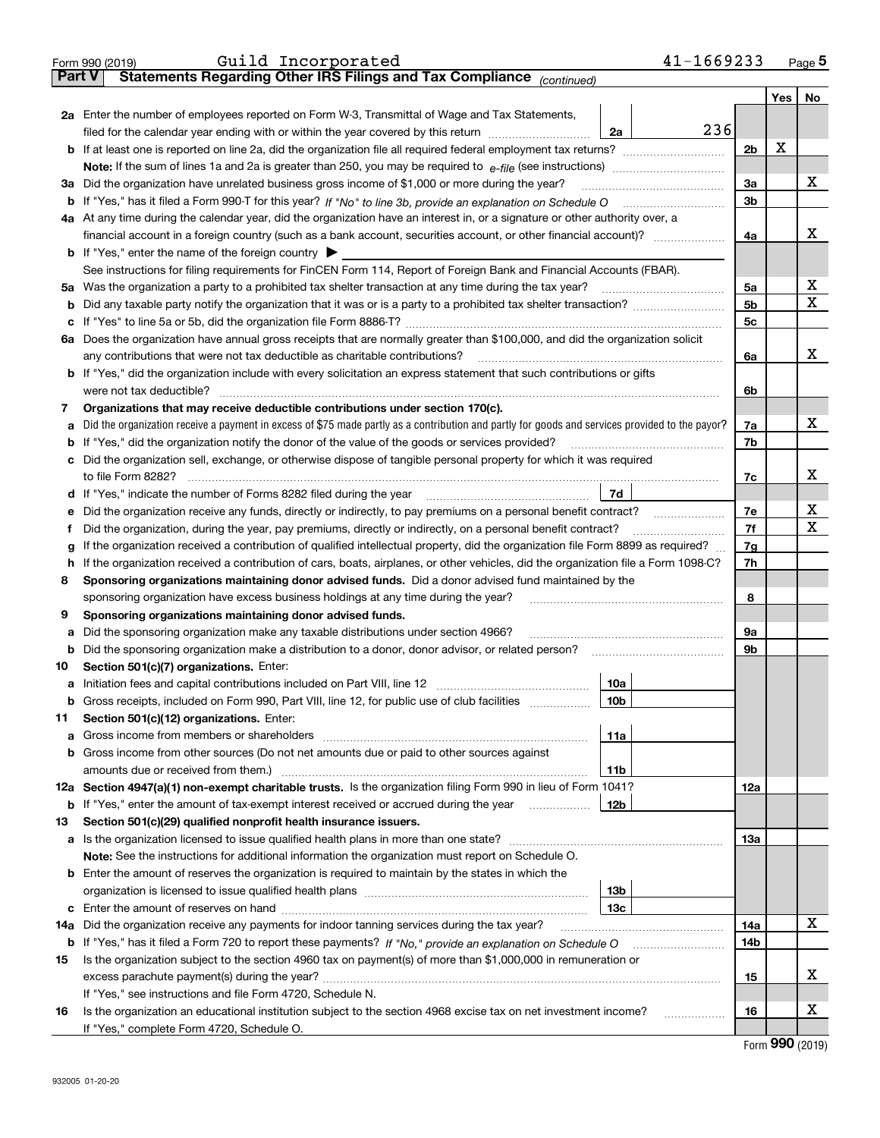| <b>Part V</b> | 41-1669233<br>Guild Incorporated<br>Form 990 (2019)<br>Statements Regarding Other IRS Filings and Tax Compliance (continued)                                                                                                                     |                |            | Page $5$ |
|---------------|--------------------------------------------------------------------------------------------------------------------------------------------------------------------------------------------------------------------------------------------------|----------------|------------|----------|
|               |                                                                                                                                                                                                                                                  |                |            |          |
|               | 2a Enter the number of employees reported on Form W-3, Transmittal of Wage and Tax Statements,                                                                                                                                                   |                | <b>Yes</b> | No       |
|               | 236<br>filed for the calendar year ending with or within the year covered by this return <i>manumumumum</i><br>2a                                                                                                                                |                |            |          |
|               |                                                                                                                                                                                                                                                  | 2 <sub>b</sub> | х          |          |
|               |                                                                                                                                                                                                                                                  |                |            |          |
|               | 3a Did the organization have unrelated business gross income of \$1,000 or more during the year?                                                                                                                                                 | 3a             |            | х        |
|               |                                                                                                                                                                                                                                                  | 3 <sub>b</sub> |            |          |
|               | 4a At any time during the calendar year, did the organization have an interest in, or a signature or other authority over, a                                                                                                                     |                |            |          |
|               |                                                                                                                                                                                                                                                  | 4a             |            | х        |
|               | <b>b</b> If "Yes," enter the name of the foreign country $\triangleright$                                                                                                                                                                        |                |            |          |
|               | See instructions for filing requirements for FinCEN Form 114, Report of Foreign Bank and Financial Accounts (FBAR).                                                                                                                              |                |            |          |
|               | 5a Was the organization a party to a prohibited tax shelter transaction at any time during the tax year?                                                                                                                                         | 5a             |            | х        |
| b             |                                                                                                                                                                                                                                                  | 5 <sub>b</sub> |            | Χ        |
| с             |                                                                                                                                                                                                                                                  | 5c             |            |          |
| 6а            | Does the organization have annual gross receipts that are normally greater than \$100,000, and did the organization solicit                                                                                                                      |                |            |          |
|               | any contributions that were not tax deductible as charitable contributions?                                                                                                                                                                      | 6a             |            | x        |
|               | <b>b</b> If "Yes," did the organization include with every solicitation an express statement that such contributions or gifts                                                                                                                    |                |            |          |
|               | were not tax deductible?                                                                                                                                                                                                                         | 6b             |            |          |
| 7             | Organizations that may receive deductible contributions under section 170(c).                                                                                                                                                                    |                |            |          |
| a             | Did the organization receive a payment in excess of \$75 made partly as a contribution and partly for goods and services provided to the payor?                                                                                                  | 7a             |            | х        |
| b             | If "Yes," did the organization notify the donor of the value of the goods or services provided?                                                                                                                                                  | 7b             |            |          |
| с             | Did the organization sell, exchange, or otherwise dispose of tangible personal property for which it was required                                                                                                                                |                |            |          |
|               | to file Form 8282?                                                                                                                                                                                                                               | 7c             |            | х        |
|               | 7d<br>d If "Yes," indicate the number of Forms 8282 filed during the year                                                                                                                                                                        |                |            | х        |
| е             | Did the organization receive any funds, directly or indirectly, to pay premiums on a personal benefit contract?                                                                                                                                  | 7е<br>7f       |            | Χ        |
| f             | Did the organization, during the year, pay premiums, directly or indirectly, on a personal benefit contract?<br>If the organization received a contribution of qualified intellectual property, did the organization file Form 8899 as required? | 7g             |            |          |
| g<br>h        | If the organization received a contribution of cars, boats, airplanes, or other vehicles, did the organization file a Form 1098-C?                                                                                                               | 7h             |            |          |
| 8             | Sponsoring organizations maintaining donor advised funds. Did a donor advised fund maintained by the                                                                                                                                             |                |            |          |
|               | sponsoring organization have excess business holdings at any time during the year?                                                                                                                                                               | 8              |            |          |
| 9             | Sponsoring organizations maintaining donor advised funds.                                                                                                                                                                                        |                |            |          |
| а             | Did the sponsoring organization make any taxable distributions under section 4966?                                                                                                                                                               | 9а             |            |          |
| b             | Did the sponsoring organization make a distribution to a donor, donor advisor, or related person?                                                                                                                                                | 9b             |            |          |
| 10            | Section 501(c)(7) organizations. Enter:                                                                                                                                                                                                          |                |            |          |
| а             | Initiation fees and capital contributions included on Part VIII, line 12<br>10a                                                                                                                                                                  |                |            |          |
| b             | Gross receipts, included on Form 990, Part VIII, line 12, for public use of club facilities<br>10 <sub>b</sub>                                                                                                                                   |                |            |          |
| 11            | Section 501(c)(12) organizations. Enter:                                                                                                                                                                                                         |                |            |          |
| а             | 11a<br>Gross income from members or shareholders                                                                                                                                                                                                 |                |            |          |
| b             | Gross income from other sources (Do not net amounts due or paid to other sources against                                                                                                                                                         |                |            |          |
|               | 11 <sub>b</sub><br>amounts due or received from them.)                                                                                                                                                                                           |                |            |          |
| 12a           | Section 4947(a)(1) non-exempt charitable trusts. Is the organization filing Form 990 in lieu of Form 1041?                                                                                                                                       | 12a            |            |          |
|               | <b>b</b> If "Yes," enter the amount of tax-exempt interest received or accrued during the year<br>12b                                                                                                                                            |                |            |          |
| 13            | Section 501(c)(29) qualified nonprofit health insurance issuers.                                                                                                                                                                                 |                |            |          |
| а             |                                                                                                                                                                                                                                                  | 13a            |            |          |
|               | Note: See the instructions for additional information the organization must report on Schedule O.                                                                                                                                                |                |            |          |
| b             | Enter the amount of reserves the organization is required to maintain by the states in which the                                                                                                                                                 |                |            |          |
|               | 13b<br>13 <sub>c</sub>                                                                                                                                                                                                                           |                |            |          |
| с<br>14a      | Did the organization receive any payments for indoor tanning services during the tax year?                                                                                                                                                       | 14a            |            | х        |
|               |                                                                                                                                                                                                                                                  | 14b            |            |          |
| 15            | Is the organization subject to the section 4960 tax on payment(s) of more than \$1,000,000 in remuneration or                                                                                                                                    |                |            |          |
|               |                                                                                                                                                                                                                                                  | 15             |            | х        |
|               | If "Yes," see instructions and file Form 4720, Schedule N.                                                                                                                                                                                       |                |            |          |
| 16            | Is the organization an educational institution subject to the section 4968 excise tax on net investment income?<br>.                                                                                                                             | 16             |            | х        |
|               | If "Yes," complete Form 4720, Schedule O.                                                                                                                                                                                                        |                |            |          |

Form (2019) **990**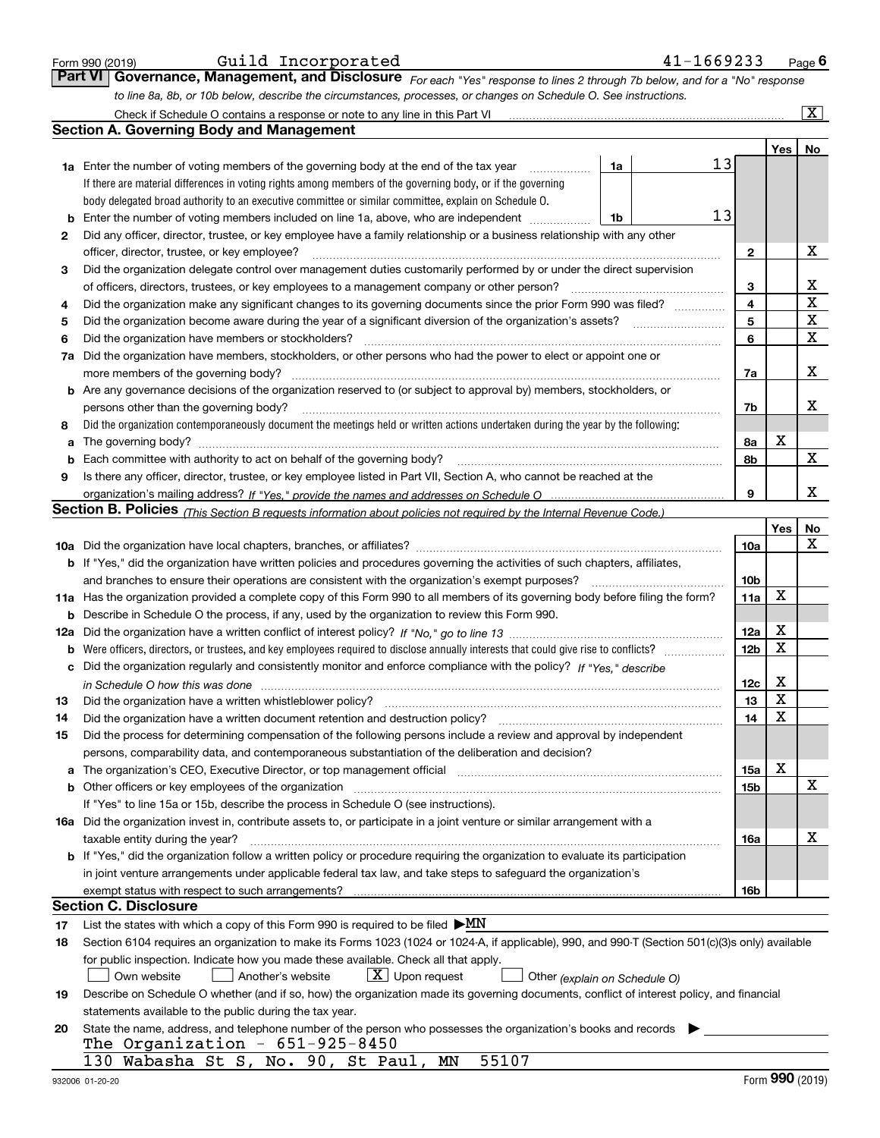|    | Guild Incorporated<br>Form 990 (2019)                                                                                                                                                                                                            |    | 41-1669233 |                 |     | Page $6$                |
|----|--------------------------------------------------------------------------------------------------------------------------------------------------------------------------------------------------------------------------------------------------|----|------------|-----------------|-----|-------------------------|
|    | <b>Part VI</b><br>Governance, Management, and Disclosure For each "Yes" response to lines 2 through 7b below, and for a "No" response                                                                                                            |    |            |                 |     |                         |
|    | to line 8a, 8b, or 10b below, describe the circumstances, processes, or changes on Schedule O. See instructions.                                                                                                                                 |    |            |                 |     |                         |
|    | Check if Schedule O contains a response or note to any line in this Part VI [11] [12] Check if Schedule O contains a response or note to any line in this Part VI                                                                                |    |            |                 |     | $\overline{\mathbf{x}}$ |
|    | <b>Section A. Governing Body and Management</b>                                                                                                                                                                                                  |    |            |                 |     |                         |
|    |                                                                                                                                                                                                                                                  |    |            |                 | Yes | No                      |
|    | <b>1a</b> Enter the number of voting members of the governing body at the end of the tax year                                                                                                                                                    | 1a | 13         |                 |     |                         |
|    | If there are material differences in voting rights among members of the governing body, or if the governing                                                                                                                                      |    |            |                 |     |                         |
|    | body delegated broad authority to an executive committee or similar committee, explain on Schedule O.                                                                                                                                            |    |            |                 |     |                         |
| b  | Enter the number of voting members included on line 1a, above, who are independent                                                                                                                                                               | 1b | 13         |                 |     |                         |
| 2  | Did any officer, director, trustee, or key employee have a family relationship or a business relationship with any other                                                                                                                         |    |            |                 |     |                         |
|    | officer, director, trustee, or key employee?                                                                                                                                                                                                     |    |            | 2               |     | X                       |
| 3  | Did the organization delegate control over management duties customarily performed by or under the direct supervision                                                                                                                            |    |            |                 |     |                         |
|    | of officers, directors, trustees, or key employees to a management company or other person?                                                                                                                                                      |    |            | 3               |     | x                       |
| 4  | Did the organization make any significant changes to its governing documents since the prior Form 990 was filed?                                                                                                                                 |    |            | $\overline{4}$  |     | $\mathbf X$             |
| 5  |                                                                                                                                                                                                                                                  |    |            | 5               |     | $\mathbf X$             |
| 6  | Did the organization have members or stockholders?                                                                                                                                                                                               |    |            | 6               |     | X                       |
| 7a | Did the organization have members, stockholders, or other persons who had the power to elect or appoint one or                                                                                                                                   |    |            |                 |     |                         |
|    | more members of the governing body?                                                                                                                                                                                                              |    |            | 7a              |     | х                       |
|    | <b>b</b> Are any governance decisions of the organization reserved to (or subject to approval by) members, stockholders, or                                                                                                                      |    |            |                 |     |                         |
|    | persons other than the governing body?                                                                                                                                                                                                           |    |            | 7b              |     | х                       |
| 8  | Did the organization contemporaneously document the meetings held or written actions undertaken during the year by the following:                                                                                                                |    |            |                 |     |                         |
| a  |                                                                                                                                                                                                                                                  |    |            | 8a              | X   |                         |
| b  | Each committee with authority to act on behalf of the governing body?                                                                                                                                                                            |    |            | 8b              |     | X                       |
| 9  | Is there any officer, director, trustee, or key employee listed in Part VII, Section A, who cannot be reached at the                                                                                                                             |    |            |                 |     |                         |
|    |                                                                                                                                                                                                                                                  |    |            | 9               |     | x                       |
|    | <b>Section B. Policies</b> (This Section B requests information about policies not required by the Internal Revenue Code.)                                                                                                                       |    |            |                 |     |                         |
|    |                                                                                                                                                                                                                                                  |    |            |                 | Yes | No                      |
|    |                                                                                                                                                                                                                                                  |    |            | 10a             |     | х                       |
|    | <b>b</b> If "Yes," did the organization have written policies and procedures governing the activities of such chapters, affiliates,                                                                                                              |    |            |                 |     |                         |
|    | and branches to ensure their operations are consistent with the organization's exempt purposes?                                                                                                                                                  |    |            | 10 <sub>b</sub> |     |                         |
|    | 11a Has the organization provided a complete copy of this Form 990 to all members of its governing body before filing the form?                                                                                                                  |    |            | 11a             | X   |                         |
|    | <b>b</b> Describe in Schedule O the process, if any, used by the organization to review this Form 990.                                                                                                                                           |    |            |                 |     |                         |
|    |                                                                                                                                                                                                                                                  |    |            | 12a             | X   |                         |
|    | <b>b</b> Were officers, directors, or trustees, and key employees required to disclose annually interests that could give rise to conflicts?                                                                                                     |    |            | 12 <sub>b</sub> | X   |                         |
|    | c Did the organization regularly and consistently monitor and enforce compliance with the policy? If "Yes," describe                                                                                                                             |    |            |                 |     |                         |
|    | in Schedule O how this was done manufactured and continuum control of the state of the state of the state of t                                                                                                                                   |    |            | 12c             | х   |                         |
| 13 |                                                                                                                                                                                                                                                  |    |            | 13              | X   |                         |
| 14 | Did the organization have a written document retention and destruction policy?                                                                                                                                                                   |    |            | 14              | Χ   |                         |
| 15 | Did the process for determining compensation of the following persons include a review and approval by independent                                                                                                                               |    |            |                 |     |                         |
|    | persons, comparability data, and contemporaneous substantiation of the deliberation and decision?                                                                                                                                                |    |            |                 | X   |                         |
| a  | The organization's CEO, Executive Director, or top management official                                                                                                                                                                           |    |            | 15a             |     | X                       |
|    | <b>b</b> Other officers or key employees of the organization                                                                                                                                                                                     |    |            | 15b             |     |                         |
|    | If "Yes" to line 15a or 15b, describe the process in Schedule O (see instructions).                                                                                                                                                              |    |            |                 |     |                         |
|    | 16a Did the organization invest in, contribute assets to, or participate in a joint venture or similar arrangement with a                                                                                                                        |    |            |                 |     | х                       |
|    | taxable entity during the year?                                                                                                                                                                                                                  |    |            | 16a             |     |                         |
|    | b If "Yes," did the organization follow a written policy or procedure requiring the organization to evaluate its participation<br>in joint venture arrangements under applicable federal tax law, and take steps to safequard the organization's |    |            |                 |     |                         |
|    |                                                                                                                                                                                                                                                  |    |            | 16b             |     |                         |
|    | exempt status with respect to such arrangements?<br><b>Section C. Disclosure</b>                                                                                                                                                                 |    |            |                 |     |                         |
| 17 | List the states with which a copy of this Form 990 is required to be filed $\blacktriangleright$ MN                                                                                                                                              |    |            |                 |     |                         |
| 18 | Section 6104 requires an organization to make its Forms 1023 (1024 or 1024-A, if applicable), 990, and 990-T (Section 501(c)(3)s only) available                                                                                                 |    |            |                 |     |                         |
|    | for public inspection. Indicate how you made these available. Check all that apply.                                                                                                                                                              |    |            |                 |     |                         |
|    | $X$ Upon request<br>Own website<br>Another's website<br>Other (explain on Schedule O)                                                                                                                                                            |    |            |                 |     |                         |
| 19 | Describe on Schedule O whether (and if so, how) the organization made its governing documents, conflict of interest policy, and financial                                                                                                        |    |            |                 |     |                         |
|    | statements available to the public during the tax year.                                                                                                                                                                                          |    |            |                 |     |                         |
| 20 | State the name, address, and telephone number of the person who possesses the organization's books and records                                                                                                                                   |    |            |                 |     |                         |
|    | The Organization - $651-925-8450$                                                                                                                                                                                                                |    |            |                 |     |                         |
|    | 130 Wabasha St S, No. 90, St Paul,<br>55107<br>ΜN                                                                                                                                                                                                |    |            |                 |     |                         |
|    |                                                                                                                                                                                                                                                  |    |            |                 |     |                         |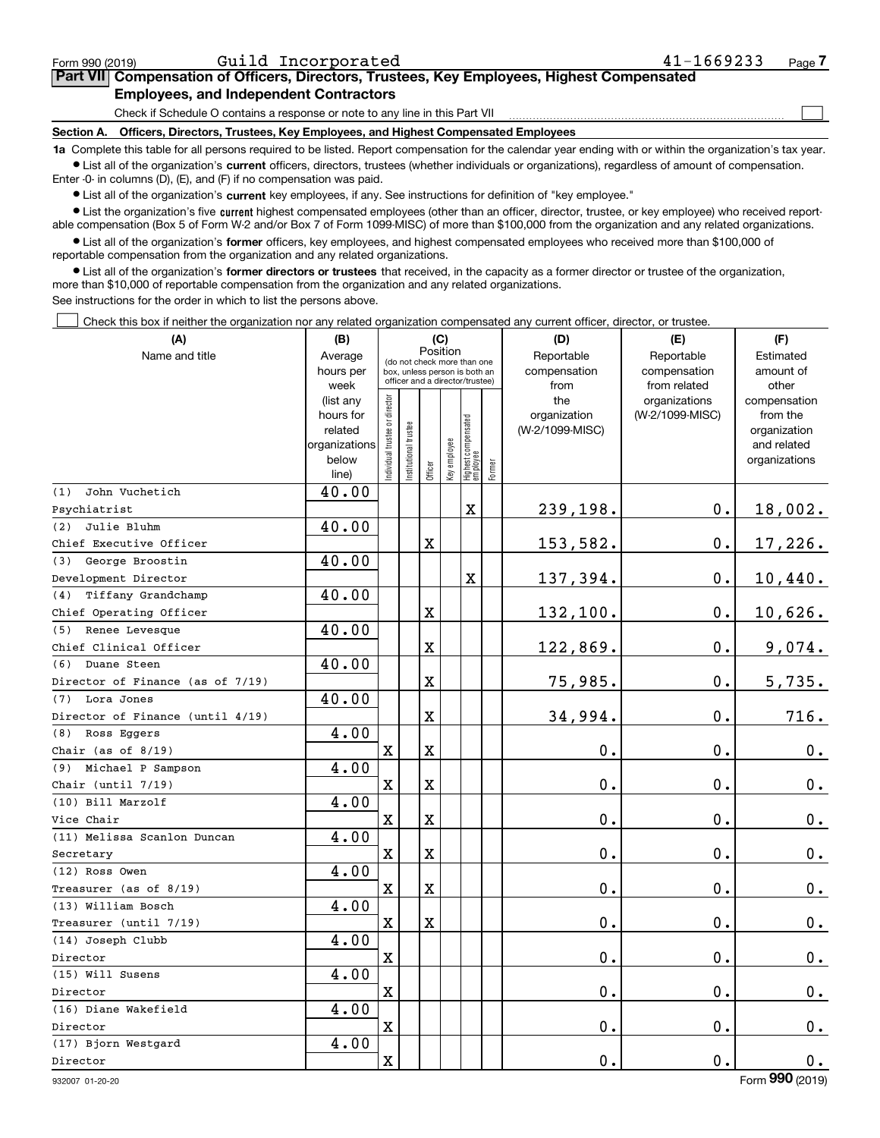| Form 990 (2019) | Guild Incorporated                                                                         | $41 - 1669233$                                                                                                                                             | Page <sup>7</sup> |
|-----------------|--------------------------------------------------------------------------------------------|------------------------------------------------------------------------------------------------------------------------------------------------------------|-------------------|
|                 | Part VII Compensation of Officers, Directors, Trustees, Key Employees, Highest Compensated |                                                                                                                                                            |                   |
|                 | <b>Employees, and Independent Contractors</b>                                              |                                                                                                                                                            |                   |
|                 | Check if Schedule O contains a response or note to any line in this Part VII               |                                                                                                                                                            |                   |
| Section A.      | Officers, Directors, Trustees, Key Employees, and Highest Compensated Employees            |                                                                                                                                                            |                   |
|                 |                                                                                            | 1a Complete this table for all persons required to be listed. Report compensation for the calendar year ending with or within the organization's tax year. |                   |

**1a •** List all of the organization's current officers, directors, trustees (whether individuals or organizations), regardless of amount of compensation. Enter -0- in columns (D), (E), and (F) if no compensation was paid.

 $\bullet$  List all of the organization's  $\,$ current key employees, if any. See instructions for definition of "key employee."

• List the organization's five current highest compensated employees (other than an officer, director, trustee, or key employee) who received report-■ List the organization's five current highest compensated employees (other than an officer, director, trustee, or key employee) who received report-<br>able compensation (Box 5 of Form W-2 and/or Box 7 of Form 1099-MISC) of

**•** List all of the organization's former officers, key employees, and highest compensated employees who received more than \$100,000 of reportable compensation from the organization and any related organizations.

**former directors or trustees**  ¥ List all of the organization's that received, in the capacity as a former director or trustee of the organization, more than \$10,000 of reportable compensation from the organization and any related organizations.

See instructions for the order in which to list the persons above.

Check this box if neither the organization nor any related organization compensated any current officer, director, or trustee.  $\mathcal{L}^{\text{max}}$ 

| (A)                              | (B)                    | (C)                                                              |                      |                       |              |                                   | (D)    | (E)                 | (F)                              |                          |
|----------------------------------|------------------------|------------------------------------------------------------------|----------------------|-----------------------|--------------|-----------------------------------|--------|---------------------|----------------------------------|--------------------------|
| Name and title                   | Average                | Position<br>(do not check more than one                          |                      | Reportable            | Reportable   | Estimated                         |        |                     |                                  |                          |
|                                  | hours per              | box, unless person is both an<br>officer and a director/trustee) |                      | compensation          | compensation | amount of                         |        |                     |                                  |                          |
|                                  | week                   |                                                                  |                      |                       |              |                                   |        | from                | from related                     | other                    |
|                                  | (list any<br>hours for |                                                                  |                      |                       |              |                                   |        | the<br>organization | organizations<br>(W-2/1099-MISC) | compensation<br>from the |
|                                  | related                |                                                                  |                      |                       |              |                                   |        | (W-2/1099-MISC)     |                                  | organization             |
|                                  | organizations          |                                                                  |                      |                       |              |                                   |        |                     |                                  | and related              |
|                                  | below                  | ndividual trustee or director                                    | nstitutional trustee |                       | Key employee |                                   |        |                     |                                  | organizations            |
|                                  | line)                  |                                                                  |                      | Officer               |              | Highest compensated<br>  employee | Former |                     |                                  |                          |
| John Vuchetich<br>(1)            | 40.00                  |                                                                  |                      |                       |              |                                   |        |                     |                                  |                          |
| Psychiatrist                     |                        |                                                                  |                      |                       |              | $\mathbf X$                       |        | 239,198.            | 0.                               | 18,002.                  |
| Julie Bluhm<br>(2)               | 40.00                  |                                                                  |                      |                       |              |                                   |        |                     |                                  |                          |
| Chief Executive Officer          |                        |                                                                  |                      | X                     |              |                                   |        | 153,582.            | 0.                               | 17,226.                  |
| George Broostin<br>(3)           | 40.00                  |                                                                  |                      |                       |              |                                   |        |                     |                                  |                          |
| Development Director             |                        |                                                                  |                      |                       |              | $\overline{\mathbf{X}}$           |        | 137,394.            | 0.                               | 10,440.                  |
| Tiffany Grandchamp<br>(4)        | 40.00                  |                                                                  |                      |                       |              |                                   |        |                     |                                  |                          |
| Chief Operating Officer          |                        |                                                                  |                      | X                     |              |                                   |        | 132,100.            | 0.                               | 10,626.                  |
| Renee Levesque<br>(5)            | 40.00                  |                                                                  |                      |                       |              |                                   |        |                     |                                  |                          |
| Chief Clinical Officer           |                        |                                                                  |                      | $\mathbf X$           |              |                                   |        | 122,869.            | 0.                               | 9,074.                   |
| (6)<br>Duane Steen               | 40.00                  |                                                                  |                      |                       |              |                                   |        |                     |                                  |                          |
| Director of Finance (as of 7/19) |                        |                                                                  |                      | $\overline{\text{X}}$ |              |                                   |        | 75,985.             | 0.                               | 5,735.                   |
| (7) Lora Jones                   | 40.00                  |                                                                  |                      |                       |              |                                   |        |                     |                                  |                          |
| Director of Finance (until 4/19) |                        |                                                                  |                      | X                     |              |                                   |        | 34,994.             | $\mathbf 0$ .                    | 716.                     |
| (8) Ross Eqgers                  | 4.00                   |                                                                  |                      |                       |              |                                   |        |                     |                                  |                          |
| Chair (as of $8/19$ )            |                        | $\mathbf X$                                                      |                      | X                     |              |                                   |        | $\mathbf 0$ .       | 0.                               | $0_{\cdot}$              |
| (9) Michael P Sampson            | 4.00                   |                                                                  |                      |                       |              |                                   |        |                     |                                  |                          |
| Chair (until $7/19$ )            |                        | $\mathbf X$                                                      |                      | $\mathbf X$           |              |                                   |        | $\mathbf 0$ .       | 0.                               | $0_{\cdot}$              |
| (10) Bill Marzolf                | 4.00                   |                                                                  |                      |                       |              |                                   |        |                     |                                  |                          |
| Vice Chair                       |                        | $\mathbf X$                                                      |                      | X                     |              |                                   |        | $0$ .               | 0.                               | $\mathbf 0$ .            |
| (11) Melissa Scanlon Duncan      | 4.00                   |                                                                  |                      |                       |              |                                   |        |                     |                                  |                          |
| Secretary                        |                        | $\mathbf X$                                                      |                      | X                     |              |                                   |        | 0.                  | $\mathbf 0$ .                    | $\mathbf 0$ .            |
| (12) Ross Owen                   | 4.00                   |                                                                  |                      |                       |              |                                   |        |                     |                                  |                          |
| Treasurer (as of 8/19)           |                        | $\mathbf X$                                                      |                      | X                     |              |                                   |        | $\mathbf 0$ .       | 0.                               | $0_{\cdot}$              |
| (13) William Bosch               | 4.00                   |                                                                  |                      |                       |              |                                   |        |                     |                                  |                          |
| Treasurer (until 7/19)           |                        | $\mathbf X$                                                      |                      | $\mathbf X$           |              |                                   |        | $\mathbf 0$ .       | 0.                               | 0.                       |
| (14) Joseph Clubb                | 4.00                   |                                                                  |                      |                       |              |                                   |        |                     |                                  |                          |
| Director                         |                        | $\mathbf X$                                                      |                      |                       |              |                                   |        | $\mathbf 0$ .       | 0.                               | 0.                       |
| (15) Will Susens                 | 4.00                   |                                                                  |                      |                       |              |                                   |        |                     |                                  |                          |
| Director                         |                        | $\mathbf x$                                                      |                      |                       |              |                                   |        | $0$ .               | 0.                               | 0.                       |
| (16) Diane Wakefield             | 4.00                   |                                                                  |                      |                       |              |                                   |        |                     |                                  |                          |
| Director                         |                        | $\mathbf X$                                                      |                      |                       |              |                                   |        | $0$ .               | 0.                               | $0_{.}$                  |
| (17) Bjorn Westgard              | 4.00                   |                                                                  |                      |                       |              |                                   |        |                     |                                  |                          |
| Director                         |                        | $\mathbf X$                                                      |                      |                       |              |                                   |        | $\mathbf 0$ .       | 0.                               | 0.                       |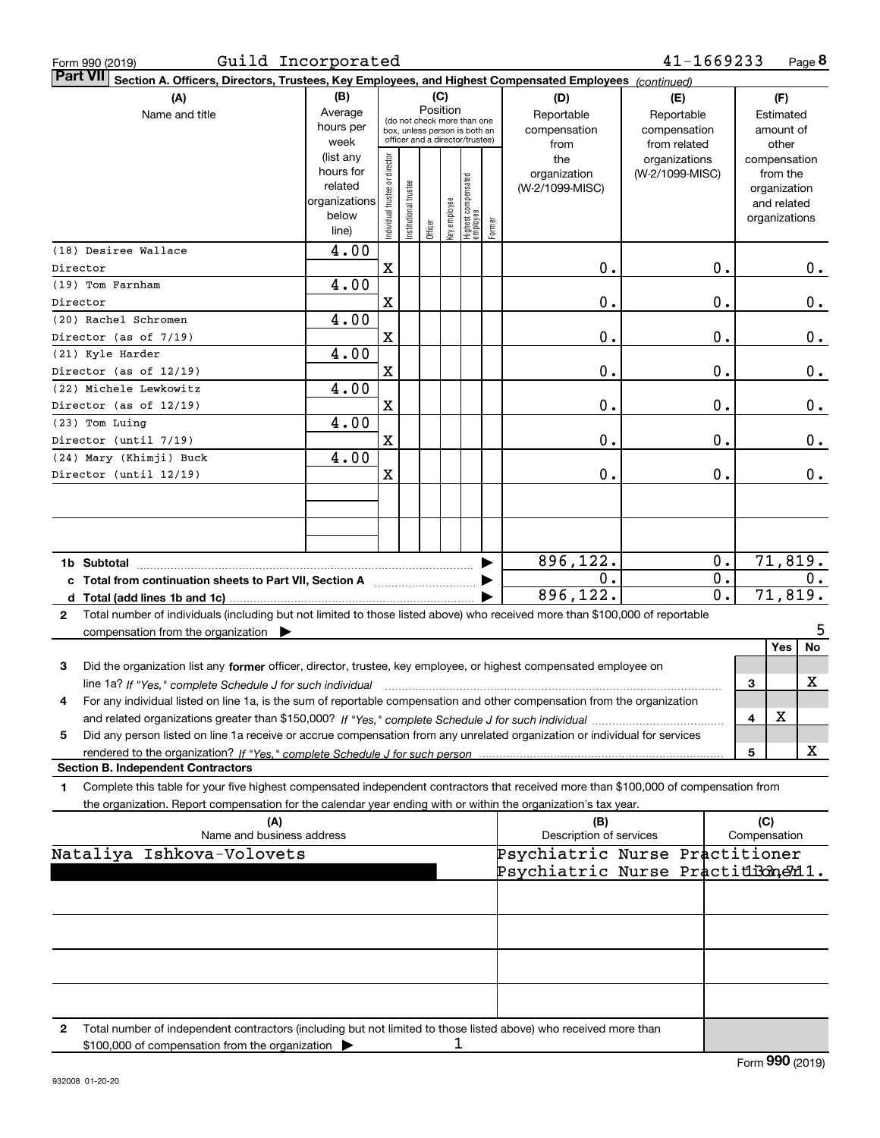| Form 990 (2019 |  |
|----------------|--|
| $D2$ rt VII    |  |

| <b>Fall VII</b> Section A. Officers, Directors, Trustees, Key Employees, and Highest Compensated Employees (continued)                       |                        |                                |                                                                  |         |              |                                   |        |                                   |                 |                  |     |                             |               |
|----------------------------------------------------------------------------------------------------------------------------------------------|------------------------|--------------------------------|------------------------------------------------------------------|---------|--------------|-----------------------------------|--------|-----------------------------------|-----------------|------------------|-----|-----------------------------|---------------|
| (A)                                                                                                                                          | (B)                    |                                |                                                                  |         | (C)          |                                   |        | (D)                               | (E)             |                  |     | (F)                         |               |
| Name and title                                                                                                                               | Average                |                                | (do not check more than one                                      |         | Position     |                                   |        | Reportable                        | Reportable      |                  |     | Estimated                   |               |
|                                                                                                                                              | hours per              |                                | box, unless person is both an<br>officer and a director/trustee) |         |              |                                   |        | compensation                      | compensation    |                  |     | amount of                   |               |
|                                                                                                                                              | week                   |                                |                                                                  |         |              |                                   |        | from                              | from related    |                  |     | other                       |               |
|                                                                                                                                              | (list any<br>hours for |                                |                                                                  |         |              |                                   |        | the                               | organizations   |                  |     | compensation                |               |
|                                                                                                                                              | related                |                                |                                                                  |         |              |                                   |        | organization                      | (W-2/1099-MISC) |                  |     | from the                    |               |
|                                                                                                                                              | organizations          |                                |                                                                  |         |              |                                   |        | (W-2/1099-MISC)                   |                 |                  |     | organization<br>and related |               |
|                                                                                                                                              | below                  |                                |                                                                  |         |              |                                   |        |                                   |                 |                  |     | organizations               |               |
|                                                                                                                                              | line)                  | Individual trustee or director | Institutional trustee                                            | Officer | Key employee | Highest compensated<br>  employee | Former |                                   |                 |                  |     |                             |               |
| (18) Desiree Wallace                                                                                                                         | 4.00                   |                                |                                                                  |         |              |                                   |        |                                   |                 |                  |     |                             |               |
| Director                                                                                                                                     |                        | $\mathbf X$                    |                                                                  |         |              |                                   |        | $\mathbf 0$ .                     |                 | 0.               |     |                             | $0$ .         |
| (19) Tom Farnham                                                                                                                             | 4.00                   |                                |                                                                  |         |              |                                   |        |                                   |                 |                  |     |                             |               |
| Director                                                                                                                                     |                        | $\mathbf X$                    |                                                                  |         |              |                                   |        | $\mathbf 0$ .                     |                 | 0.               |     |                             | $\mathbf 0$ . |
| (20) Rachel Schromen                                                                                                                         | 4.00                   |                                |                                                                  |         |              |                                   |        |                                   |                 |                  |     |                             |               |
| Director (as of 7/19)                                                                                                                        |                        | $\mathbf X$                    |                                                                  |         |              |                                   |        | $\mathbf 0$ .                     |                 | 0.               |     |                             | $0\,.$        |
| (21) Kyle Harder                                                                                                                             | 4.00                   |                                |                                                                  |         |              |                                   |        |                                   |                 |                  |     |                             |               |
| Director (as of 12/19)                                                                                                                       |                        | $\mathbf X$                    |                                                                  |         |              |                                   |        | $\mathbf 0$ .                     |                 | 0.               |     |                             | $0\,.$        |
| (22) Michele Lewkowitz                                                                                                                       | 4.00                   |                                |                                                                  |         |              |                                   |        |                                   |                 |                  |     |                             |               |
| Director (as of 12/19)                                                                                                                       |                        | $\mathbf X$                    |                                                                  |         |              |                                   |        | $\mathbf 0$ .                     |                 | 0.               |     |                             | $0\,.$        |
| (23) Tom Luing                                                                                                                               | 4.00                   |                                |                                                                  |         |              |                                   |        |                                   |                 |                  |     |                             |               |
| Director (until 7/19)                                                                                                                        |                        | $\mathbf X$                    |                                                                  |         |              |                                   |        | $\mathbf 0$ .                     |                 | 0.               |     |                             | $0\,.$        |
| (24) Mary (Khimji) Buck                                                                                                                      | 4.00                   |                                |                                                                  |         |              |                                   |        |                                   |                 |                  |     |                             |               |
| Director (until 12/19)                                                                                                                       |                        | $\mathbf X$                    |                                                                  |         |              |                                   |        | $\mathbf 0$ .                     |                 | 0.               |     |                             | 0.            |
|                                                                                                                                              |                        |                                |                                                                  |         |              |                                   |        |                                   |                 |                  |     |                             |               |
|                                                                                                                                              |                        |                                |                                                                  |         |              |                                   |        |                                   |                 |                  |     |                             |               |
|                                                                                                                                              |                        |                                |                                                                  |         |              |                                   |        |                                   |                 |                  |     |                             |               |
|                                                                                                                                              |                        |                                |                                                                  |         |              |                                   |        | 896,122.                          |                 | 0.               |     | 71,819.                     |               |
| c Total from continuation sheets to Part VII, Section A <b>manual</b> Total Total P                                                          |                        |                                |                                                                  |         |              |                                   |        | 0.                                |                 | $\overline{0}$ . |     |                             | $0$ .         |
|                                                                                                                                              |                        |                                |                                                                  |         |              |                                   |        | 896,122.                          |                 | $\overline{0}$ . |     | 71,819.                     |               |
| Total number of individuals (including but not limited to those listed above) who received more than \$100,000 of reportable<br>$\mathbf{2}$ |                        |                                |                                                                  |         |              |                                   |        |                                   |                 |                  |     |                             |               |
| compensation from the organization $\blacktriangleright$                                                                                     |                        |                                |                                                                  |         |              |                                   |        |                                   |                 |                  |     |                             | 5             |
|                                                                                                                                              |                        |                                |                                                                  |         |              |                                   |        |                                   |                 |                  |     | <b>Yes</b>                  | <b>No</b>     |
| 3<br>Did the organization list any former officer, director, trustee, key employee, or highest compensated employee on                       |                        |                                |                                                                  |         |              |                                   |        |                                   |                 |                  |     |                             |               |
| line 1a? If "Yes," complete Schedule J for such individual manufactured contained and the Ves," complete Schedule J for such individual      |                        |                                |                                                                  |         |              |                                   |        |                                   |                 |                  | 3   |                             | х             |
| For any individual listed on line 1a, is the sum of reportable compensation and other compensation from the organization<br>4                |                        |                                |                                                                  |         |              |                                   |        |                                   |                 |                  |     |                             |               |
|                                                                                                                                              |                        |                                |                                                                  |         |              |                                   |        |                                   |                 |                  | 4   | Х                           |               |
| Did any person listed on line 1a receive or accrue compensation from any unrelated organization or individual for services<br>5              |                        |                                |                                                                  |         |              |                                   |        |                                   |                 |                  |     |                             |               |
| rendered to the organization? If "Yes." complete Schedule J for such person<br><b>Section B. Independent Contractors</b>                     |                        |                                |                                                                  |         |              |                                   |        |                                   |                 |                  | 5   |                             | х             |
| Complete this table for your five highest compensated independent contractors that received more than \$100,000 of compensation from<br>1    |                        |                                |                                                                  |         |              |                                   |        |                                   |                 |                  |     |                             |               |
| the organization. Report compensation for the calendar year ending with or within the organization's tax year.                               |                        |                                |                                                                  |         |              |                                   |        |                                   |                 |                  |     |                             |               |
| (A)                                                                                                                                          |                        |                                |                                                                  |         |              |                                   |        | (B)                               |                 |                  | (C) |                             |               |
| Name and business address                                                                                                                    |                        |                                |                                                                  |         |              |                                   |        | Description of services           |                 |                  |     | Compensation                |               |
| Nataliya Ishkova-Volovets                                                                                                                    |                        |                                |                                                                  |         |              |                                   |        | Psychiatric Nurse Practitioner    |                 |                  |     |                             |               |
|                                                                                                                                              |                        |                                |                                                                  |         |              |                                   |        | Psychiatric Nurse Practiticane 1. |                 |                  |     |                             |               |
|                                                                                                                                              |                        |                                |                                                                  |         |              |                                   |        |                                   |                 |                  |     |                             |               |
|                                                                                                                                              |                        |                                |                                                                  |         |              |                                   |        |                                   |                 |                  |     |                             |               |
|                                                                                                                                              |                        |                                |                                                                  |         |              |                                   |        |                                   |                 |                  |     |                             |               |
|                                                                                                                                              |                        |                                |                                                                  |         |              |                                   |        |                                   |                 |                  |     |                             |               |
|                                                                                                                                              |                        |                                |                                                                  |         |              |                                   |        |                                   |                 |                  |     |                             |               |
|                                                                                                                                              |                        |                                |                                                                  |         |              |                                   |        |                                   |                 |                  |     |                             |               |
| dependent contractors (including but not limited to these listed shous)                                                                      |                        |                                |                                                                  |         |              |                                   |        |                                   |                 |                  |     |                             |               |

**2**Total number of independent contractors (including but not limited to those listed above) who received more than \$100,000 of compensation from the organization 1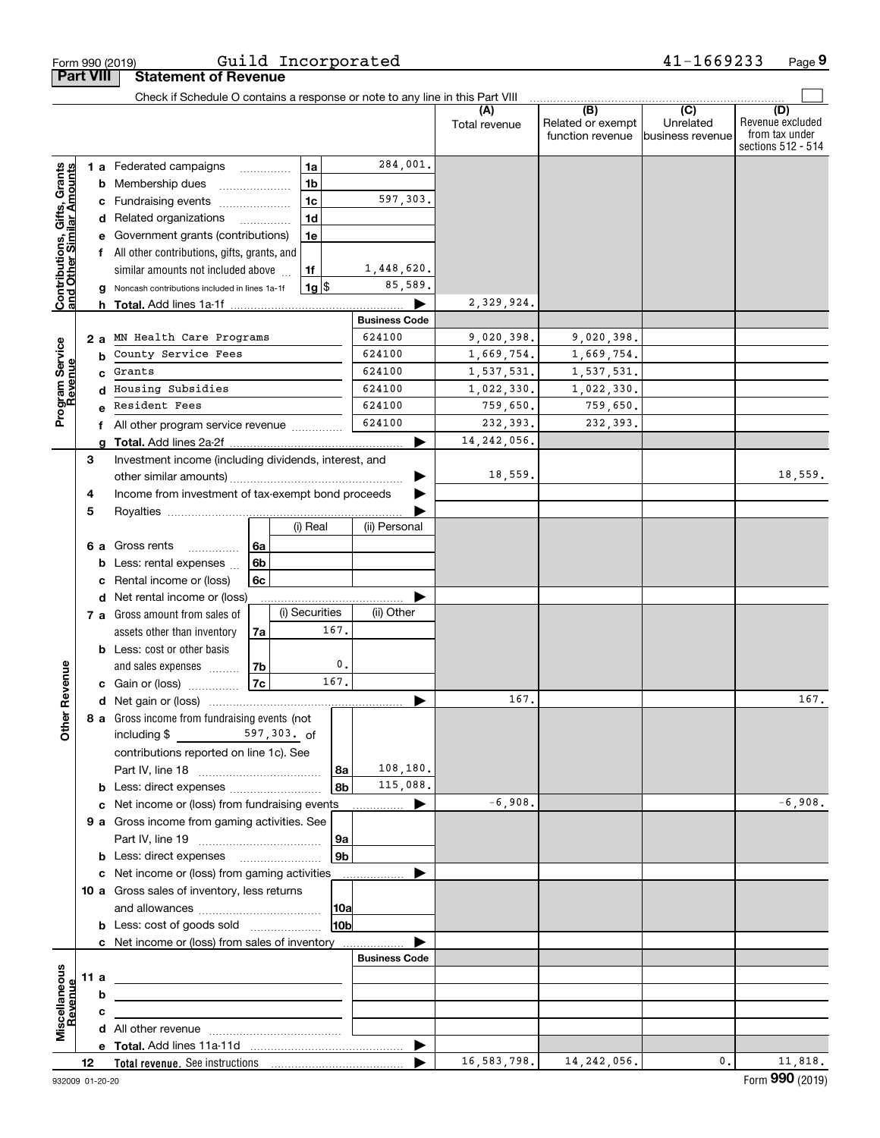|                                                           |                                 |      |                                                                                 |                          |             |                    | Check if Schedule O contains a response or note to any line in this Part VIII | (A)                      | (B)                                   | (C)                           | (D)                                                      |
|-----------------------------------------------------------|---------------------------------|------|---------------------------------------------------------------------------------|--------------------------|-------------|--------------------|-------------------------------------------------------------------------------|--------------------------|---------------------------------------|-------------------------------|----------------------------------------------------------|
|                                                           |                                 |      |                                                                                 |                          |             |                    |                                                                               | Total revenue            | Related or exempt<br>function revenue | Unrelated<br>business revenue | Revenue excluded<br>from tax under<br>sections 512 - 514 |
|                                                           |                                 |      | 1 a Federated campaigns                                                         |                          |             | 1a                 | 284,001.                                                                      |                          |                                       |                               |                                                          |
| Contributions, Gifts, Grants<br>and Other Similar Amounts |                                 |      | <b>b</b> Membership dues                                                        |                          |             | 1 <sub>b</sub>     |                                                                               |                          |                                       |                               |                                                          |
|                                                           |                                 |      | c Fundraising events                                                            |                          |             | 1 <sub>c</sub>     | 597,303.                                                                      |                          |                                       |                               |                                                          |
|                                                           |                                 |      | d Related organizations                                                         | $\overline{\phantom{a}}$ |             | 1 <sub>d</sub>     |                                                                               |                          |                                       |                               |                                                          |
|                                                           |                                 |      | e Government grants (contributions)                                             |                          |             | 1e                 |                                                                               |                          |                                       |                               |                                                          |
|                                                           |                                 |      | f All other contributions, gifts, grants, and                                   |                          |             |                    |                                                                               |                          |                                       |                               |                                                          |
|                                                           |                                 |      | similar amounts not included above                                              |                          |             | 1f                 | 1,448,620.                                                                    |                          |                                       |                               |                                                          |
|                                                           |                                 |      | g Noncash contributions included in lines 1a-1f                                 |                          |             | $1g$ $\frac{1}{3}$ | 85,589.                                                                       |                          |                                       |                               |                                                          |
|                                                           |                                 |      |                                                                                 |                          |             |                    |                                                                               | 2,329,924.               |                                       |                               |                                                          |
|                                                           |                                 |      | MN Health Care Programs                                                         |                          |             |                    | <b>Business Code</b><br>624100                                                |                          |                                       |                               |                                                          |
|                                                           |                                 | 2a   | County Service Fees                                                             |                          |             |                    | 624100                                                                        | 9,020,398.<br>1,669,754. | 9,020,398.<br>1,669,754.              |                               |                                                          |
|                                                           |                                 | b    | Grants                                                                          |                          |             |                    | 624100                                                                        | 1,537,531.               | 1,537,531.                            |                               |                                                          |
|                                                           |                                 |      | Housing Subsidies                                                               |                          |             |                    | 624100                                                                        | 1,022,330.               | 1,022,330.                            |                               |                                                          |
| Program Service<br>Revenue                                |                                 |      | e Resident Fees                                                                 |                          |             |                    | 624100                                                                        | 759,650.                 | 759,650.                              |                               |                                                          |
|                                                           |                                 |      | f All other program service revenue                                             |                          |             |                    | 624100                                                                        | 232,393.                 | 232,393.                              |                               |                                                          |
|                                                           |                                 | a    |                                                                                 |                          |             |                    |                                                                               | 14,242,056.              |                                       |                               |                                                          |
|                                                           | 3                               |      | Investment income (including dividends, interest, and                           |                          |             |                    |                                                                               |                          |                                       |                               |                                                          |
|                                                           |                                 |      |                                                                                 |                          |             |                    |                                                                               | 18,559.                  |                                       |                               | 18,559.                                                  |
|                                                           | 4                               |      | Income from investment of tax-exempt bond proceeds                              |                          |             |                    |                                                                               |                          |                                       |                               |                                                          |
|                                                           | 5                               |      |                                                                                 |                          |             |                    |                                                                               |                          |                                       |                               |                                                          |
|                                                           |                                 |      |                                                                                 |                          |             | (i) Real           | (ii) Personal                                                                 |                          |                                       |                               |                                                          |
|                                                           |                                 | 6а   | Gross rents<br>.                                                                | 6a                       |             |                    |                                                                               |                          |                                       |                               |                                                          |
|                                                           |                                 |      | <b>b</b> Less: rental expenses                                                  | 6b                       |             |                    |                                                                               |                          |                                       |                               |                                                          |
|                                                           | c Rental income or (loss)<br>6с |      |                                                                                 |                          |             |                    |                                                                               |                          |                                       |                               |                                                          |
|                                                           |                                 |      | d Net rental income or (loss)                                                   |                          |             |                    |                                                                               |                          |                                       |                               |                                                          |
|                                                           |                                 |      | 7 a Gross amount from sales of                                                  |                          |             | (i) Securities     | (ii) Other                                                                    |                          |                                       |                               |                                                          |
|                                                           |                                 |      | assets other than inventory                                                     | 7a                       |             | 167.               |                                                                               |                          |                                       |                               |                                                          |
|                                                           |                                 |      | <b>b</b> Less: cost or other basis                                              |                          |             |                    |                                                                               |                          |                                       |                               |                                                          |
|                                                           |                                 |      | and sales expenses                                                              | 7b                       |             | 167.               | 0.                                                                            |                          |                                       |                               |                                                          |
| Revenue                                                   |                                 |      | c Gain or (loss)                                                                | 7c                       |             |                    |                                                                               | 167.                     |                                       |                               | 167.                                                     |
|                                                           |                                 |      |                                                                                 |                          |             |                    |                                                                               |                          |                                       |                               |                                                          |
| Other                                                     |                                 |      | 8 a Gross income from fundraising events (not<br>including \$                   |                          |             |                    |                                                                               |                          |                                       |                               |                                                          |
|                                                           |                                 |      | contributions reported on line 1c). See                                         |                          | 597,303. of |                    |                                                                               |                          |                                       |                               |                                                          |
|                                                           |                                 |      |                                                                                 |                          |             |                    | 108,180.<br>l 8a                                                              |                          |                                       |                               |                                                          |
|                                                           |                                 |      |                                                                                 |                          |             |                    | 115,088.<br>8b                                                                |                          |                                       |                               |                                                          |
|                                                           |                                 |      |                                                                                 |                          |             |                    |                                                                               | $-6,908.$                |                                       |                               | $-6,908.$                                                |
|                                                           |                                 |      | 9 a Gross income from gaming activities. See                                    |                          |             |                    |                                                                               |                          |                                       |                               |                                                          |
|                                                           |                                 |      |                                                                                 |                          |             | 9a                 |                                                                               |                          |                                       |                               |                                                          |
|                                                           |                                 |      | <b>b</b> Less: direct expenses <b>manually</b>                                  |                          |             |                    | 9 <sub>b</sub>                                                                |                          |                                       |                               |                                                          |
|                                                           |                                 |      | c Net income or (loss) from gaming activities                                   |                          |             |                    | .                                                                             |                          |                                       |                               |                                                          |
|                                                           |                                 |      | 10 a Gross sales of inventory, less returns                                     |                          |             |                    |                                                                               |                          |                                       |                               |                                                          |
|                                                           |                                 |      |                                                                                 |                          |             |                    | 10a                                                                           |                          |                                       |                               |                                                          |
|                                                           |                                 |      | <b>b</b> Less: cost of goods sold                                               |                          |             |                    | 10ь                                                                           |                          |                                       |                               |                                                          |
|                                                           |                                 |      | c Net income or (loss) from sales of inventory                                  |                          |             |                    |                                                                               |                          |                                       |                               |                                                          |
|                                                           |                                 |      |                                                                                 |                          |             |                    | <b>Business Code</b>                                                          |                          |                                       |                               |                                                          |
| Miscellaneous                                             |                                 | 11 a | the contract of the contract of the contract of the contract of the contract of |                          |             |                    |                                                                               |                          |                                       |                               |                                                          |
|                                                           |                                 | b    |                                                                                 |                          |             |                    |                                                                               |                          |                                       |                               |                                                          |
| Revenue                                                   |                                 | с    |                                                                                 |                          |             |                    |                                                                               |                          |                                       |                               |                                                          |
|                                                           |                                 |      |                                                                                 |                          |             |                    |                                                                               |                          |                                       |                               |                                                          |
|                                                           |                                 |      |                                                                                 |                          |             |                    | ▶                                                                             |                          |                                       |                               |                                                          |
|                                                           |                                 |      |                                                                                 |                          |             |                    |                                                                               | 16,583,798.              | 14, 242, 056.                         | 0.                            | 11,818.                                                  |

Form 990 (2019) Guild Incorporated 41-1669233 Page

**9**

41-1669233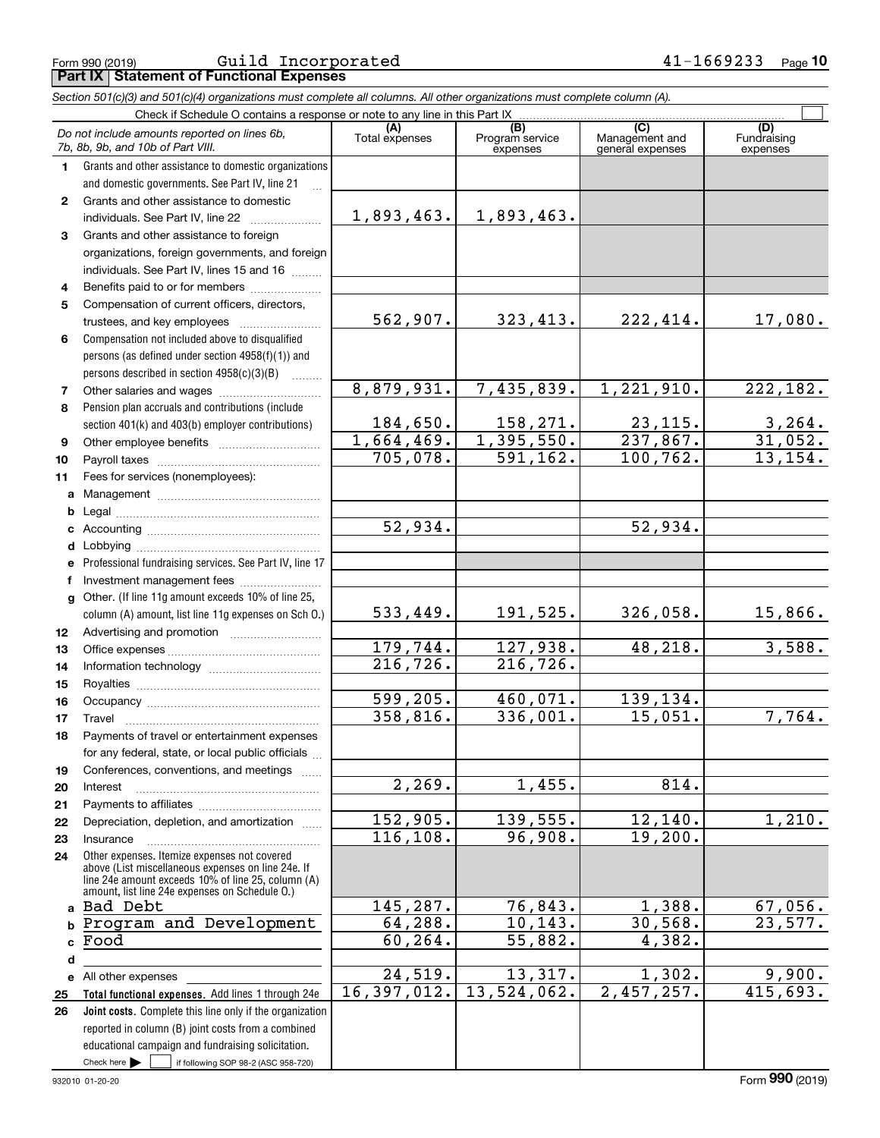*Section 501(c)(3) and 501(c)(4) organizations must complete all columns. All other organizations must complete column (A).*  $\overline{\phantom{a}}$ Check if Schedule O contain

|              | Check if Schedule O contains a response or note to any line in this Part IX                                                                              |                        |                                    |                                                      |                                           |
|--------------|----------------------------------------------------------------------------------------------------------------------------------------------------------|------------------------|------------------------------------|------------------------------------------------------|-------------------------------------------|
|              | Do not include amounts reported on lines 6b,<br>7b, 8b, 9b, and 10b of Part VIII.                                                                        | (A)<br>Total expenses  | (B)<br>Program service<br>expenses | $\overline{C}$<br>Management and<br>general expenses | (D)<br>Fundraising<br>expenses            |
| 1.           | Grants and other assistance to domestic organizations                                                                                                    |                        |                                    |                                                      |                                           |
|              | and domestic governments. See Part IV, line 21                                                                                                           |                        |                                    |                                                      |                                           |
| $\mathbf{2}$ | Grants and other assistance to domestic                                                                                                                  |                        |                                    |                                                      |                                           |
|              | individuals. See Part IV, line 22                                                                                                                        | 1,893,463.             | 1,893,463.                         |                                                      |                                           |
| 3            | Grants and other assistance to foreign                                                                                                                   |                        |                                    |                                                      |                                           |
|              | organizations, foreign governments, and foreign                                                                                                          |                        |                                    |                                                      |                                           |
|              | individuals. See Part IV, lines 15 and 16                                                                                                                |                        |                                    |                                                      |                                           |
| 4            | Benefits paid to or for members                                                                                                                          |                        |                                    |                                                      |                                           |
| 5            | Compensation of current officers, directors,                                                                                                             |                        |                                    |                                                      |                                           |
|              | trustees, and key employees                                                                                                                              | 562,907.               | 323,413.                           | 222,414.                                             | 17,080.                                   |
| 6            | Compensation not included above to disqualified                                                                                                          |                        |                                    |                                                      |                                           |
|              | persons (as defined under section 4958(f)(1)) and                                                                                                        |                        |                                    |                                                      |                                           |
|              | persons described in section $4958(c)(3)(B)$                                                                                                             |                        |                                    |                                                      |                                           |
| 7            |                                                                                                                                                          | 8,879,931.             | 7,435,839.                         | $\overline{1,221,910}$ .                             | 222,182.                                  |
| 8            | Pension plan accruals and contributions (include                                                                                                         |                        |                                    |                                                      |                                           |
|              | section 401(k) and 403(b) employer contributions)                                                                                                        | 184,650.<br>1,664,469. | $\frac{158,271}{1,395,550}$        | <u>23,115.</u><br>237,867.                           |                                           |
| 9            |                                                                                                                                                          | 705,078.               | 591, 162.                          | 100, 762.                                            | $\frac{3,264}{31,052}$<br>$\frac{31,154}$ |
| 10           |                                                                                                                                                          |                        |                                    |                                                      |                                           |
| 11           | Fees for services (nonemployees):                                                                                                                        |                        |                                    |                                                      |                                           |
| a            |                                                                                                                                                          |                        |                                    |                                                      |                                           |
| b<br>c       |                                                                                                                                                          | 52,934.                |                                    | 52,934.                                              |                                           |
| d            |                                                                                                                                                          |                        |                                    |                                                      |                                           |
|              | Professional fundraising services. See Part IV, line 17                                                                                                  |                        |                                    |                                                      |                                           |
| f            | Investment management fees                                                                                                                               |                        |                                    |                                                      |                                           |
| g            | Other. (If line 11g amount exceeds 10% of line 25,                                                                                                       |                        |                                    |                                                      |                                           |
|              | column (A) amount, list line 11g expenses on Sch O.)                                                                                                     | 533,449.               | 191,525.                           | 326,058.                                             | $15,866$ .                                |
| 12           |                                                                                                                                                          |                        |                                    |                                                      |                                           |
| 13           |                                                                                                                                                          | 179,744.               | 127,938.                           | 48,218.                                              | 3,588.                                    |
| 14           |                                                                                                                                                          | 216, 726.              | 216, 726.                          |                                                      |                                           |
| 15           |                                                                                                                                                          |                        |                                    |                                                      |                                           |
| 16           |                                                                                                                                                          | 599, 205.              | 460,071.                           | 139,134.                                             |                                           |
| 17           | Travel                                                                                                                                                   | 358,816.               | 336,001.                           | 15,051.                                              | 7,764.                                    |
| 18           | Payments of travel or entertainment expenses                                                                                                             |                        |                                    |                                                      |                                           |
|              | for any federal, state, or local public officials                                                                                                        |                        |                                    |                                                      |                                           |
| 19           | Conferences, conventions, and meetings                                                                                                                   |                        |                                    |                                                      |                                           |
| 20           | Interest                                                                                                                                                 | 2,269.                 | 1,455.                             | 814.                                                 |                                           |
| 21           |                                                                                                                                                          |                        |                                    |                                                      |                                           |
| 22           | Depreciation, depletion, and amortization                                                                                                                | 152,905.               | 139,555.                           | 12,140.                                              | 1,210.                                    |
| 23           | Insurance                                                                                                                                                | 116, 108.              | 96,908.                            | 19,200.                                              |                                           |
| 24           | Other expenses. Itemize expenses not covered<br>above (List miscellaneous expenses on line 24e. If<br>line 24e amount exceeds 10% of line 25, column (A) |                        |                                    |                                                      |                                           |
|              | amount, list line 24e expenses on Schedule O.)                                                                                                           |                        |                                    |                                                      |                                           |
| a            | Bad Debt                                                                                                                                                 | 145,287.               | 76,843.                            | 1,388.                                               | 67,056.<br>23,577.                        |
|              | Program and Development<br>Food                                                                                                                          | 64,288.<br>60,264.     | 10, 143.<br>55,882.                | 30,568.<br>4,382.                                    |                                           |
| C            |                                                                                                                                                          |                        |                                    |                                                      |                                           |
| d            | e All other expenses                                                                                                                                     | 24,519.                | 13,317.                            | 1,302.                                               | 9,900.                                    |
| 25           | Total functional expenses. Add lines 1 through 24e                                                                                                       | 16,397,012.            | 13,524,062.                        | 2,457,257.                                           | 415,693.                                  |
| 26           | Joint costs. Complete this line only if the organization                                                                                                 |                        |                                    |                                                      |                                           |
|              | reported in column (B) joint costs from a combined                                                                                                       |                        |                                    |                                                      |                                           |
|              | educational campaign and fundraising solicitation.                                                                                                       |                        |                                    |                                                      |                                           |
|              | Check here $\blacktriangleright$<br>if following SOP 98-2 (ASC 958-720)                                                                                  |                        |                                    |                                                      |                                           |

 $\overline{\phantom{1}}$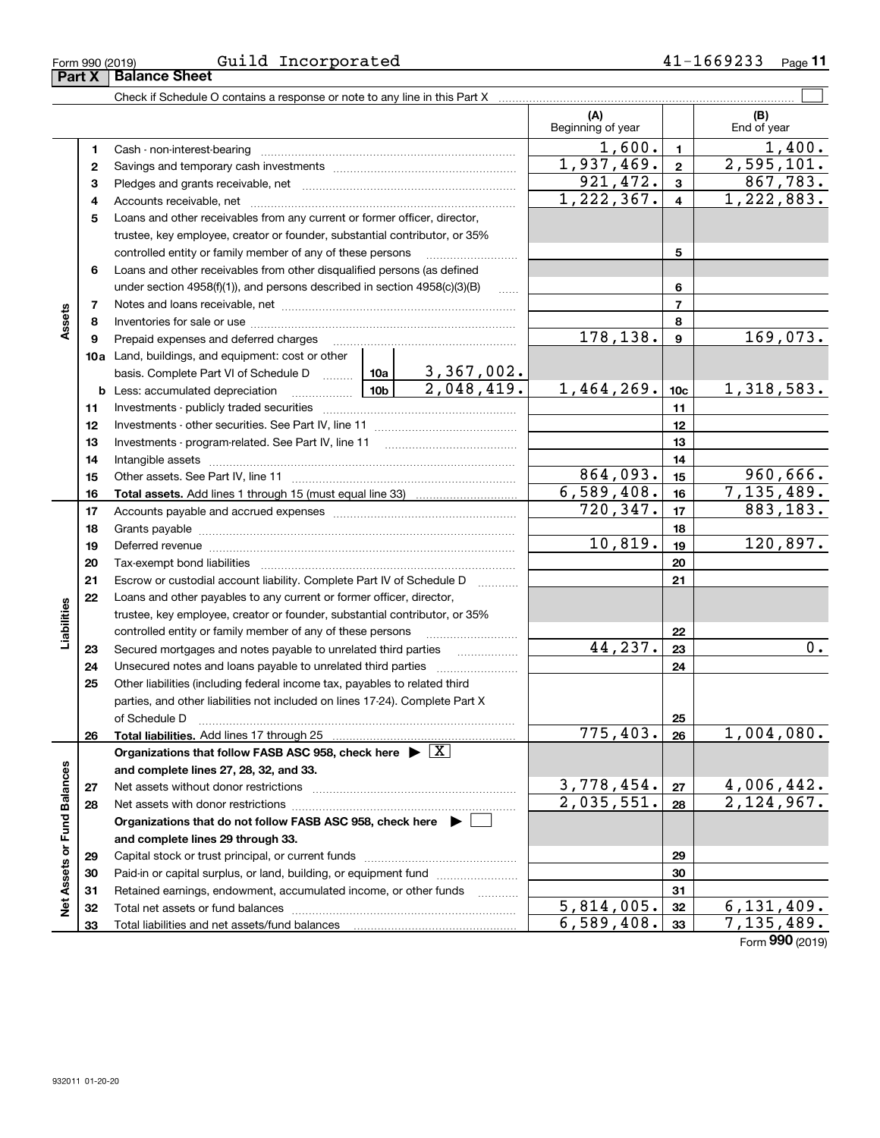|                         | Guild Incorporated<br>90 (2019)                                               |                          |              | 41-1669233<br>$P\epsilon$ |
|-------------------------|-------------------------------------------------------------------------------|--------------------------|--------------|---------------------------|
| $\overline{\mathsf{x}}$ | <b>Balance Sheet</b>                                                          |                          |              |                           |
|                         | Check if Schedule O contains a response or note to any line in this Part X    |                          |              |                           |
|                         |                                                                               | (A)<br>Beginning of year |              | (B)<br>End of year        |
| 1.                      | Cash - non-interest-bearing                                                   | 1,600.                   | 1.           | 1,4                       |
| $\mathbf{2}$            |                                                                               | 1,937,469.               | $\mathbf{2}$ | 2,595,1                   |
| 3                       |                                                                               | 921,472.                 | 3            | 867,7                     |
| 4                       | Accounts receivable, net                                                      | 1,222,367.               | 4            | 1,222,8                   |
| 5                       | Loans and other receivables from any current or former officer, director,     |                          |              |                           |
|                         | trustee, key employee, creator or founder, substantial contributor, or 35%    |                          |              |                           |
|                         | controlled entity or family member of any of these persons                    |                          | 5            |                           |
| 6                       | Loans and other receivables from other disqualified persons (as defined       |                          |              |                           |
|                         | under section $4958(f)(1)$ , and persons described in section $4958(c)(3)(B)$ |                          | 6            |                           |
| 7                       |                                                                               |                          | 7            |                           |
| 8                       | Inventories for sale or use                                                   |                          | 8            |                           |

3,367,002.

 $\mathcal{L}^{\text{max}}$ 

1,600. 1,400.

1,222,367. 1,222,883. 867,783.

883,183.

595,101.

**9**

 $178, 138.$  9  $169, 073.$ 

 $864,093.$  15 960,666.  $\frac{6,589,408.}{720,347.}$   $\frac{16}{17}$   $\frac{7,135,489.}{883,183.}$ 

10,819. 19 120,897.

 $44,237.$  |  $23$  |  $0.$ 

 $775,403.$  26 1,004,080.

2,048,419. 1,464,269. 1,318,583.

**222324**

**2526**

**2728**

 $\frac{3,778,454.$  27  $\boxed{4,006,442.}$ <br>2,035,551. 28  $\boxed{2,124,967.}$ 

5,814,005. 32 6,131,409.<br>6,589,408. 33 7,135,489.

Form (2019) **990**6,589,408. 7,135,489.

2,124,967.

Form 990 (2019) **Part X Balance** 

**789**

**Assets**

**232425**

**Liabilities**

iabilities

**26**

**2728**

**Net Assets or Fund Balances**

ğ

Assets or Fund Balances

**10a**Land, buildings, and equipment: cost or other

**Total liabilities.** 

**and complete lines 27, 28, 32, and 33.**

**and complete lines 29 through 33.**

Total liabilities and net assets/fund balances ...

**Organizations that follow FASB ASC 958, check here** Add lines 17 through 25 | X

Net assets without donor restrictions ~~~~~~~~~~~~~~~~~~~~ Net assets with donor restrictions ~~~~~~~~~~~~~~~~~~~~~~

Capital stock or trust principal, or current funds ~~~~~~~~~~~~~~~Paid-in or capital surplus, or land, building, or equipment fund Retained earnings, endowment, accumulated income, or other funds www.com Total net assets or fund balances ~~~~~~~~~~~~~~~~~~~~~~

Prepaid expenses and deferred charges ~~~~~~~~~~~~~~~~~~

Investments - publicly traded securities ~~~~~~~~~~~~~~~~~~~ Investments - other securities. See Part IV, line 11 ~~~~~~~~~~~~~~ Investments - program-related. See Part IV, line 11 ~~~~~~~~~~~~~Intangible assets …………………………………………………………………………………… Other assets. See Part IV, line 11 ~~~~~~~~~~~~~~~~~~~~~~ Add lines 1 through 15 (must equal line 33) Accounts payable and accrued expenses ~~~~~~~~~~~~~~~~~~ Grants payable ~~~~~~~~~~~~~~~~~~~~~~~~~~~~~~~ Deferred revenue ~~~~~~~~~~~~~~~~~~~~~~~~~~~~~~ Tax-exempt bond liabilities …………………………………………………………… Escrow or custodial account liability. Complete Part IV of Schedule D

**Organizations that do not follow FASB ASC 958, check here** |

**b** Less: accumulated depreciation  $\ldots$  **10b** basis. Complete Part VI of Schedule D will aller

**Total assets.** Add lines 1 through 15 (must equal line 33)

Loans and other payables to any current or former officer, director, trustee, key employee, creator or founder, substantial contributor, or 35% controlled entity or family member of any of these persons ~~~~~~~~~Secured mortgages and notes payable to unrelated third parties  $\ldots$ Unsecured notes and loans payable to unrelated third parties  $\ldots$ Other liabilities (including federal income tax, payables to related third parties, and other liabilities not included on lines 17-24). Complete Part X of Schedule D ~~~~~~~~~~~~~~~~~~~~~~~~~~~~~~~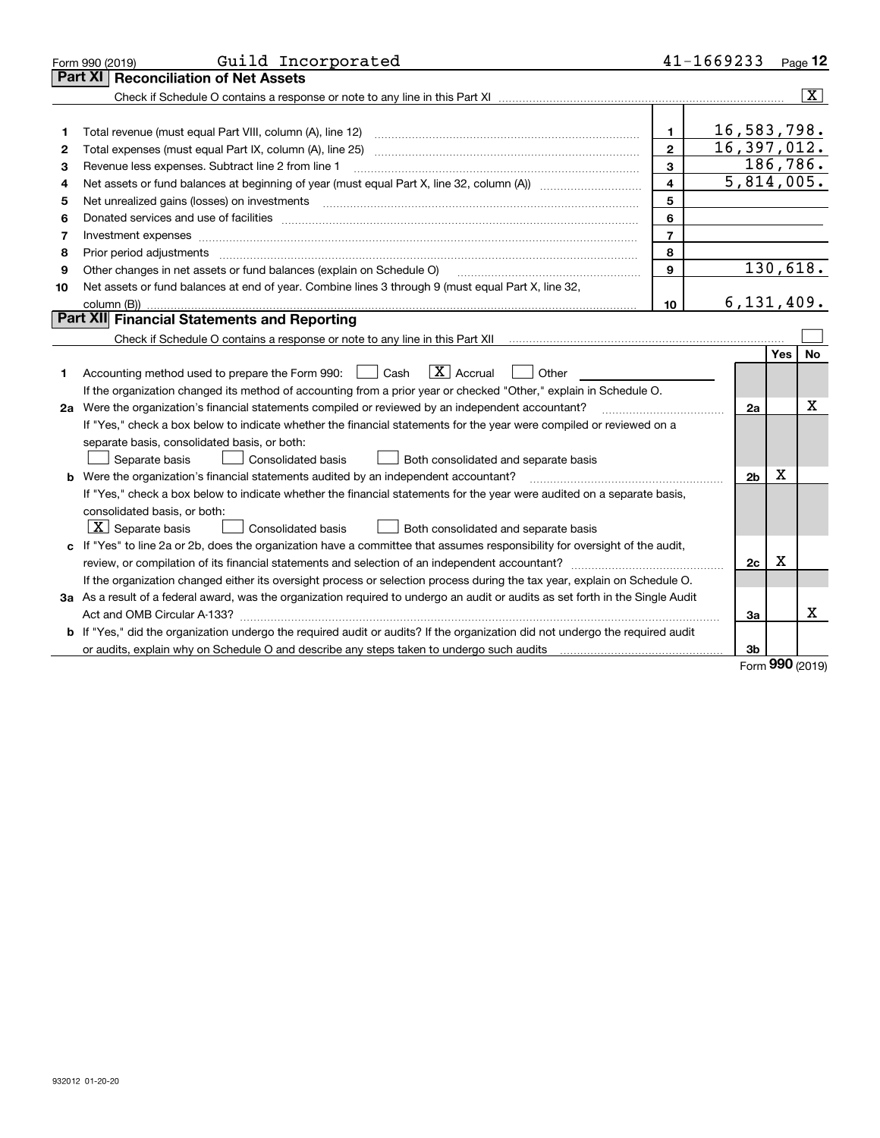|    | Guild Incorporated<br>Form 990 (2019)                                                                                                                                                                                          |                         | 41-1669233     |            | Page $12$               |
|----|--------------------------------------------------------------------------------------------------------------------------------------------------------------------------------------------------------------------------------|-------------------------|----------------|------------|-------------------------|
|    | Part XI<br><b>Reconciliation of Net Assets</b>                                                                                                                                                                                 |                         |                |            |                         |
|    |                                                                                                                                                                                                                                |                         |                |            | $\overline{\mathbf{x}}$ |
|    |                                                                                                                                                                                                                                |                         |                |            |                         |
| 1  |                                                                                                                                                                                                                                | 1                       | 16,583,798.    |            |                         |
| 2  | Total expenses (must equal Part IX, column (A), line 25)                                                                                                                                                                       | $\mathbf{2}$            | 16,397,012.    |            |                         |
| З  | Revenue less expenses. Subtract line 2 from line 1                                                                                                                                                                             | 3                       |                |            | 186,786.                |
| 4  |                                                                                                                                                                                                                                | $\overline{\mathbf{4}}$ | 5,814,005.     |            |                         |
| 5  |                                                                                                                                                                                                                                | 5                       |                |            |                         |
| 6  | Donated services and use of facilities [111] matter contracts and the service of facilities [11] matter contracts and use of facilities [11] matter contracts and the service of facilities [11] matter contracts and the serv | 6                       |                |            |                         |
| 7  | Investment expenses www.communication.com/www.communication.com/www.communication.com/www.com                                                                                                                                  | $\overline{7}$          |                |            |                         |
| 8  | Prior period adjustments material contents and content of the content of the content of the content of the content of the content of the content of the content of the content of the content of the content of the content of | 8                       |                |            |                         |
| 9  | Other changes in net assets or fund balances (explain on Schedule O)                                                                                                                                                           | 9                       |                |            | 130,618.                |
| 10 | Net assets or fund balances at end of year. Combine lines 3 through 9 (must equal Part X, line 32,                                                                                                                             |                         |                |            |                         |
|    |                                                                                                                                                                                                                                | 10                      | 6, 131, 409.   |            |                         |
|    | Part XII Financial Statements and Reporting                                                                                                                                                                                    |                         |                |            |                         |
|    |                                                                                                                                                                                                                                |                         |                |            |                         |
|    |                                                                                                                                                                                                                                |                         |                | <b>Yes</b> | No                      |
| 1  | $\boxed{\mathbf{X}}$ Accrual<br>Accounting method used to prepare the Form 990: <u>June</u> Cash<br>Other                                                                                                                      |                         |                |            |                         |
|    | If the organization changed its method of accounting from a prior year or checked "Other," explain in Schedule O.                                                                                                              |                         |                |            |                         |
|    | 2a Were the organization's financial statements compiled or reviewed by an independent accountant?                                                                                                                             |                         | 2a             |            | x                       |
|    | If "Yes," check a box below to indicate whether the financial statements for the year were compiled or reviewed on a                                                                                                           |                         |                |            |                         |
|    | separate basis, consolidated basis, or both:                                                                                                                                                                                   |                         |                |            |                         |
|    | Separate basis<br>Both consolidated and separate basis<br>Consolidated basis                                                                                                                                                   |                         |                |            |                         |
|    | <b>b</b> Were the organization's financial statements audited by an independent accountant?                                                                                                                                    |                         | 2 <sub>b</sub> | х          |                         |
|    | If "Yes," check a box below to indicate whether the financial statements for the year were audited on a separate basis,                                                                                                        |                         |                |            |                         |
|    | consolidated basis, or both:                                                                                                                                                                                                   |                         |                |            |                         |
|    | $X$ Separate basis<br><b>Consolidated basis</b><br>Both consolidated and separate basis                                                                                                                                        |                         |                |            |                         |
|    | c If "Yes" to line 2a or 2b, does the organization have a committee that assumes responsibility for oversight of the audit,                                                                                                    |                         |                |            |                         |
|    |                                                                                                                                                                                                                                |                         | 2c             | х          |                         |
|    | If the organization changed either its oversight process or selection process during the tax year, explain on Schedule O.                                                                                                      |                         |                |            |                         |
|    | 3a As a result of a federal award, was the organization required to undergo an audit or audits as set forth in the Single Audit                                                                                                |                         |                |            |                         |
|    |                                                                                                                                                                                                                                |                         | За             |            | х                       |
|    | b If "Yes," did the organization undergo the required audit or audits? If the organization did not undergo the required audit                                                                                                  |                         |                |            |                         |
|    |                                                                                                                                                                                                                                |                         | 3 <sub>b</sub> |            |                         |

Form (2019) **990**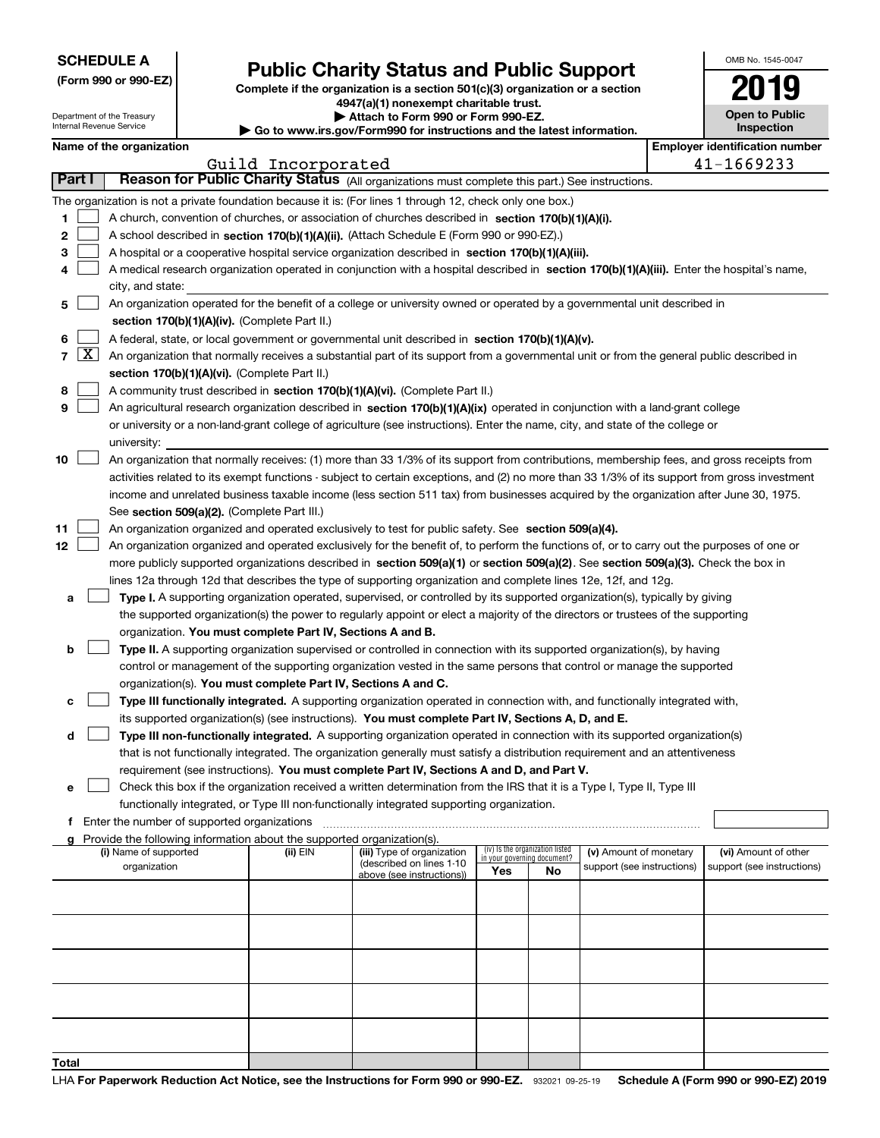| <b>SCHEDULE A</b> |
|-------------------|
|-------------------|

**(Form 990 or 990-EZ)**

# **Public Charity Status and Public Support**

**Complete if the organization is a section 501(c)(3) organization or a section 4947(a)(1) nonexempt charitable trust. | Attach to Form 990 or Form 990-EZ.** 

| $\blacksquare$                                                           |
|--------------------------------------------------------------------------|
| ▶ Go to www.irs.gov/Form990 for instructions and the latest information. |
|                                                                          |

| 2019                                |  |
|-------------------------------------|--|
| <b>Open to Public</b><br>Inspection |  |

OMB No. 1545-0047

Department of the Treasury Internal Revenue Service

|       |            | Name of the organization                                                                                                                      |                    |                                                        |                             |                                 |                            | <b>Employer identification number</b> |
|-------|------------|-----------------------------------------------------------------------------------------------------------------------------------------------|--------------------|--------------------------------------------------------|-----------------------------|---------------------------------|----------------------------|---------------------------------------|
|       |            |                                                                                                                                               | Guild Incorporated |                                                        |                             |                                 |                            | 41-1669233                            |
|       | Part I     | Reason for Public Charity Status (All organizations must complete this part.) See instructions.                                               |                    |                                                        |                             |                                 |                            |                                       |
|       |            | The organization is not a private foundation because it is: (For lines 1 through 12, check only one box.)                                     |                    |                                                        |                             |                                 |                            |                                       |
| 1     |            | A church, convention of churches, or association of churches described in section 170(b)(1)(A)(i).                                            |                    |                                                        |                             |                                 |                            |                                       |
| 2     |            | A school described in section 170(b)(1)(A)(ii). (Attach Schedule E (Form 990 or 990-EZ).)                                                     |                    |                                                        |                             |                                 |                            |                                       |
| 3     |            | A hospital or a cooperative hospital service organization described in section 170(b)(1)(A)(iii).                                             |                    |                                                        |                             |                                 |                            |                                       |
| 4     |            | A medical research organization operated in conjunction with a hospital described in section 170(b)(1)(A)(iii). Enter the hospital's name,    |                    |                                                        |                             |                                 |                            |                                       |
|       |            | city, and state:                                                                                                                              |                    |                                                        |                             |                                 |                            |                                       |
| 5     |            | An organization operated for the benefit of a college or university owned or operated by a governmental unit described in                     |                    |                                                        |                             |                                 |                            |                                       |
|       |            | section 170(b)(1)(A)(iv). (Complete Part II.)                                                                                                 |                    |                                                        |                             |                                 |                            |                                       |
| 6     |            | A federal, state, or local government or governmental unit described in section 170(b)(1)(A)(v).                                              |                    |                                                        |                             |                                 |                            |                                       |
|       | $7 \times$ | An organization that normally receives a substantial part of its support from a governmental unit or from the general public described in     |                    |                                                        |                             |                                 |                            |                                       |
|       |            | section 170(b)(1)(A)(vi). (Complete Part II.)                                                                                                 |                    |                                                        |                             |                                 |                            |                                       |
| 8     |            | A community trust described in section 170(b)(1)(A)(vi). (Complete Part II.)                                                                  |                    |                                                        |                             |                                 |                            |                                       |
| 9     |            | An agricultural research organization described in section 170(b)(1)(A)(ix) operated in conjunction with a land-grant college                 |                    |                                                        |                             |                                 |                            |                                       |
|       |            | or university or a non-land-grant college of agriculture (see instructions). Enter the name, city, and state of the college or                |                    |                                                        |                             |                                 |                            |                                       |
|       |            | university:                                                                                                                                   |                    |                                                        |                             |                                 |                            |                                       |
| 10    |            | An organization that normally receives: (1) more than 33 1/3% of its support from contributions, membership fees, and gross receipts from     |                    |                                                        |                             |                                 |                            |                                       |
|       |            | activities related to its exempt functions - subject to certain exceptions, and (2) no more than 33 1/3% of its support from gross investment |                    |                                                        |                             |                                 |                            |                                       |
|       |            | income and unrelated business taxable income (less section 511 tax) from businesses acquired by the organization after June 30, 1975.         |                    |                                                        |                             |                                 |                            |                                       |
|       |            | See section 509(a)(2). (Complete Part III.)                                                                                                   |                    |                                                        |                             |                                 |                            |                                       |
| 11    |            | An organization organized and operated exclusively to test for public safety. See section 509(a)(4).                                          |                    |                                                        |                             |                                 |                            |                                       |
| 12    |            | An organization organized and operated exclusively for the benefit of, to perform the functions of, or to carry out the purposes of one or    |                    |                                                        |                             |                                 |                            |                                       |
|       |            | more publicly supported organizations described in section 509(a)(1) or section 509(a)(2). See section 509(a)(3). Check the box in            |                    |                                                        |                             |                                 |                            |                                       |
|       |            | lines 12a through 12d that describes the type of supporting organization and complete lines 12e, 12f, and 12g.                                |                    |                                                        |                             |                                 |                            |                                       |
| а     |            | Type I. A supporting organization operated, supervised, or controlled by its supported organization(s), typically by giving                   |                    |                                                        |                             |                                 |                            |                                       |
|       |            | the supported organization(s) the power to regularly appoint or elect a majority of the directors or trustees of the supporting               |                    |                                                        |                             |                                 |                            |                                       |
|       |            | organization. You must complete Part IV, Sections A and B.                                                                                    |                    |                                                        |                             |                                 |                            |                                       |
| b     |            | Type II. A supporting organization supervised or controlled in connection with its supported organization(s), by having                       |                    |                                                        |                             |                                 |                            |                                       |
|       |            | control or management of the supporting organization vested in the same persons that control or manage the supported                          |                    |                                                        |                             |                                 |                            |                                       |
|       |            | organization(s). You must complete Part IV, Sections A and C.                                                                                 |                    |                                                        |                             |                                 |                            |                                       |
| с     |            | Type III functionally integrated. A supporting organization operated in connection with, and functionally integrated with,                    |                    |                                                        |                             |                                 |                            |                                       |
|       |            | its supported organization(s) (see instructions). You must complete Part IV, Sections A, D, and E.                                            |                    |                                                        |                             |                                 |                            |                                       |
| d     |            | Type III non-functionally integrated. A supporting organization operated in connection with its supported organization(s)                     |                    |                                                        |                             |                                 |                            |                                       |
|       |            | that is not functionally integrated. The organization generally must satisfy a distribution requirement and an attentiveness                  |                    |                                                        |                             |                                 |                            |                                       |
|       |            | requirement (see instructions). You must complete Part IV, Sections A and D, and Part V.                                                      |                    |                                                        |                             |                                 |                            |                                       |
|       |            | Check this box if the organization received a written determination from the IRS that it is a Type I, Type II, Type III                       |                    |                                                        |                             |                                 |                            |                                       |
|       |            | functionally integrated, or Type III non-functionally integrated supporting organization.                                                     |                    |                                                        |                             |                                 |                            |                                       |
|       |            | <b>f</b> Enter the number of supported organizations                                                                                          |                    |                                                        |                             |                                 |                            |                                       |
|       |            | g Provide the following information about the supported organization(s).                                                                      |                    |                                                        |                             |                                 |                            |                                       |
|       |            | (i) Name of supported                                                                                                                         | (ii) EIN           | (iii) Type of organization<br>(described on lines 1-10 | in your governing document? | (iv) Is the organization listed | (v) Amount of monetary     | (vi) Amount of other                  |
|       |            | organization                                                                                                                                  |                    | above (see instructions))                              | Yes                         | No                              | support (see instructions) | support (see instructions)            |
|       |            |                                                                                                                                               |                    |                                                        |                             |                                 |                            |                                       |
|       |            |                                                                                                                                               |                    |                                                        |                             |                                 |                            |                                       |
|       |            |                                                                                                                                               |                    |                                                        |                             |                                 |                            |                                       |
|       |            |                                                                                                                                               |                    |                                                        |                             |                                 |                            |                                       |
|       |            |                                                                                                                                               |                    |                                                        |                             |                                 |                            |                                       |
|       |            |                                                                                                                                               |                    |                                                        |                             |                                 |                            |                                       |
|       |            |                                                                                                                                               |                    |                                                        |                             |                                 |                            |                                       |
|       |            |                                                                                                                                               |                    |                                                        |                             |                                 |                            |                                       |
|       |            |                                                                                                                                               |                    |                                                        |                             |                                 |                            |                                       |
|       |            |                                                                                                                                               |                    |                                                        |                             |                                 |                            |                                       |
| Total |            |                                                                                                                                               |                    |                                                        |                             |                                 |                            |                                       |
|       |            | LHA For Paperwork Reduction Act Notice, see the Instructions for Form 990 or 990-EZ. 932021 09-25-19                                          |                    |                                                        |                             |                                 |                            | Schedule A (Form 990 or 990-EZ) 2019  |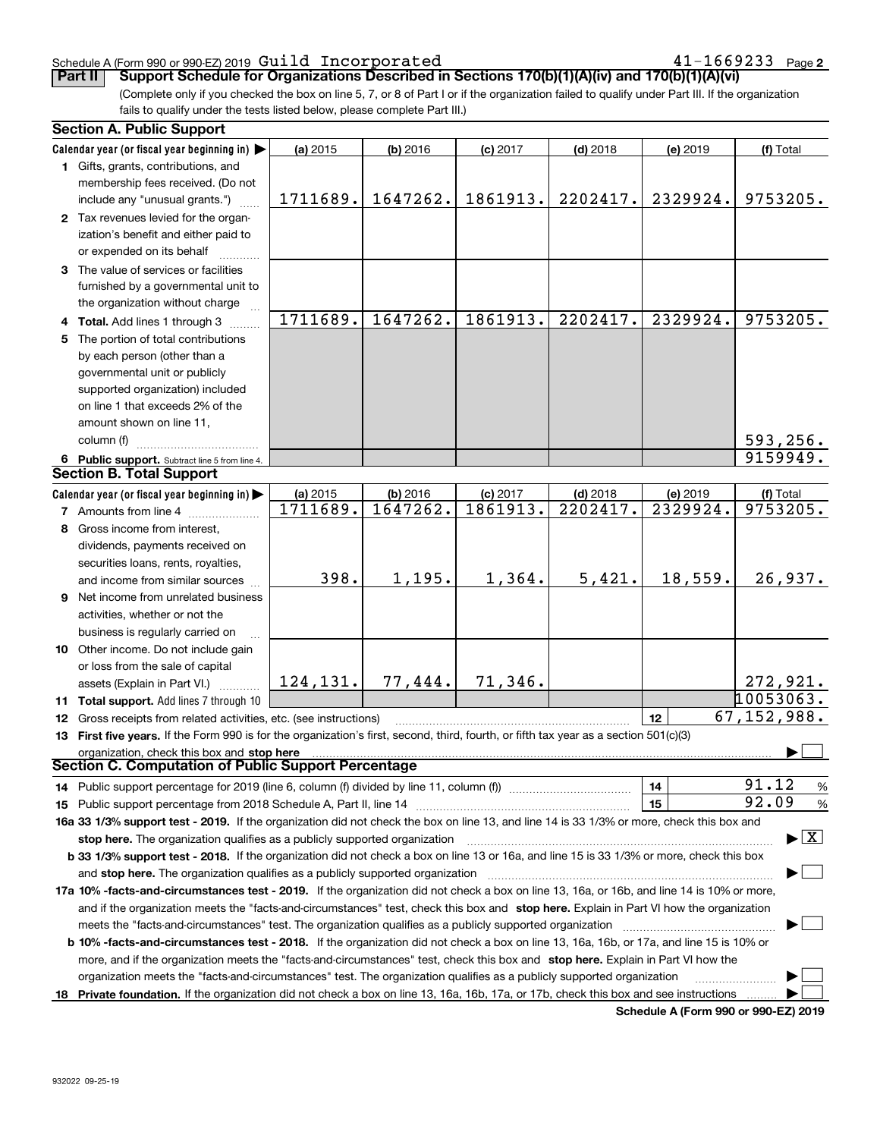#### Schedule A (Form 990 or 990-EZ) 2019  ${\color{red}{\rm Guild}}$  . Incorporated  ${\color{red}{\rm Quilb}}$  and  ${\color{red}{\rm Quilb}}$  and  ${\color{red}{\rm Quilb}}$  and  ${\color{red}{\rm Quilb}}$

**2**

(Complete only if you checked the box on line 5, 7, or 8 of Part I or if the organization failed to qualify under Part III. If the organization fails to qualify under the tests listed below, please complete Part III.) **Part II Comport Schedule for Organizations Described in Sections 170(b)(1)(A)(iv) and 170(b)(1)(A)(vi)** 

| <b>Section A. Public Support</b>                                                                                                           |          |          |            |            |                                             |                                         |
|--------------------------------------------------------------------------------------------------------------------------------------------|----------|----------|------------|------------|---------------------------------------------|-----------------------------------------|
| Calendar year (or fiscal year beginning in)                                                                                                | (a) 2015 | (b) 2016 | $(c)$ 2017 | $(d)$ 2018 | (e) 2019                                    | (f) Total                               |
| 1 Gifts, grants, contributions, and                                                                                                        |          |          |            |            |                                             |                                         |
| membership fees received. (Do not                                                                                                          |          |          |            |            |                                             |                                         |
| include any "unusual grants.")                                                                                                             | 1711689. | 1647262. | 1861913.   | 2202417.   | 2329924.                                    | 9753205.                                |
| 2 Tax revenues levied for the organ-                                                                                                       |          |          |            |            |                                             |                                         |
| ization's benefit and either paid to                                                                                                       |          |          |            |            |                                             |                                         |
| or expended on its behalf                                                                                                                  |          |          |            |            |                                             |                                         |
| 3 The value of services or facilities                                                                                                      |          |          |            |            |                                             |                                         |
| furnished by a governmental unit to                                                                                                        |          |          |            |            |                                             |                                         |
| the organization without charge                                                                                                            |          |          |            |            |                                             |                                         |
| 4 Total. Add lines 1 through 3                                                                                                             | 1711689. | 1647262. | 1861913.   | 2202417.   | 2329924.                                    | 9753205.                                |
| 5 The portion of total contributions                                                                                                       |          |          |            |            |                                             |                                         |
| by each person (other than a                                                                                                               |          |          |            |            |                                             |                                         |
| governmental unit or publicly                                                                                                              |          |          |            |            |                                             |                                         |
| supported organization) included                                                                                                           |          |          |            |            |                                             |                                         |
| on line 1 that exceeds 2% of the                                                                                                           |          |          |            |            |                                             |                                         |
| amount shown on line 11,                                                                                                                   |          |          |            |            |                                             |                                         |
| column (f)                                                                                                                                 |          |          |            |            |                                             | 593,256.                                |
| 6 Public support. Subtract line 5 from line 4.                                                                                             |          |          |            |            |                                             | 9159949.                                |
| <b>Section B. Total Support</b>                                                                                                            |          |          |            |            |                                             |                                         |
| Calendar year (or fiscal year beginning in)                                                                                                | (a) 2015 | (b) 2016 | $(c)$ 2017 | $(d)$ 2018 | (e) 2019                                    | (f) Total                               |
| <b>7</b> Amounts from line 4                                                                                                               | 1711689. | 1647262. | 1861913.   | 2202417.   | 2329924.                                    | 9753205.                                |
| 8 Gross income from interest,                                                                                                              |          |          |            |            |                                             |                                         |
| dividends, payments received on                                                                                                            |          |          |            |            |                                             |                                         |
| securities loans, rents, royalties,                                                                                                        |          |          |            |            |                                             |                                         |
| and income from similar sources                                                                                                            | 398.     | 1,195.   | 1,364.     | 5,421.     | 18,559.                                     | 26,937.                                 |
| 9 Net income from unrelated business                                                                                                       |          |          |            |            |                                             |                                         |
| activities, whether or not the                                                                                                             |          |          |            |            |                                             |                                         |
| business is regularly carried on                                                                                                           |          |          |            |            |                                             |                                         |
| 10 Other income. Do not include gain                                                                                                       |          |          |            |            |                                             |                                         |
| or loss from the sale of capital                                                                                                           |          |          |            |            |                                             |                                         |
| assets (Explain in Part VI.)                                                                                                               | 124,131. | 77,444.  | 71,346.    |            |                                             | 272,921.                                |
| 11 Total support. Add lines 7 through 10                                                                                                   |          |          |            |            |                                             | 10053063.                               |
| 12 Gross receipts from related activities, etc. (see instructions)                                                                         |          |          |            |            | 12                                          | 67, 152, 988.                           |
| 13 First five years. If the Form 990 is for the organization's first, second, third, fourth, or fifth tax year as a section 501(c)(3)      |          |          |            |            |                                             |                                         |
| organization, check this box and stop here                                                                                                 |          |          |            |            |                                             |                                         |
| <b>Section C. Computation of Public Support Percentage</b>                                                                                 |          |          |            |            |                                             |                                         |
| 14 Public support percentage for 2019 (line 6, column (f) divided by line 11, column (f) <i>manumanomeron</i>                              |          |          |            |            | 14                                          | 91.12<br>%                              |
|                                                                                                                                            |          |          |            |            | 15                                          | 92.09<br>$\%$                           |
| 16a 33 1/3% support test - 2019. If the organization did not check the box on line 13, and line 14 is 33 1/3% or more, check this box and  |          |          |            |            |                                             |                                         |
| stop here. The organization qualifies as a publicly supported organization                                                                 |          |          |            |            |                                             | $\blacktriangleright$ $\vert$ X $\vert$ |
| b 33 1/3% support test - 2018. If the organization did not check a box on line 13 or 16a, and line 15 is 33 1/3% or more, check this box   |          |          |            |            |                                             |                                         |
| and stop here. The organization qualifies as a publicly supported organization                                                             |          |          |            |            |                                             |                                         |
| 17a 10% -facts-and-circumstances test - 2019. If the organization did not check a box on line 13, 16a, or 16b, and line 14 is 10% or more, |          |          |            |            |                                             |                                         |
| and if the organization meets the "facts-and-circumstances" test, check this box and stop here. Explain in Part VI how the organization    |          |          |            |            |                                             |                                         |
| meets the "facts-and-circumstances" test. The organization qualifies as a publicly supported organization <i>manumumumumumum</i>           |          |          |            |            |                                             |                                         |
| b 10% -facts-and-circumstances test - 2018. If the organization did not check a box on line 13, 16a, 16b, or 17a, and line 15 is 10% or    |          |          |            |            |                                             |                                         |
| more, and if the organization meets the "facts-and-circumstances" test, check this box and stop here. Explain in Part VI how the           |          |          |            |            |                                             |                                         |
| organization meets the "facts-and-circumstances" test. The organization qualifies as a publicly supported organization                     |          |          |            |            |                                             |                                         |
| 18 Private foundation. If the organization did not check a box on line 13, 16a, 16b, 17a, or 17b, check this box and see instructions      |          |          |            |            |                                             |                                         |
|                                                                                                                                            |          |          |            |            | <b>Cohodulo A (Form 000 or 000 EZ) 2010</b> |                                         |

**Schedule A (Form 990 or 990-EZ) 2019**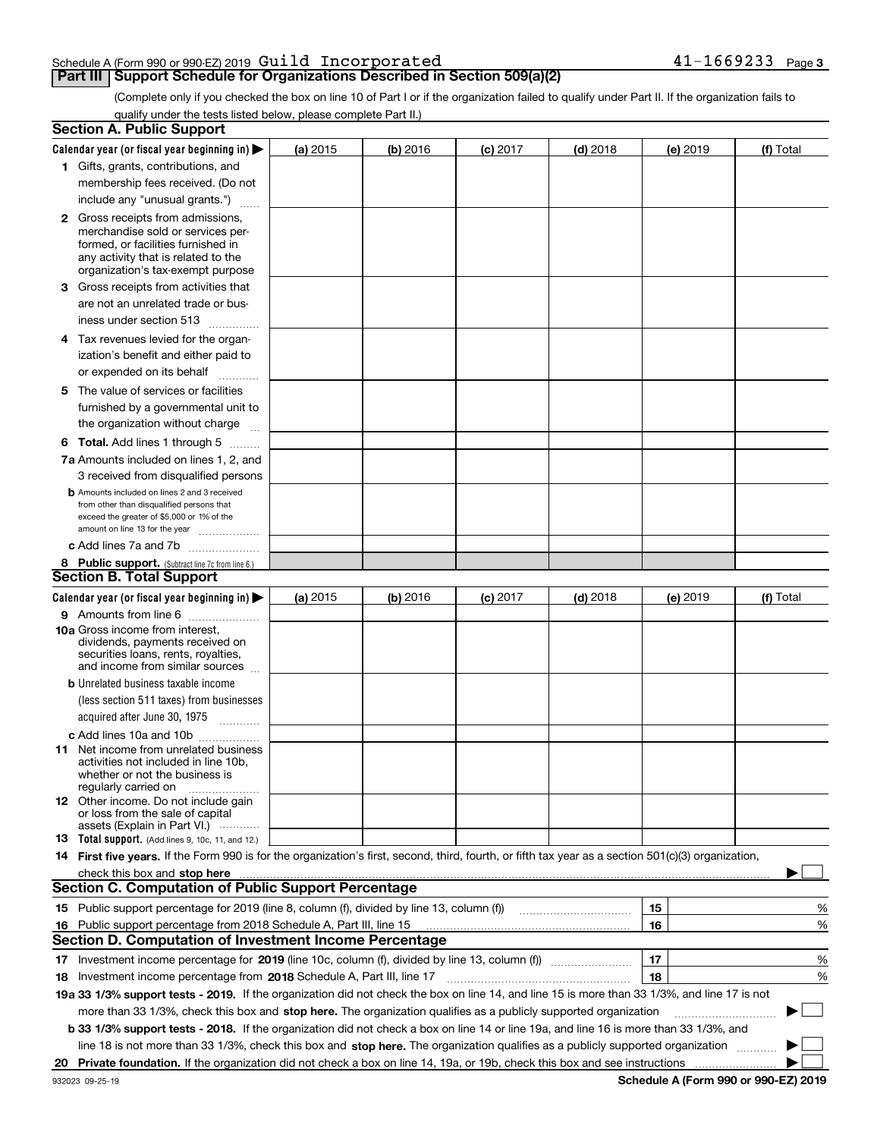#### Schedule A (Form 990 or 990-EZ) 2019  ${\color{red}{\rm Guild}}$  . Incorporated  ${\color{red}{\rm Quilb}}$  and  ${\color{red}{\rm Quilb}}$  and  ${\color{red}{\rm Quilb}}$  and  ${\color{red}{\rm Quilb}}$

#### **Part III** | Support Schedule for Organizations Described in Section 509(a)(2)

**3**

(Complete only if you checked the box on line 10 of Part I or if the organization failed to qualify under Part II. If the organization fails to qualify under the tests listed below, please complete Part II.)

|    | <b>Section A. Public Support</b>                                                                                                                                                                                                                            |            |          |            |            |    |          |                                      |        |
|----|-------------------------------------------------------------------------------------------------------------------------------------------------------------------------------------------------------------------------------------------------------------|------------|----------|------------|------------|----|----------|--------------------------------------|--------|
|    | Calendar year (or fiscal year beginning in) $\blacktriangleright$                                                                                                                                                                                           | (a) 2015   | (b) 2016 | $(c)$ 2017 | $(d)$ 2018 |    | (e) 2019 | (f) Total                            |        |
|    | 1 Gifts, grants, contributions, and                                                                                                                                                                                                                         |            |          |            |            |    |          |                                      |        |
|    | membership fees received. (Do not                                                                                                                                                                                                                           |            |          |            |            |    |          |                                      |        |
|    | include any "unusual grants.")                                                                                                                                                                                                                              |            |          |            |            |    |          |                                      |        |
|    | <b>2</b> Gross receipts from admissions,<br>merchandise sold or services per-<br>formed, or facilities furnished in<br>any activity that is related to the<br>organization's tax-exempt purpose                                                             |            |          |            |            |    |          |                                      |        |
|    | 3 Gross receipts from activities that<br>are not an unrelated trade or bus-                                                                                                                                                                                 |            |          |            |            |    |          |                                      |        |
|    | iness under section 513<br>4 Tax revenues levied for the organ-<br>ization's benefit and either paid to                                                                                                                                                     |            |          |            |            |    |          |                                      |        |
|    | or expended on its behalf<br>.                                                                                                                                                                                                                              |            |          |            |            |    |          |                                      |        |
|    | 5 The value of services or facilities<br>furnished by a governmental unit to<br>the organization without charge                                                                                                                                             |            |          |            |            |    |          |                                      |        |
|    | <b>6 Total.</b> Add lines 1 through 5                                                                                                                                                                                                                       |            |          |            |            |    |          |                                      |        |
|    | 7a Amounts included on lines 1, 2, and                                                                                                                                                                                                                      |            |          |            |            |    |          |                                      |        |
|    | 3 received from disqualified persons                                                                                                                                                                                                                        |            |          |            |            |    |          |                                      |        |
|    | <b>b</b> Amounts included on lines 2 and 3 received<br>from other than disqualified persons that<br>exceed the greater of \$5,000 or 1% of the<br>amount on line 13 for the year                                                                            |            |          |            |            |    |          |                                      |        |
|    | c Add lines 7a and 7b                                                                                                                                                                                                                                       |            |          |            |            |    |          |                                      |        |
|    | 8 Public support. (Subtract line 7c from line 6.)                                                                                                                                                                                                           |            |          |            |            |    |          |                                      |        |
|    | <b>Section B. Total Support</b>                                                                                                                                                                                                                             |            |          |            |            |    |          |                                      |        |
|    | Calendar year (or fiscal year beginning in) $\blacktriangleright$                                                                                                                                                                                           | (a) $2015$ | (b) 2016 | $(c)$ 2017 | $(d)$ 2018 |    | (e) 2019 | (f) Total                            |        |
|    | 9 Amounts from line 6                                                                                                                                                                                                                                       |            |          |            |            |    |          |                                      |        |
|    | <b>10a</b> Gross income from interest,<br>dividends, payments received on<br>securities loans, rents, royalties,<br>and income from similar sources                                                                                                         |            |          |            |            |    |          |                                      |        |
|    | <b>b</b> Unrelated business taxable income                                                                                                                                                                                                                  |            |          |            |            |    |          |                                      |        |
|    | (less section 511 taxes) from businesses<br>acquired after June 30, 1975                                                                                                                                                                                    |            |          |            |            |    |          |                                      |        |
|    | c Add lines 10a and 10b<br>11 Net income from unrelated business<br>activities not included in line 10b,<br>whether or not the business is<br>regularly carried on                                                                                          |            |          |            |            |    |          |                                      |        |
|    | <b>12</b> Other income. Do not include gain<br>or loss from the sale of capital<br>assets (Explain in Part VI.)                                                                                                                                             |            |          |            |            |    |          |                                      |        |
|    | 13 Total support. (Add lines 9, 10c, 11, and 12.)                                                                                                                                                                                                           |            |          |            |            |    |          |                                      |        |
|    | 14 First five years. If the Form 990 is for the organization's first, second, third, fourth, or fifth tax year as a section 501(c)(3) organization,                                                                                                         |            |          |            |            |    |          |                                      |        |
|    | check this box and stop here <b>with the contract of the contract of the state of the state of state and stop here</b>                                                                                                                                      |            |          |            |            |    |          |                                      |        |
|    | <b>Section C. Computation of Public Support Percentage</b>                                                                                                                                                                                                  |            |          |            |            |    |          |                                      |        |
|    | 15 Public support percentage for 2019 (line 8, column (f), divided by line 13, column (f))                                                                                                                                                                  |            |          |            |            | 15 |          |                                      | %      |
| 16 | Public support percentage from 2018 Schedule A, Part III, line 15<br>Section D. Computation of Investment Income Percentage                                                                                                                                 |            |          |            |            | 16 |          |                                      | %      |
|    |                                                                                                                                                                                                                                                             |            |          |            |            |    |          |                                      |        |
|    | 17 Investment income percentage for 2019 (line 10c, column (f), divided by line 13, column (f))                                                                                                                                                             |            |          |            |            | 17 |          |                                      | %      |
|    | 18 Investment income percentage from 2018 Schedule A, Part III, line 17                                                                                                                                                                                     |            |          |            |            | 18 |          |                                      | %      |
|    | 19a 33 1/3% support tests - 2019. If the organization did not check the box on line 14, and line 15 is more than 33 1/3%, and line 17 is not                                                                                                                |            |          |            |            |    |          |                                      | $\sim$ |
|    | more than 33 1/3%, check this box and stop here. The organization qualifies as a publicly supported organization                                                                                                                                            |            |          |            |            |    |          | ▶                                    |        |
|    | b 33 1/3% support tests - 2018. If the organization did not check a box on line 14 or line 19a, and line 16 is more than 33 1/3%, and                                                                                                                       |            |          |            |            |    |          |                                      |        |
| 20 | line 18 is not more than 33 1/3%, check this box and stop here. The organization qualifies as a publicly supported organization<br>Private foundation. If the organization did not check a box on line 14, 19a, or 19b, check this box and see instructions |            |          |            |            |    |          |                                      |        |
|    | 932023 09-25-19                                                                                                                                                                                                                                             |            |          |            |            |    |          | Schedule A (Form 990 or 990-EZ) 2019 |        |
|    |                                                                                                                                                                                                                                                             |            |          |            |            |    |          |                                      |        |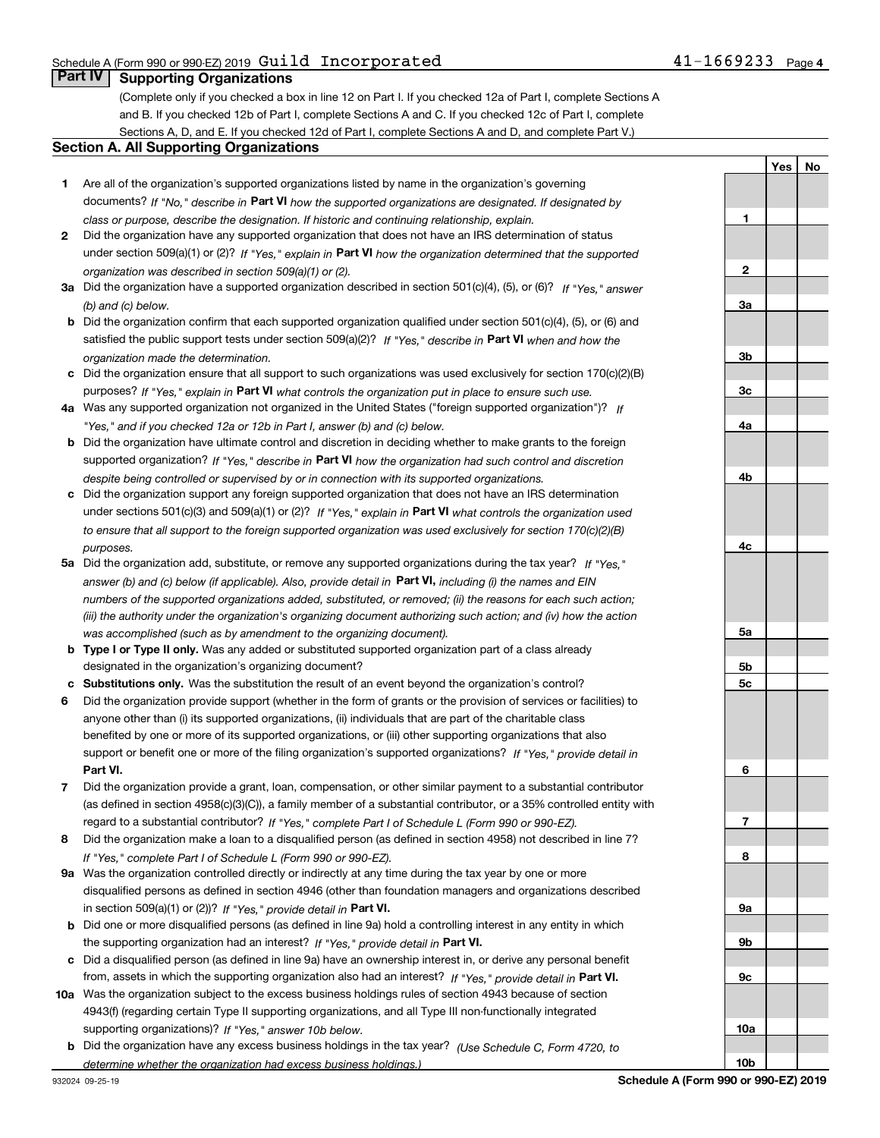**1**

**2**

**3a**

**3b**

**3c**

**4a**

**4b**

**Yes No**

### **Part IV Supporting Organizations**

(Complete only if you checked a box in line 12 on Part I. If you checked 12a of Part I, complete Sections A and B. If you checked 12b of Part I, complete Sections A and C. If you checked 12c of Part I, complete Sections A, D, and E. If you checked 12d of Part I, complete Sections A and D, and complete Part V.)

#### **Section A. All Supporting Organizations**

- **1** Are all of the organization's supported organizations listed by name in the organization's governing documents? If "No," describe in **Part VI** how the supported organizations are designated. If designated by *class or purpose, describe the designation. If historic and continuing relationship, explain.*
- **2** Did the organization have any supported organization that does not have an IRS determination of status under section 509(a)(1) or (2)? If "Yes," explain in Part VI how the organization determined that the supported *organization was described in section 509(a)(1) or (2).*
- **3a** Did the organization have a supported organization described in section 501(c)(4), (5), or (6)? If "Yes," answer *(b) and (c) below.*
- **b** Did the organization confirm that each supported organization qualified under section 501(c)(4), (5), or (6) and satisfied the public support tests under section 509(a)(2)? If "Yes," describe in **Part VI** when and how the *organization made the determination.*
- **c**Did the organization ensure that all support to such organizations was used exclusively for section 170(c)(2)(B) purposes? If "Yes," explain in **Part VI** what controls the organization put in place to ensure such use.
- **4a***If* Was any supported organization not organized in the United States ("foreign supported organization")? *"Yes," and if you checked 12a or 12b in Part I, answer (b) and (c) below.*
- **b** Did the organization have ultimate control and discretion in deciding whether to make grants to the foreign supported organization? If "Yes," describe in **Part VI** how the organization had such control and discretion *despite being controlled or supervised by or in connection with its supported organizations.*
- **c** Did the organization support any foreign supported organization that does not have an IRS determination under sections 501(c)(3) and 509(a)(1) or (2)? If "Yes," explain in **Part VI** what controls the organization used *to ensure that all support to the foreign supported organization was used exclusively for section 170(c)(2)(B) purposes.*
- **5a***If "Yes,"* Did the organization add, substitute, or remove any supported organizations during the tax year? answer (b) and (c) below (if applicable). Also, provide detail in **Part VI,** including (i) the names and EIN *numbers of the supported organizations added, substituted, or removed; (ii) the reasons for each such action; (iii) the authority under the organization's organizing document authorizing such action; and (iv) how the action was accomplished (such as by amendment to the organizing document).*
- **b** Type I or Type II only. Was any added or substituted supported organization part of a class already designated in the organization's organizing document?
- **cSubstitutions only.**  Was the substitution the result of an event beyond the organization's control?
- **6** Did the organization provide support (whether in the form of grants or the provision of services or facilities) to **Part VI.** *If "Yes," provide detail in* support or benefit one or more of the filing organization's supported organizations? anyone other than (i) its supported organizations, (ii) individuals that are part of the charitable class benefited by one or more of its supported organizations, or (iii) other supporting organizations that also
- **7**Did the organization provide a grant, loan, compensation, or other similar payment to a substantial contributor *If "Yes," complete Part I of Schedule L (Form 990 or 990-EZ).* regard to a substantial contributor? (as defined in section 4958(c)(3)(C)), a family member of a substantial contributor, or a 35% controlled entity with
- **8** Did the organization make a loan to a disqualified person (as defined in section 4958) not described in line 7? *If "Yes," complete Part I of Schedule L (Form 990 or 990-EZ).*
- **9a** Was the organization controlled directly or indirectly at any time during the tax year by one or more in section 509(a)(1) or (2))? If "Yes," *provide detail in* <code>Part VI.</code> disqualified persons as defined in section 4946 (other than foundation managers and organizations described
- **b** Did one or more disqualified persons (as defined in line 9a) hold a controlling interest in any entity in which the supporting organization had an interest? If "Yes," provide detail in P**art VI**.
- **c**Did a disqualified person (as defined in line 9a) have an ownership interest in, or derive any personal benefit from, assets in which the supporting organization also had an interest? If "Yes," provide detail in P**art VI.**
- **10a** Was the organization subject to the excess business holdings rules of section 4943 because of section supporting organizations)? If "Yes," answer 10b below. 4943(f) (regarding certain Type II supporting organizations, and all Type III non-functionally integrated
- **b** Did the organization have any excess business holdings in the tax year? (Use Schedule C, Form 4720, to *determine whether the organization had excess business holdings.)*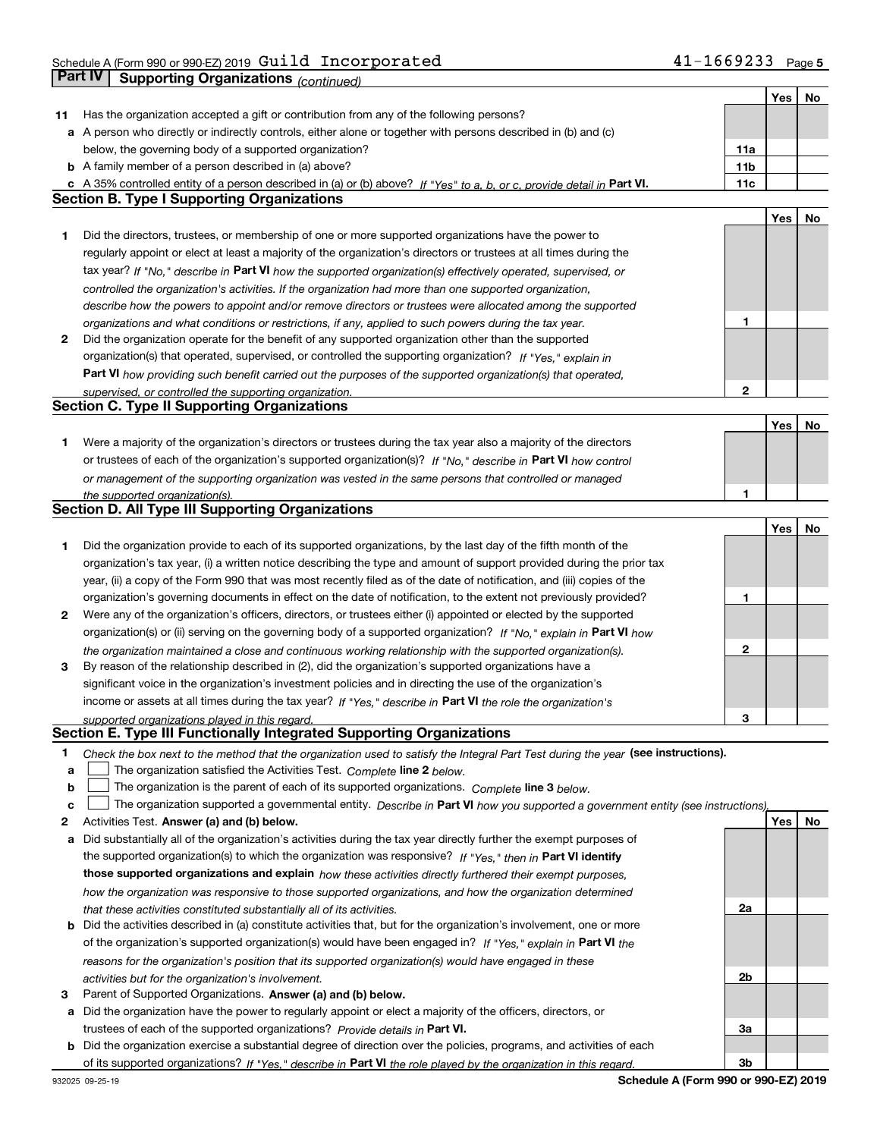**Part IV Supporting Organizations** *(continued)*

|    |                                                                                                                                                                                                        |                 | Yes        | No |
|----|--------------------------------------------------------------------------------------------------------------------------------------------------------------------------------------------------------|-----------------|------------|----|
| 11 | Has the organization accepted a gift or contribution from any of the following persons?                                                                                                                |                 |            |    |
|    | a A person who directly or indirectly controls, either alone or together with persons described in (b) and (c)                                                                                         |                 |            |    |
|    | below, the governing body of a supported organization?                                                                                                                                                 | 11a             |            |    |
|    | <b>b</b> A family member of a person described in (a) above?                                                                                                                                           | 11 <sub>b</sub> |            |    |
|    | c A 35% controlled entity of a person described in (a) or (b) above? If "Yes" to a, b, or c, provide detail in Part VI.                                                                                | 11c             |            |    |
|    | <b>Section B. Type I Supporting Organizations</b>                                                                                                                                                      |                 |            |    |
|    |                                                                                                                                                                                                        |                 | Yes        | No |
| 1  | Did the directors, trustees, or membership of one or more supported organizations have the power to                                                                                                    |                 |            |    |
|    | regularly appoint or elect at least a majority of the organization's directors or trustees at all times during the                                                                                     |                 |            |    |
|    | tax year? If "No," describe in Part VI how the supported organization(s) effectively operated, supervised, or                                                                                          |                 |            |    |
|    | controlled the organization's activities. If the organization had more than one supported organization,                                                                                                |                 |            |    |
|    | describe how the powers to appoint and/or remove directors or trustees were allocated among the supported                                                                                              |                 |            |    |
|    | organizations and what conditions or restrictions, if any, applied to such powers during the tax year.                                                                                                 | 1               |            |    |
| 2  | Did the organization operate for the benefit of any supported organization other than the supported                                                                                                    |                 |            |    |
|    | organization(s) that operated, supervised, or controlled the supporting organization? If "Yes," explain in                                                                                             |                 |            |    |
|    |                                                                                                                                                                                                        |                 |            |    |
|    | Part VI how providing such benefit carried out the purposes of the supported organization(s) that operated,                                                                                            | 2               |            |    |
|    | supervised, or controlled the supporting organization.<br><b>Section C. Type II Supporting Organizations</b>                                                                                           |                 |            |    |
|    |                                                                                                                                                                                                        |                 |            |    |
|    |                                                                                                                                                                                                        |                 | <b>Yes</b> | No |
| 1. | Were a majority of the organization's directors or trustees during the tax year also a majority of the directors                                                                                       |                 |            |    |
|    | or trustees of each of the organization's supported organization(s)? If "No," describe in Part VI how control                                                                                          |                 |            |    |
|    | or management of the supporting organization was vested in the same persons that controlled or managed                                                                                                 |                 |            |    |
|    | the supported organization(s).                                                                                                                                                                         | 1               |            |    |
|    | Section D. All Type III Supporting Organizations                                                                                                                                                       |                 |            |    |
|    |                                                                                                                                                                                                        |                 | Yes        | No |
| 1  | Did the organization provide to each of its supported organizations, by the last day of the fifth month of the                                                                                         |                 |            |    |
|    | organization's tax year, (i) a written notice describing the type and amount of support provided during the prior tax                                                                                  |                 |            |    |
|    | year, (ii) a copy of the Form 990 that was most recently filed as of the date of notification, and (iii) copies of the                                                                                 |                 |            |    |
|    | organization's governing documents in effect on the date of notification, to the extent not previously provided?                                                                                       | 1               |            |    |
| 2  | Were any of the organization's officers, directors, or trustees either (i) appointed or elected by the supported                                                                                       |                 |            |    |
|    | organization(s) or (ii) serving on the governing body of a supported organization? If "No," explain in Part VI how                                                                                     |                 |            |    |
|    | the organization maintained a close and continuous working relationship with the supported organization(s).                                                                                            | 2               |            |    |
| 3  | By reason of the relationship described in (2), did the organization's supported organizations have a                                                                                                  |                 |            |    |
|    | significant voice in the organization's investment policies and in directing the use of the organization's                                                                                             |                 |            |    |
|    | income or assets at all times during the tax year? If "Yes," describe in Part VI the role the organization's                                                                                           |                 |            |    |
|    | supported organizations played in this regard.                                                                                                                                                         | З               |            |    |
|    | Section E. Type III Functionally Integrated Supporting Organizations                                                                                                                                   |                 |            |    |
| 1  | Check the box next to the method that the organization used to satisfy the Integral Part Test during the year (see instructions).                                                                      |                 |            |    |
| a  | The organization satisfied the Activities Test. Complete line 2 below.                                                                                                                                 |                 |            |    |
| b  | The organization is the parent of each of its supported organizations. Complete line 3 below.                                                                                                          |                 |            |    |
| с  | The organization supported a governmental entity. Describe in Part VI how you supported a government entity (see instructions),                                                                        |                 |            |    |
| 2  | Activities Test. Answer (a) and (b) below.                                                                                                                                                             |                 | Yes        | No |
| а  | Did substantially all of the organization's activities during the tax year directly further the exempt purposes of                                                                                     |                 |            |    |
|    | the supported organization(s) to which the organization was responsive? If "Yes," then in Part VI identify                                                                                             |                 |            |    |
|    | those supported organizations and explain how these activities directly furthered their exempt purposes,                                                                                               |                 |            |    |
|    |                                                                                                                                                                                                        |                 |            |    |
|    | how the organization was responsive to those supported organizations, and how the organization determined                                                                                              | 2a              |            |    |
|    | that these activities constituted substantially all of its activities.<br><b>b</b> Did the activities described in (a) constitute activities that, but for the organization's involvement, one or more |                 |            |    |
|    |                                                                                                                                                                                                        |                 |            |    |
|    | of the organization's supported organization(s) would have been engaged in? If "Yes," explain in Part VI the                                                                                           |                 |            |    |
|    | reasons for the organization's position that its supported organization(s) would have engaged in these                                                                                                 |                 |            |    |
|    | activities but for the organization's involvement.                                                                                                                                                     | 2b              |            |    |
| З  | Parent of Supported Organizations. Answer (a) and (b) below.                                                                                                                                           |                 |            |    |
|    | a Did the organization have the power to regularly appoint or elect a majority of the officers, directors, or                                                                                          |                 |            |    |
|    | trustees of each of the supported organizations? Provide details in Part VI.                                                                                                                           | За              |            |    |
|    | <b>b</b> Did the organization exercise a substantial degree of direction over the policies, programs, and activities of each                                                                           |                 |            |    |
|    | of its supported organizations? If "Yes." describe in Part VI the role played by the organization in this regard.                                                                                      | Зb              |            |    |

**Schedule A (Form 990 or 990-EZ) 2019**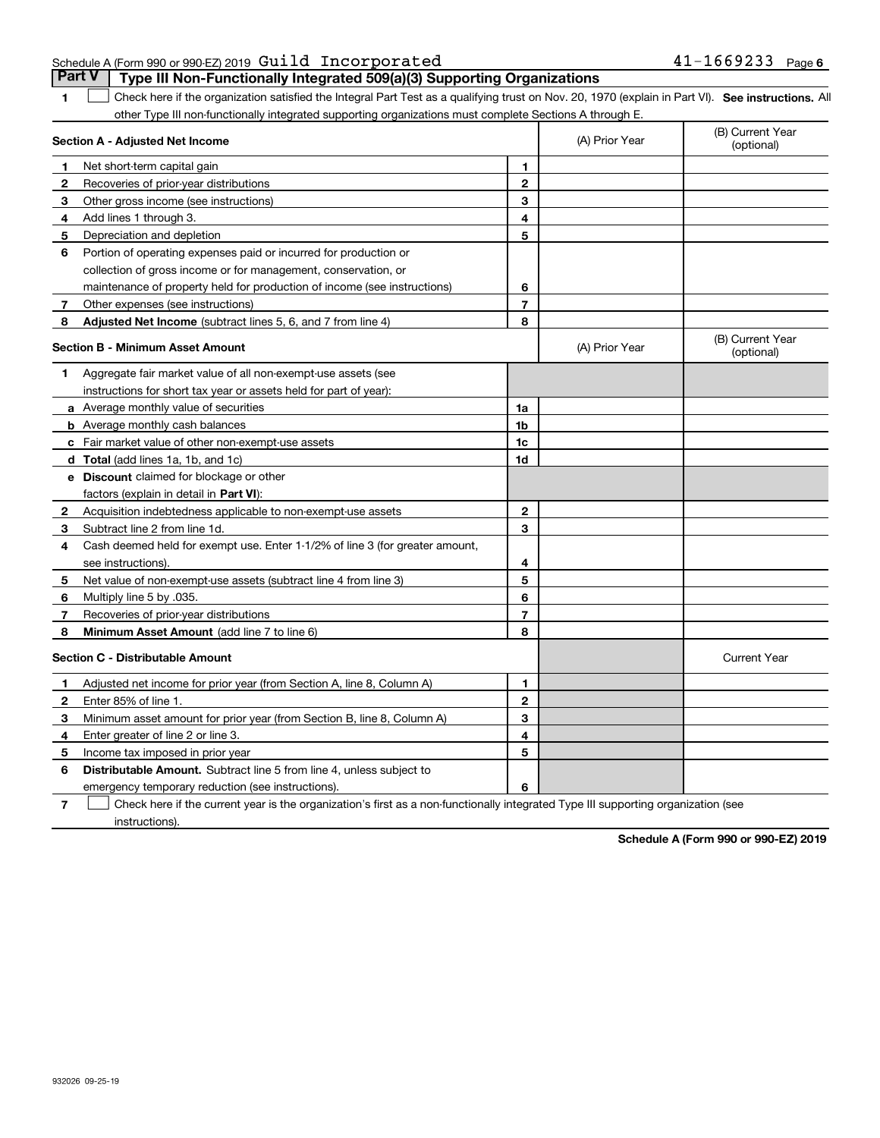#### Schedule A (Form 990 or 990-EZ) 2019  ${\color{red}{\rm Guild}}$  . Incorporated  ${\color{red}{\rm Quilb}}$  and  ${\color{red}{\rm Quilb}}$  and  ${\color{red}{\rm Quilb}}$  and  ${\color{red}{\rm Quilb}}$

**1**

1 Check here if the organization satisfied the Integral Part Test as a qualifying trust on Nov. 20, 1970 (explain in Part VI). See instructions. All other Type III non-functionally integrated supporting organizations must complete Sections A through E. **Part V** Type III Non-Functionally Integrated 509(a)(3) Supporting Organizations

|                                         | Section A - Adjusted Net Income                                              | (A) Prior Year | (B) Current Year<br>(optional) |                                |
|-----------------------------------------|------------------------------------------------------------------------------|----------------|--------------------------------|--------------------------------|
| 1                                       | Net short-term capital gain                                                  | 1              |                                |                                |
| $\mathbf{2}$                            | Recoveries of prior-year distributions                                       | $\overline{2}$ |                                |                                |
| 3                                       | Other gross income (see instructions)                                        | 3              |                                |                                |
| 4                                       | Add lines 1 through 3.                                                       | 4              |                                |                                |
| 5                                       | Depreciation and depletion                                                   | 5              |                                |                                |
| 6                                       | Portion of operating expenses paid or incurred for production or             |                |                                |                                |
|                                         | collection of gross income or for management, conservation, or               |                |                                |                                |
|                                         | maintenance of property held for production of income (see instructions)     | 6              |                                |                                |
| 7                                       | Other expenses (see instructions)                                            | $\overline{7}$ |                                |                                |
| 8                                       | <b>Adjusted Net Income</b> (subtract lines 5, 6, and 7 from line 4)          | 8              |                                |                                |
|                                         | <b>Section B - Minimum Asset Amount</b>                                      |                | (A) Prior Year                 | (B) Current Year<br>(optional) |
| 1                                       | Aggregate fair market value of all non-exempt-use assets (see                |                |                                |                                |
|                                         | instructions for short tax year or assets held for part of year):            |                |                                |                                |
|                                         | <b>a</b> Average monthly value of securities                                 | 1a             |                                |                                |
|                                         | <b>b</b> Average monthly cash balances                                       | 1b             |                                |                                |
|                                         | <b>c</b> Fair market value of other non-exempt-use assets                    | 1c             |                                |                                |
|                                         | d Total (add lines 1a, 1b, and 1c)                                           | 1d             |                                |                                |
|                                         | <b>e</b> Discount claimed for blockage or other                              |                |                                |                                |
|                                         | factors (explain in detail in Part VI):                                      |                |                                |                                |
| $\mathbf{2}$                            | Acquisition indebtedness applicable to non-exempt-use assets                 | $\mathbf{2}$   |                                |                                |
| 3                                       | Subtract line 2 from line 1d.                                                | 3              |                                |                                |
| 4                                       | Cash deemed held for exempt use. Enter 1-1/2% of line 3 (for greater amount, |                |                                |                                |
|                                         | see instructions)                                                            | 4              |                                |                                |
| 5                                       | Net value of non-exempt-use assets (subtract line 4 from line 3)             | 5              |                                |                                |
| 6                                       | Multiply line 5 by .035.                                                     | 6              |                                |                                |
| 7                                       | Recoveries of prior-year distributions                                       | 7              |                                |                                |
| 8                                       | <b>Minimum Asset Amount</b> (add line 7 to line 6)                           | 8              |                                |                                |
| <b>Section C - Distributable Amount</b> |                                                                              |                |                                | <b>Current Year</b>            |
| 1                                       | Adjusted net income for prior year (from Section A, line 8, Column A)        | 1              |                                |                                |
| $\mathbf{2}$                            | Enter 85% of line 1                                                          | $\overline{2}$ |                                |                                |
| 3                                       | Minimum asset amount for prior year (from Section B, line 8, Column A)       | 3              |                                |                                |
| 4                                       | Enter greater of line 2 or line 3.                                           | 4              |                                |                                |
| 5                                       | Income tax imposed in prior year                                             | 5              |                                |                                |
| 6                                       | Distributable Amount. Subtract line 5 from line 4, unless subject to         |                |                                |                                |
|                                         | emergency temporary reduction (see instructions).                            | 6              |                                |                                |
|                                         |                                                                              |                |                                |                                |

**7**Check here if the current year is the organization's first as a non-functionally integrated Type III supporting organization (see instructions).

**Schedule A (Form 990 or 990-EZ) 2019**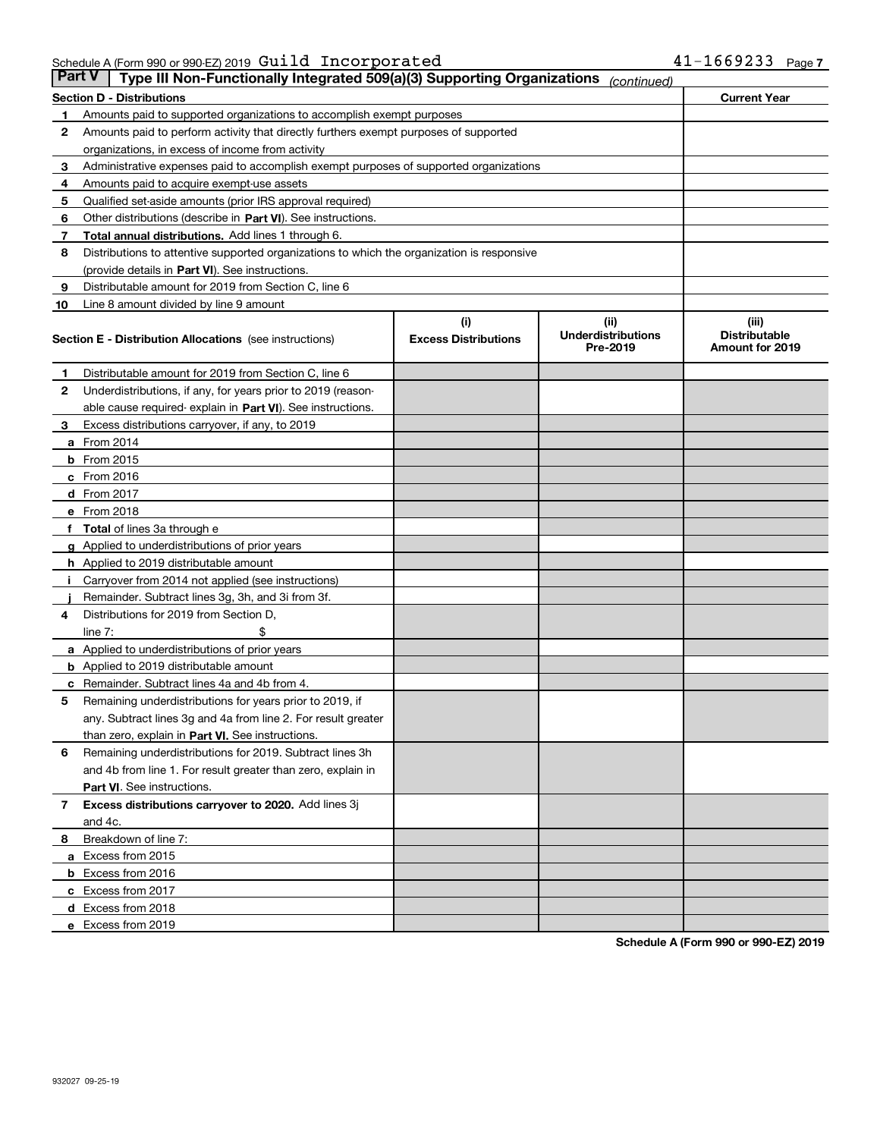| <b>Part V</b> | Type III Non-Functionally Integrated 509(a)(3) Supporting Organizations                    |                                    | (continued)                                    |                                                  |  |  |
|---------------|--------------------------------------------------------------------------------------------|------------------------------------|------------------------------------------------|--------------------------------------------------|--|--|
|               | <b>Section D - Distributions</b>                                                           |                                    |                                                | <b>Current Year</b>                              |  |  |
| 1             | Amounts paid to supported organizations to accomplish exempt purposes                      |                                    |                                                |                                                  |  |  |
| 2             | Amounts paid to perform activity that directly furthers exempt purposes of supported       |                                    |                                                |                                                  |  |  |
|               | organizations, in excess of income from activity                                           |                                    |                                                |                                                  |  |  |
| з             | Administrative expenses paid to accomplish exempt purposes of supported organizations      |                                    |                                                |                                                  |  |  |
| 4             | Amounts paid to acquire exempt-use assets                                                  |                                    |                                                |                                                  |  |  |
| 5             | Qualified set-aside amounts (prior IRS approval required)                                  |                                    |                                                |                                                  |  |  |
| 6             | Other distributions (describe in Part VI). See instructions.                               |                                    |                                                |                                                  |  |  |
| 7             | Total annual distributions. Add lines 1 through 6.                                         |                                    |                                                |                                                  |  |  |
| 8             | Distributions to attentive supported organizations to which the organization is responsive |                                    |                                                |                                                  |  |  |
|               | (provide details in Part VI). See instructions.                                            |                                    |                                                |                                                  |  |  |
| 9             | Distributable amount for 2019 from Section C, line 6                                       |                                    |                                                |                                                  |  |  |
| 10            | Line 8 amount divided by line 9 amount                                                     |                                    |                                                |                                                  |  |  |
|               | <b>Section E - Distribution Allocations</b> (see instructions)                             | (i)<br><b>Excess Distributions</b> | (iii)<br><b>Underdistributions</b><br>Pre-2019 | (iii)<br><b>Distributable</b><br>Amount for 2019 |  |  |
| 1             | Distributable amount for 2019 from Section C, line 6                                       |                                    |                                                |                                                  |  |  |
| 2             | Underdistributions, if any, for years prior to 2019 (reason-                               |                                    |                                                |                                                  |  |  |
|               | able cause required- explain in Part VI). See instructions.                                |                                    |                                                |                                                  |  |  |
| з             | Excess distributions carryover, if any, to 2019                                            |                                    |                                                |                                                  |  |  |
|               | <b>a</b> From 2014                                                                         |                                    |                                                |                                                  |  |  |
|               | <b>b</b> From $2015$                                                                       |                                    |                                                |                                                  |  |  |
|               | $c$ From 2016                                                                              |                                    |                                                |                                                  |  |  |
|               | <b>d</b> From 2017                                                                         |                                    |                                                |                                                  |  |  |
|               | e From 2018                                                                                |                                    |                                                |                                                  |  |  |
|               | Total of lines 3a through e                                                                |                                    |                                                |                                                  |  |  |
|               | <b>g</b> Applied to underdistributions of prior years                                      |                                    |                                                |                                                  |  |  |
|               | <b>h</b> Applied to 2019 distributable amount                                              |                                    |                                                |                                                  |  |  |
|               | Carryover from 2014 not applied (see instructions)                                         |                                    |                                                |                                                  |  |  |
|               | Remainder. Subtract lines 3g, 3h, and 3i from 3f.                                          |                                    |                                                |                                                  |  |  |
| 4             | Distributions for 2019 from Section D,                                                     |                                    |                                                |                                                  |  |  |
|               | line $7:$                                                                                  |                                    |                                                |                                                  |  |  |
|               | <b>a</b> Applied to underdistributions of prior years                                      |                                    |                                                |                                                  |  |  |
|               | <b>b</b> Applied to 2019 distributable amount                                              |                                    |                                                |                                                  |  |  |
| c             | Remainder. Subtract lines 4a and 4b from 4.                                                |                                    |                                                |                                                  |  |  |
| 5             | Remaining underdistributions for years prior to 2019, if                                   |                                    |                                                |                                                  |  |  |
|               | any. Subtract lines 3g and 4a from line 2. For result greater                              |                                    |                                                |                                                  |  |  |
|               | than zero, explain in Part VI. See instructions.                                           |                                    |                                                |                                                  |  |  |
| 6             | Remaining underdistributions for 2019. Subtract lines 3h                                   |                                    |                                                |                                                  |  |  |
|               | and 4b from line 1. For result greater than zero, explain in                               |                                    |                                                |                                                  |  |  |
|               | Part VI. See instructions.                                                                 |                                    |                                                |                                                  |  |  |
| 7             | Excess distributions carryover to 2020. Add lines 3j                                       |                                    |                                                |                                                  |  |  |
|               | and 4c.                                                                                    |                                    |                                                |                                                  |  |  |
| 8             | Breakdown of line 7:                                                                       |                                    |                                                |                                                  |  |  |
|               | a Excess from 2015                                                                         |                                    |                                                |                                                  |  |  |
|               | <b>b</b> Excess from 2016                                                                  |                                    |                                                |                                                  |  |  |
|               | c Excess from 2017                                                                         |                                    |                                                |                                                  |  |  |
|               | d Excess from 2018                                                                         |                                    |                                                |                                                  |  |  |
|               | e Excess from 2019                                                                         |                                    |                                                |                                                  |  |  |

**Schedule A (Form 990 or 990-EZ) 2019**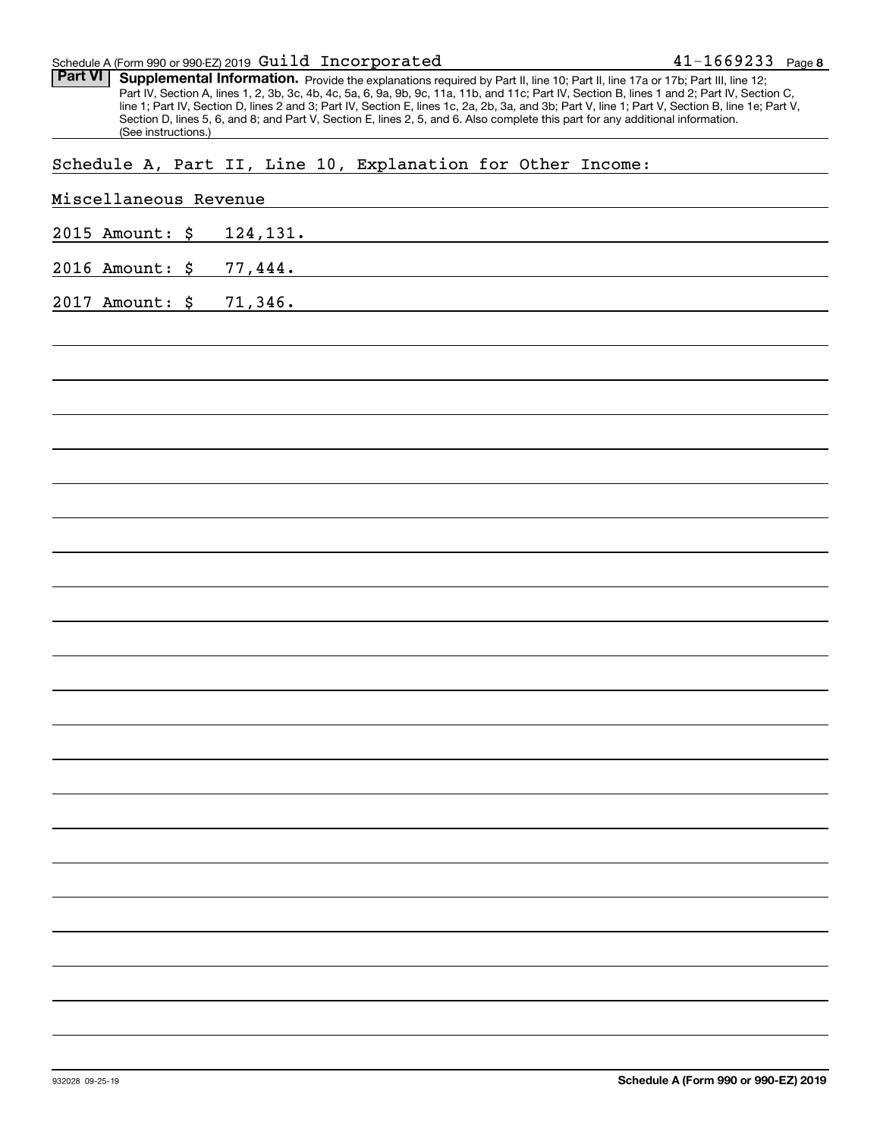| Schedule A (Form 990 or 990-EZ) 2019 $\,$ Guild $\,$ Incorporated $\,$<br>1669233 | Page 8 |  |
|-----------------------------------------------------------------------------------|--------|--|
|-----------------------------------------------------------------------------------|--------|--|

Part VI | Supplemental Information. Provide the explanations required by Part II, line 10; Part II, line 17a or 17b; Part III, line 12; Part IV, Section A, lines 1, 2, 3b, 3c, 4b, 4c, 5a, 6, 9a, 9b, 9c, 11a, 11b, and 11c; Part IV, Section B, lines 1 and 2; Part IV, Section C, line 1; Part IV, Section D, lines 2 and 3; Part IV, Section E, lines 1c, 2a, 2b, 3a, and 3b; Part V, line 1; Part V, Section B, line 1e; Part V, Section D, lines 5, 6, and 8; and Part V, Section E, lines 2, 5, and 6. Also complete this part for any additional information. (See instructions.)

Schedule A, Part II, Line 10, Explanation for Other Income:

| Miscellaneous Revenue   |           |                                                                                                                       |  |  |
|-------------------------|-----------|-----------------------------------------------------------------------------------------------------------------------|--|--|
| 2015 Amount: \$         | 124, 131. |                                                                                                                       |  |  |
| 2016 Amount: \$         | 77,444.   | <u> 1980 - Johann Barn, mars ann an t-Amhain Aonaich an t-Aonaich an t-Aonaich ann an t-Aonaich ann an t-Aonaich</u>  |  |  |
| 2017 Amount: \$ 71,346. |           | <u> 1989 - Johann Barn, mars ann an t-Amhain Aonaich an t-Aonaich an t-Aonaich an t-Aonaich an t-Aonaich an t-Aon</u> |  |  |
|                         |           |                                                                                                                       |  |  |
|                         |           |                                                                                                                       |  |  |
|                         |           |                                                                                                                       |  |  |
|                         |           |                                                                                                                       |  |  |
|                         |           |                                                                                                                       |  |  |
|                         |           |                                                                                                                       |  |  |
|                         |           |                                                                                                                       |  |  |
|                         |           |                                                                                                                       |  |  |
|                         |           |                                                                                                                       |  |  |
|                         |           |                                                                                                                       |  |  |
|                         |           |                                                                                                                       |  |  |
|                         |           |                                                                                                                       |  |  |
|                         |           |                                                                                                                       |  |  |
|                         |           |                                                                                                                       |  |  |
|                         |           |                                                                                                                       |  |  |
|                         |           |                                                                                                                       |  |  |
|                         |           |                                                                                                                       |  |  |
|                         |           |                                                                                                                       |  |  |
|                         |           |                                                                                                                       |  |  |
|                         |           |                                                                                                                       |  |  |
|                         |           |                                                                                                                       |  |  |
|                         |           |                                                                                                                       |  |  |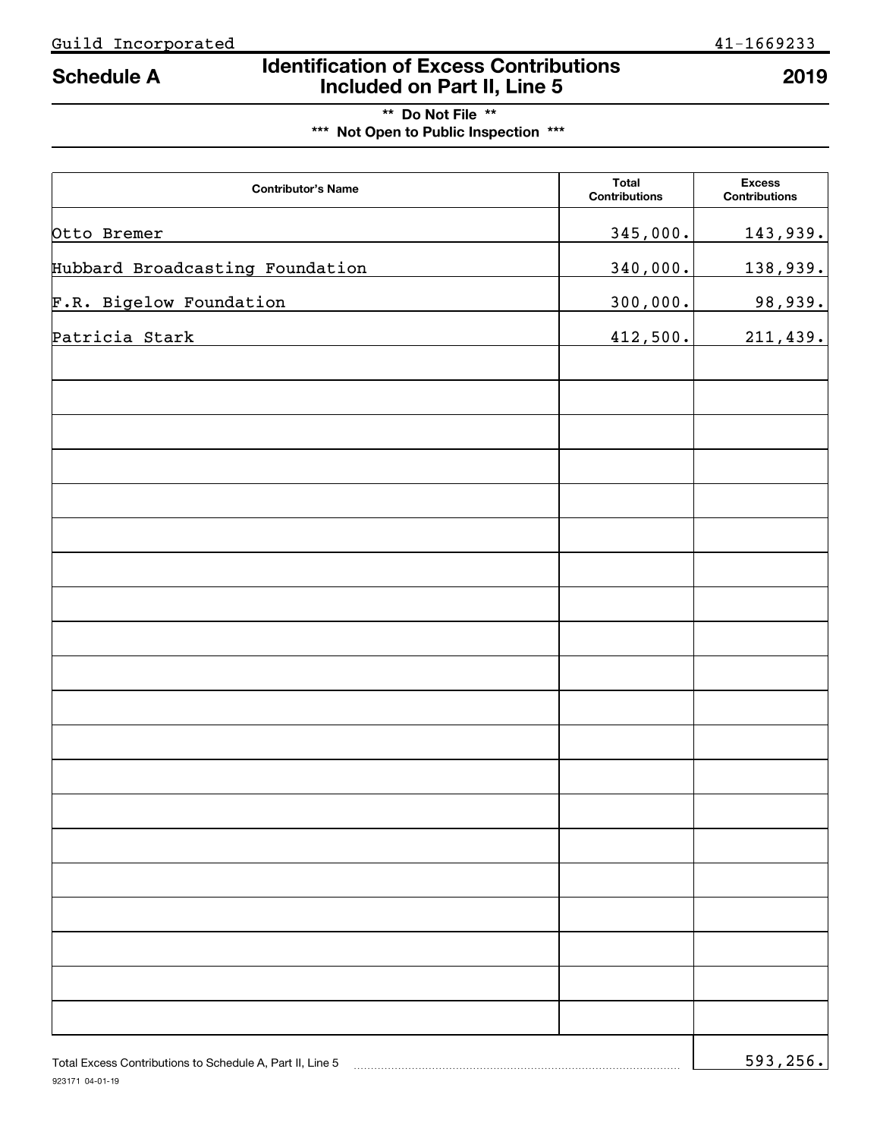# **Identification of Excess Contributions Included on Part II, Line 5 Schedule A 2019**

## **\*\* Do Not File \*\* \*\*\* Not Open to Public Inspection \*\*\***

| <b>Contributor's Name</b>       | <b>Total</b><br><b>Contributions</b> | <b>Excess</b><br><b>Contributions</b> |
|---------------------------------|--------------------------------------|---------------------------------------|
| Otto Bremer                     | 345,000.                             | 143,939.                              |
| Hubbard Broadcasting Foundation | 340,000.                             | 138,939.                              |
| F.R. Bigelow Foundation         | 300,000.                             | 98,939.                               |
| Patricia Stark                  | 412,500.                             | 211, 439.                             |
|                                 |                                      |                                       |
|                                 |                                      |                                       |
|                                 |                                      |                                       |
|                                 |                                      |                                       |
|                                 |                                      |                                       |
|                                 |                                      |                                       |
|                                 |                                      |                                       |
|                                 |                                      |                                       |
|                                 |                                      |                                       |
|                                 |                                      |                                       |
|                                 |                                      |                                       |
|                                 |                                      |                                       |
|                                 |                                      |                                       |
|                                 |                                      |                                       |
|                                 |                                      |                                       |
|                                 |                                      |                                       |
|                                 |                                      |                                       |
|                                 |                                      |                                       |
|                                 |                                      |                                       |
|                                 |                                      |                                       |
|                                 |                                      | $E \cap \Omega$ $E \cap C$            |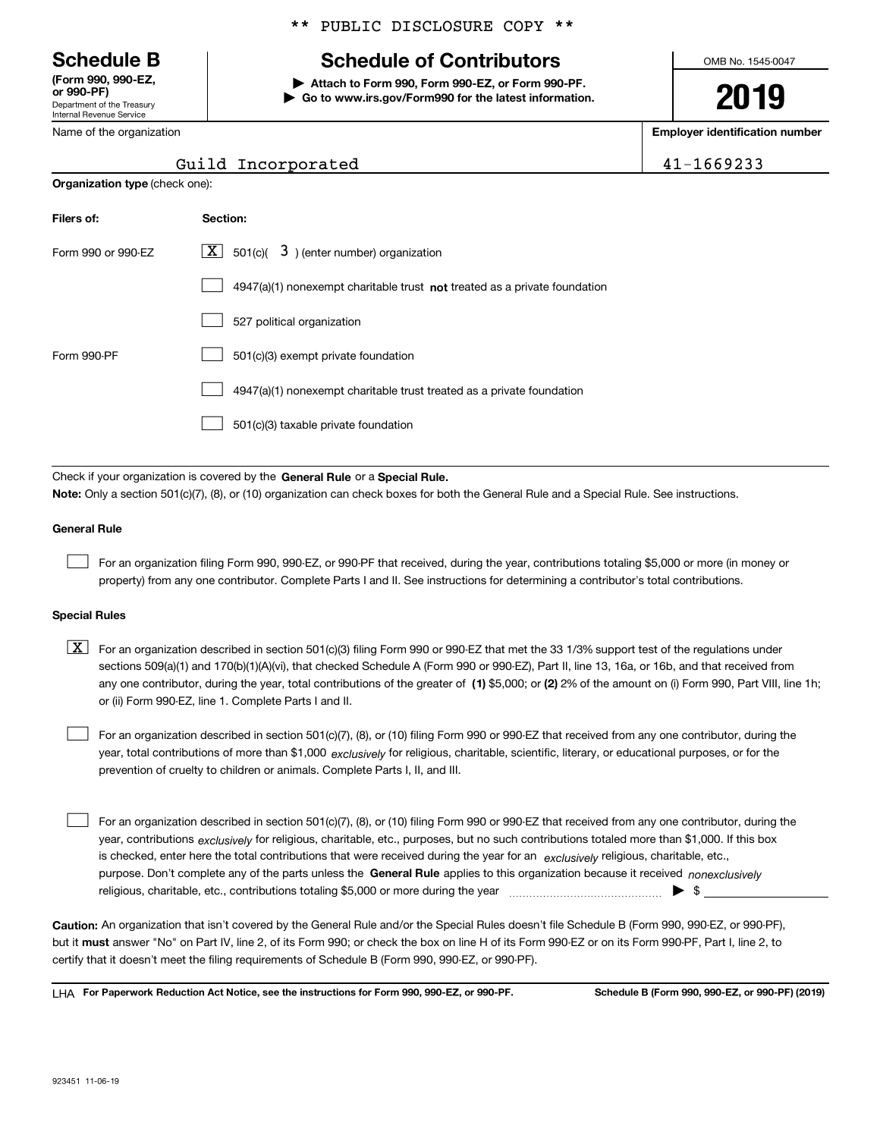Department of the Treasury Internal Revenue Service **(Form 990, 990-EZ, or 990-PF)**

Name of the organization

**Organization type** (check one):

#### \*\* PUBLIC DISCLOSURE COPY \*\*

# **Schedule B Schedule of Contributors**

**| Attach to Form 990, Form 990-EZ, or Form 990-PF. | Go to www.irs.gov/Form990 for the latest information.** OMB No. 1545-0047

# **2019**

**Employer identification number**

41-1669233

|  |  | Guild Incorporated |
|--|--|--------------------|
|--|--|--------------------|

| Filers of:         | <b>Section:</b>                                                             |
|--------------------|-----------------------------------------------------------------------------|
| Form 990 or 990-FZ | $X$ 501(c)( 3) (enter number) organization                                  |
|                    | $4947(a)(1)$ nonexempt charitable trust not treated as a private foundation |
|                    | 527 political organization                                                  |
| Form 990-PF        | 501(c)(3) exempt private foundation                                         |
|                    | 4947(a)(1) nonexempt charitable trust treated as a private foundation       |
|                    | 501(c)(3) taxable private foundation                                        |

Check if your organization is covered by the **General Rule** or a **Special Rule.**<br>Nota: Only a section 501(c)(7), (8), or (10) erganization can chock boxes for be **Note:**  Only a section 501(c)(7), (8), or (10) organization can check boxes for both the General Rule and a Special Rule. See instructions.

#### **General Rule**

 $\mathcal{L}^{\text{max}}$ 

For an organization filing Form 990, 990-EZ, or 990-PF that received, during the year, contributions totaling \$5,000 or more (in money or property) from any one contributor. Complete Parts I and II. See instructions for determining a contributor's total contributions.

#### **Special Rules**

any one contributor, during the year, total contributions of the greater of  $\,$  (1) \$5,000; or **(2)** 2% of the amount on (i) Form 990, Part VIII, line 1h;  $\boxed{\textbf{X}}$  For an organization described in section 501(c)(3) filing Form 990 or 990-EZ that met the 33 1/3% support test of the regulations under sections 509(a)(1) and 170(b)(1)(A)(vi), that checked Schedule A (Form 990 or 990-EZ), Part II, line 13, 16a, or 16b, and that received from or (ii) Form 990-EZ, line 1. Complete Parts I and II.

year, total contributions of more than \$1,000 *exclusively* for religious, charitable, scientific, literary, or educational purposes, or for the For an organization described in section 501(c)(7), (8), or (10) filing Form 990 or 990-EZ that received from any one contributor, during the prevention of cruelty to children or animals. Complete Parts I, II, and III.  $\mathcal{L}^{\text{max}}$ 

purpose. Don't complete any of the parts unless the **General Rule** applies to this organization because it received *nonexclusively* year, contributions <sub>exclusively</sub> for religious, charitable, etc., purposes, but no such contributions totaled more than \$1,000. If this box is checked, enter here the total contributions that were received during the year for an  $\;$ exclusively religious, charitable, etc., For an organization described in section 501(c)(7), (8), or (10) filing Form 990 or 990-EZ that received from any one contributor, during the religious, charitable, etc., contributions totaling \$5,000 or more during the year  $\Box$ — $\Box$   $\Box$  $\mathcal{L}^{\text{max}}$ 

**Caution:**  An organization that isn't covered by the General Rule and/or the Special Rules doesn't file Schedule B (Form 990, 990-EZ, or 990-PF), but it **must** answer "No" on Part IV, line 2, of its Form 990; or check the box on line H of its Form 990-EZ or on its Form 990-PF, Part I, line 2, to<br>cortify that it doesn't meet the filipe requirements of Schodule B (Fer certify that it doesn't meet the filing requirements of Schedule B (Form 990, 990-EZ, or 990-PF).

**For Paperwork Reduction Act Notice, see the instructions for Form 990, 990-EZ, or 990-PF. Schedule B (Form 990, 990-EZ, or 990-PF) (2019)** LHA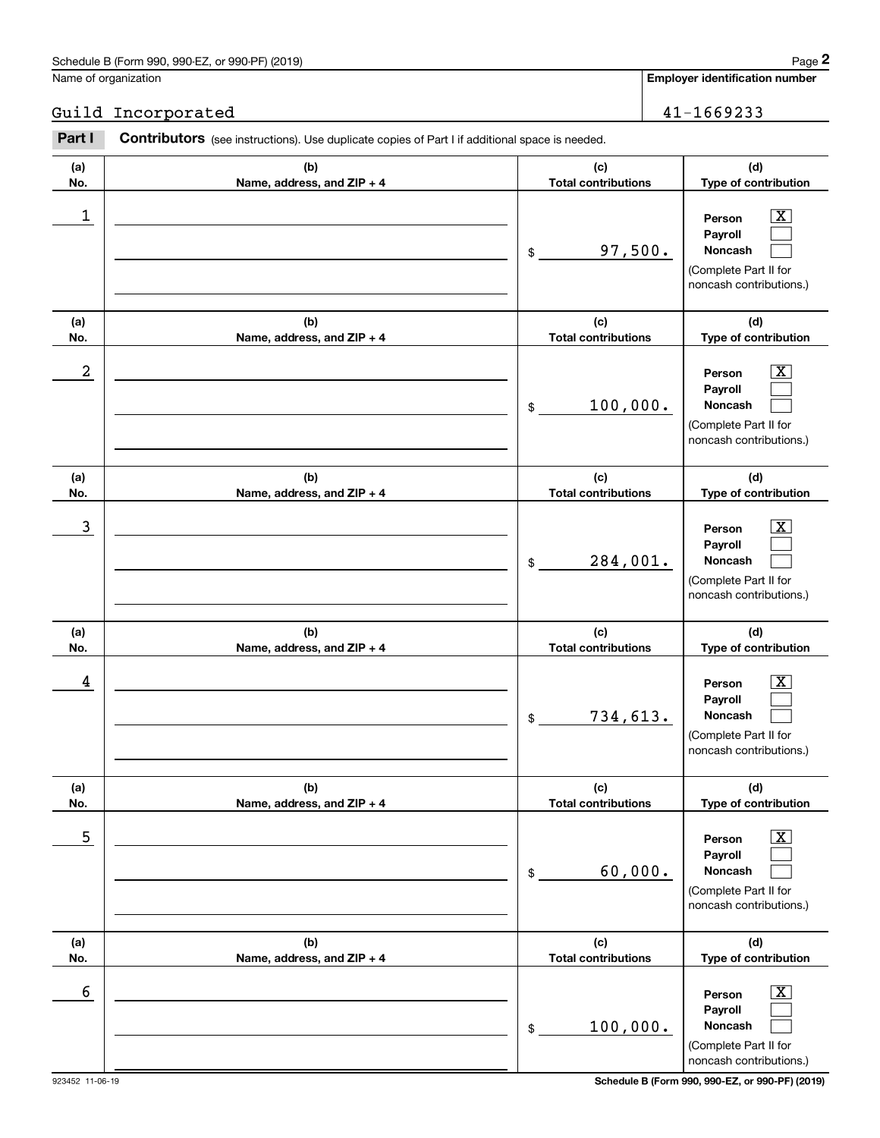|                                                                                                                 | Page 2<br>Schedule B (Form 990, 990-EZ, or 990-PF) (2019) |        |                                       |  |  |  |
|-----------------------------------------------------------------------------------------------------------------|-----------------------------------------------------------|--------|---------------------------------------|--|--|--|
|                                                                                                                 | Name of organization                                      |        | <b>Employer identification number</b> |  |  |  |
|                                                                                                                 | Guild Incorporated                                        |        | $41 - 1669233$                        |  |  |  |
| Part I<br><b>Contributors</b> (see instructions). Use duplicate copies of Part I if additional space is needed. |                                                           |        |                                       |  |  |  |
| $\sim$                                                                                                          | $\mathbf{h}$                                              | $\sim$ | $\mathbf{A}$                          |  |  |  |

| (a) | (b)                        | (c)                        | (d)                                                                                                    |
|-----|----------------------------|----------------------------|--------------------------------------------------------------------------------------------------------|
| No. | Name, address, and ZIP + 4 | <b>Total contributions</b> | Type of contribution                                                                                   |
| 1   |                            | 97,500.<br>\$              | X<br>Person<br>Payroll<br>Noncash<br>(Complete Part II for<br>noncash contributions.)                  |
| (a) | (b)                        | (c)                        | (d)                                                                                                    |
| No. | Name, address, and ZIP + 4 | <b>Total contributions</b> | Type of contribution                                                                                   |
| 2   |                            | 100,000.<br>\$             | x<br>Person<br>Payroll<br>Noncash<br>(Complete Part II for<br>noncash contributions.)                  |
| (a) | (b)                        | (c)                        | (d)                                                                                                    |
| No. | Name, address, and ZIP + 4 | <b>Total contributions</b> | Type of contribution                                                                                   |
| 3   |                            | 284,001.<br>\$             | X<br>Person<br>Payroll<br>Noncash<br>(Complete Part II for<br>noncash contributions.)                  |
| (a) | (b)                        | (c)                        | (d)                                                                                                    |
| No. | Name, address, and ZIP + 4 | <b>Total contributions</b> | Type of contribution                                                                                   |
| 4   |                            | 734,613.<br>\$             | x<br>Person<br>Payroll<br>Noncash<br>(Complete Part II for<br>noncash contributions.)                  |
| (a) | (b)                        | (c)                        | (d)                                                                                                    |
| No. | Name, address, and ZIP + 4 | <b>Total contributions</b> | Type of contribution                                                                                   |
| 5   |                            | 60,000.<br>\$              | $\boxed{\text{X}}$<br>Person<br>Payroll<br>Noncash<br>(Complete Part II for<br>noncash contributions.) |
| (a) | (b)                        | (c)                        | (d)                                                                                                    |
| No. | Name, address, and ZIP + 4 | <b>Total contributions</b> | Type of contribution                                                                                   |
| 6   |                            | 100,000.<br>\$             | $\boxed{\text{X}}$<br>Person<br>Payroll<br>Noncash<br>(Complete Part II for<br>noncash contributions.) |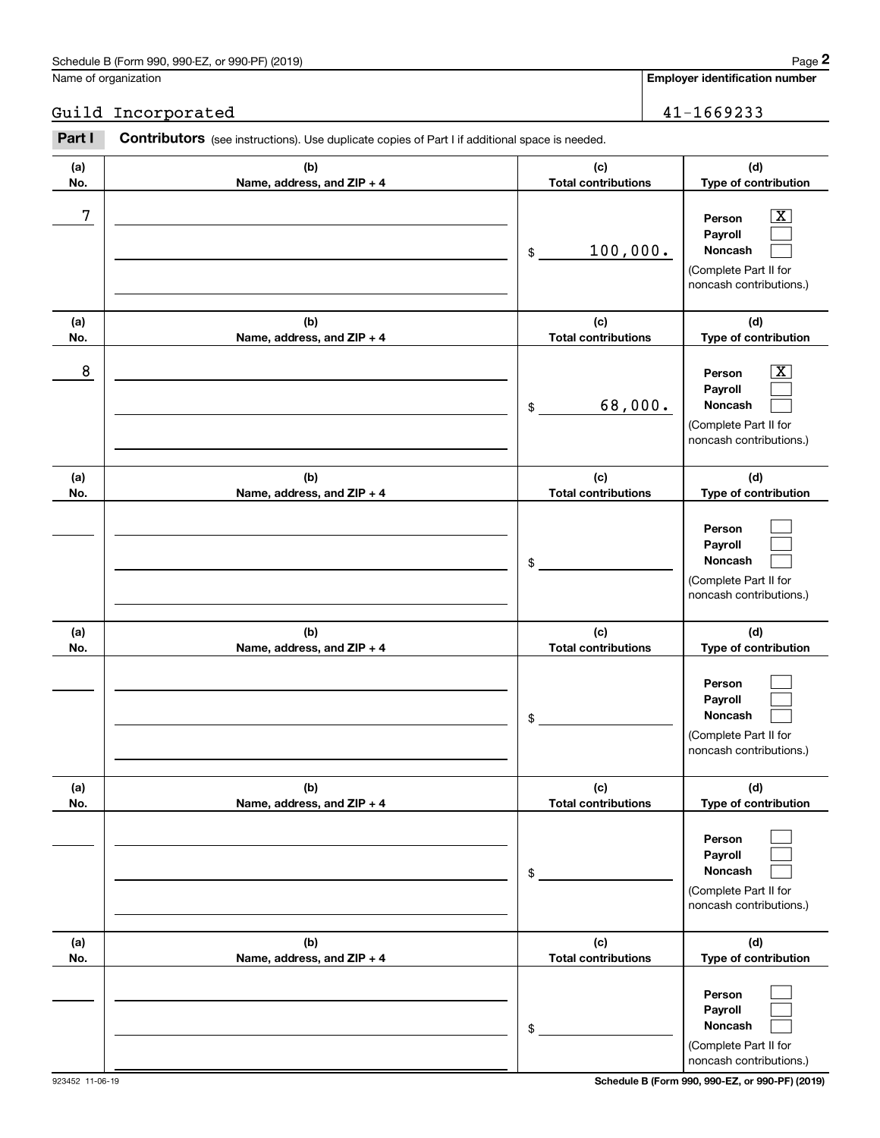|                      | Schedule B (Form 990, 990-EZ, or 990-PF) (2019)                                                       |                                   | Page 2                                                                                                      |
|----------------------|-------------------------------------------------------------------------------------------------------|-----------------------------------|-------------------------------------------------------------------------------------------------------------|
| Name of organization |                                                                                                       |                                   | <b>Employer identification number</b>                                                                       |
|                      | Guild Incorporated                                                                                    |                                   | 41-1669233                                                                                                  |
| Part I               | <b>Contributors</b> (see instructions). Use duplicate copies of Part I if additional space is needed. |                                   |                                                                                                             |
| (a)<br>No.           | (b)<br>Name, address, and ZIP + 4                                                                     | (c)<br><b>Total contributions</b> | (d)<br>Type of contribution                                                                                 |
| 7                    |                                                                                                       | 100,000.<br>\$                    | $\overline{\mathbf{X}}$<br>Person<br>Payroll<br>Noncash<br>(Complete Part II for<br>noncash contributions.) |
| (a)<br>No.           | (b)<br>Name, address, and ZIP + 4                                                                     | (c)<br><b>Total contributions</b> | (d)<br>Type of contribution                                                                                 |
| 8                    |                                                                                                       | 68,000.<br>\$                     | $\overline{\mathbf{X}}$<br>Person<br>Payroll<br>Noncash<br>(Complete Part II for<br>noncash contributions.) |
| (a)<br>No.           | (b)<br>Name, address, and ZIP + 4                                                                     | (c)<br><b>Total contributions</b> | (d)<br>Type of contribution                                                                                 |
|                      |                                                                                                       | \$                                | Person<br>Payroll<br>Noncash<br>(Complete Part II for<br>noncash contributions.)                            |
| (a)<br>No.           | (b)<br>Name, address, and ZIP + 4                                                                     | (c)<br><b>Total contributions</b> | (d)<br>Type of contribution                                                                                 |
|                      |                                                                                                       | \$                                | Person<br>Payroll<br>Noncash<br>(Complete Part II for<br>noncash contributions.)                            |
| (a)<br>No.           | (b)<br>Name, address, and ZIP + 4                                                                     | (c)<br><b>Total contributions</b> | (d)<br>Type of contribution                                                                                 |
|                      |                                                                                                       | \$                                | Person<br>Payroll<br>Noncash<br>(Complete Part II for<br>noncash contributions.)                            |
| (a)<br>No.           | (b)<br>Name, address, and ZIP + 4                                                                     | (c)<br><b>Total contributions</b> | (d)<br>Type of contribution                                                                                 |
|                      |                                                                                                       | \$                                | Person<br>Payroll<br>Noncash<br>(Complete Part II for<br>noncash contributions.)                            |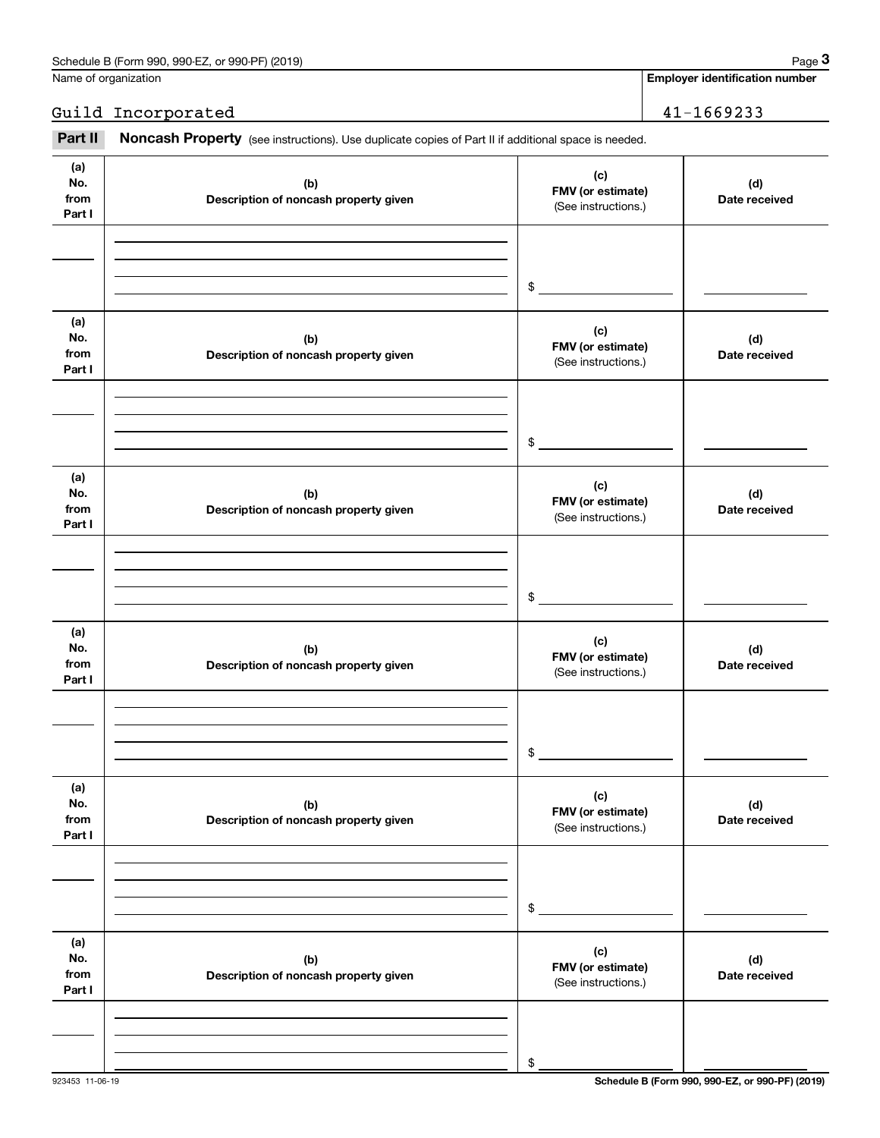| or 990-PF) (2019)<br>Schedule B (Form 990, 990-EZ, | Page |
|----------------------------------------------------|------|
|                                                    |      |

### Guild Incorporated 41-1669233

|                              | Schedule B (Form 990, 990-EZ, or 990-PF) (2019)                                                     |                                                 | Page 3                                |
|------------------------------|-----------------------------------------------------------------------------------------------------|-------------------------------------------------|---------------------------------------|
| Name of organization         |                                                                                                     |                                                 | <b>Employer identification number</b> |
|                              | Guild Incorporated                                                                                  |                                                 | 41-1669233                            |
| Part II                      | Noncash Property (see instructions). Use duplicate copies of Part II if additional space is needed. |                                                 |                                       |
| (a)<br>No.<br>from<br>Part I | (b)<br>Description of noncash property given                                                        | (c)<br>FMV (or estimate)<br>(See instructions.) | (d)<br>Date received                  |
|                              |                                                                                                     | \$                                              |                                       |
| (a)<br>No.<br>from<br>Part I | (b)<br>Description of noncash property given                                                        | (c)<br>FMV (or estimate)<br>(See instructions.) | (d)<br>Date received                  |
|                              |                                                                                                     | \$                                              |                                       |
| (a)<br>No.<br>from<br>Part I | (b)<br>Description of noncash property given                                                        | (c)<br>FMV (or estimate)<br>(See instructions.) | (d)<br>Date received                  |
|                              |                                                                                                     | \$                                              |                                       |
| (a)<br>No.<br>from<br>Part I | (b)<br>Description of noncash property given                                                        | (c)<br>FMV (or estimate)<br>(See instructions.) | (d)<br>Date received                  |
|                              |                                                                                                     | \$                                              |                                       |
| (a)<br>No.<br>from<br>Part I | (b)<br>Description of noncash property given                                                        | (c)<br>FMV (or estimate)<br>(See instructions.) | (d)<br>Date received                  |
|                              |                                                                                                     | \$                                              |                                       |
| (a)<br>No.<br>from<br>Part I | (b)<br>Description of noncash property given                                                        | (c)<br>FMV (or estimate)<br>(See instructions.) | (d)<br>Date received                  |
|                              |                                                                                                     | \$                                              |                                       |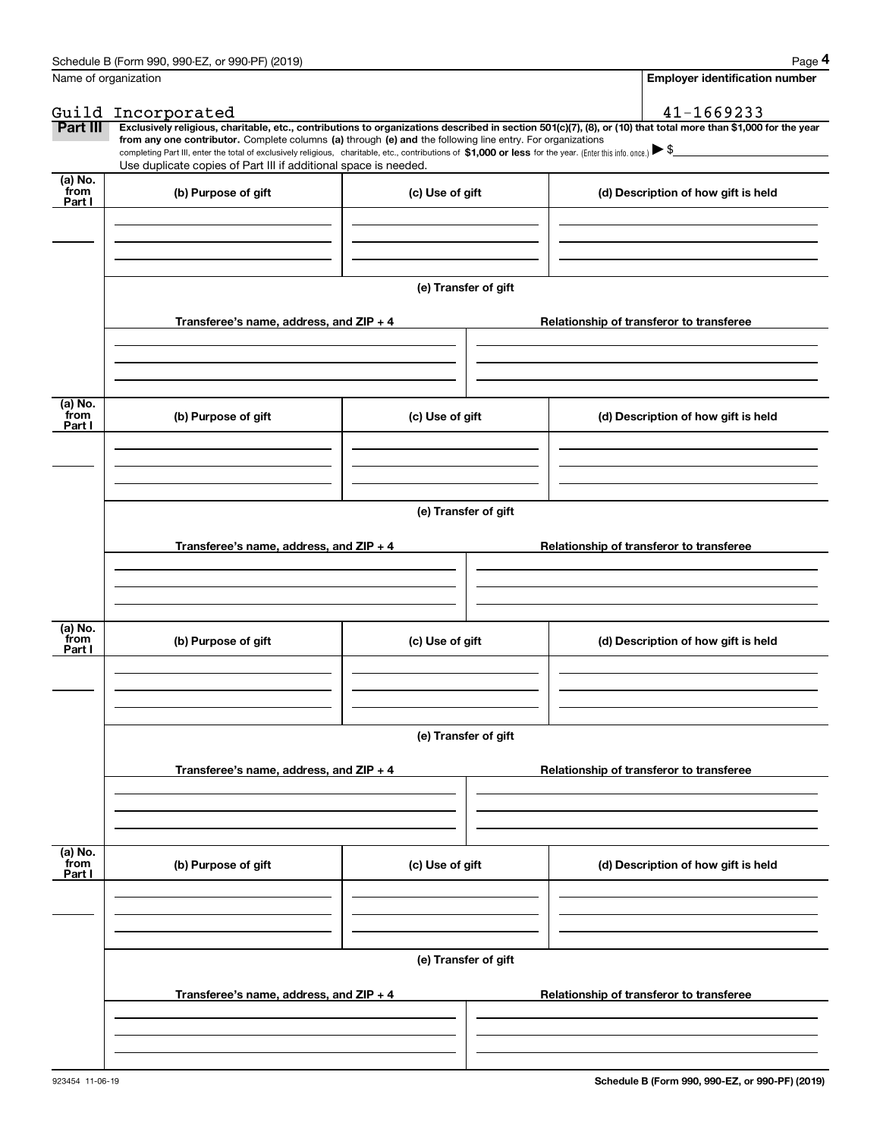|                           | Schedule B (Form 990, 990-EZ, or 990-PF) (2019)                                                                                                                                                                                                      |                                          | Page 4                                                                                                                                                         |  |  |  |
|---------------------------|------------------------------------------------------------------------------------------------------------------------------------------------------------------------------------------------------------------------------------------------------|------------------------------------------|----------------------------------------------------------------------------------------------------------------------------------------------------------------|--|--|--|
| Name of organization      |                                                                                                                                                                                                                                                      |                                          | <b>Employer identification number</b>                                                                                                                          |  |  |  |
| Guild                     | Incorporated                                                                                                                                                                                                                                         |                                          | 41-1669233                                                                                                                                                     |  |  |  |
| Part III                  | from any one contributor. Complete columns (a) through (e) and the following line entry. For organizations                                                                                                                                           |                                          | Exclusively religious, charitable, etc., contributions to organizations described in section 501(c)(7), (8), or (10) that total more than \$1,000 for the year |  |  |  |
|                           | completing Part III, enter the total of exclusively religious, charitable, etc., contributions of \$1,000 or less for the year. (Enter this info. once.) $\blacktriangleright$ \$<br>Use duplicate copies of Part III if additional space is needed. |                                          |                                                                                                                                                                |  |  |  |
| (a) No.                   |                                                                                                                                                                                                                                                      |                                          |                                                                                                                                                                |  |  |  |
| from<br>Part I            | (b) Purpose of gift                                                                                                                                                                                                                                  | (c) Use of gift                          | (d) Description of how gift is held                                                                                                                            |  |  |  |
|                           |                                                                                                                                                                                                                                                      |                                          |                                                                                                                                                                |  |  |  |
|                           |                                                                                                                                                                                                                                                      |                                          |                                                                                                                                                                |  |  |  |
|                           |                                                                                                                                                                                                                                                      | (e) Transfer of gift                     |                                                                                                                                                                |  |  |  |
|                           | Transferee's name, address, and ZIP + 4                                                                                                                                                                                                              |                                          | Relationship of transferor to transferee                                                                                                                       |  |  |  |
|                           |                                                                                                                                                                                                                                                      |                                          |                                                                                                                                                                |  |  |  |
|                           |                                                                                                                                                                                                                                                      |                                          |                                                                                                                                                                |  |  |  |
|                           |                                                                                                                                                                                                                                                      |                                          |                                                                                                                                                                |  |  |  |
| (a) No.<br>from<br>Part I | (b) Purpose of gift                                                                                                                                                                                                                                  | (c) Use of gift                          | (d) Description of how gift is held                                                                                                                            |  |  |  |
|                           |                                                                                                                                                                                                                                                      |                                          |                                                                                                                                                                |  |  |  |
|                           |                                                                                                                                                                                                                                                      |                                          |                                                                                                                                                                |  |  |  |
|                           |                                                                                                                                                                                                                                                      |                                          |                                                                                                                                                                |  |  |  |
|                           | (e) Transfer of gift                                                                                                                                                                                                                                 |                                          |                                                                                                                                                                |  |  |  |
|                           | Transferee's name, address, and $ZIP + 4$                                                                                                                                                                                                            | Relationship of transferor to transferee |                                                                                                                                                                |  |  |  |
|                           |                                                                                                                                                                                                                                                      |                                          |                                                                                                                                                                |  |  |  |
|                           |                                                                                                                                                                                                                                                      |                                          |                                                                                                                                                                |  |  |  |
|                           |                                                                                                                                                                                                                                                      |                                          |                                                                                                                                                                |  |  |  |
| (a) No.<br>from<br>Part I | (b) Purpose of gift                                                                                                                                                                                                                                  | (c) Use of gift                          | (d) Description of how gift is held                                                                                                                            |  |  |  |
|                           |                                                                                                                                                                                                                                                      |                                          |                                                                                                                                                                |  |  |  |
|                           |                                                                                                                                                                                                                                                      |                                          |                                                                                                                                                                |  |  |  |
|                           |                                                                                                                                                                                                                                                      |                                          |                                                                                                                                                                |  |  |  |
|                           | (e) Transfer of gift                                                                                                                                                                                                                                 |                                          |                                                                                                                                                                |  |  |  |
|                           |                                                                                                                                                                                                                                                      |                                          |                                                                                                                                                                |  |  |  |
|                           | Transferee's name, address, and $ZIP + 4$                                                                                                                                                                                                            |                                          | Relationship of transferor to transferee                                                                                                                       |  |  |  |
|                           |                                                                                                                                                                                                                                                      |                                          |                                                                                                                                                                |  |  |  |
|                           |                                                                                                                                                                                                                                                      |                                          |                                                                                                                                                                |  |  |  |
| (a) No.<br>from           |                                                                                                                                                                                                                                                      |                                          |                                                                                                                                                                |  |  |  |
| Part I                    | (b) Purpose of gift                                                                                                                                                                                                                                  | (c) Use of gift                          | (d) Description of how gift is held                                                                                                                            |  |  |  |
|                           |                                                                                                                                                                                                                                                      |                                          |                                                                                                                                                                |  |  |  |
|                           |                                                                                                                                                                                                                                                      |                                          |                                                                                                                                                                |  |  |  |
|                           |                                                                                                                                                                                                                                                      |                                          |                                                                                                                                                                |  |  |  |
|                           |                                                                                                                                                                                                                                                      | (e) Transfer of gift                     |                                                                                                                                                                |  |  |  |
|                           | Transferee's name, address, and $ZIP + 4$                                                                                                                                                                                                            |                                          | Relationship of transferor to transferee                                                                                                                       |  |  |  |
|                           |                                                                                                                                                                                                                                                      |                                          |                                                                                                                                                                |  |  |  |
|                           |                                                                                                                                                                                                                                                      |                                          |                                                                                                                                                                |  |  |  |
|                           |                                                                                                                                                                                                                                                      |                                          |                                                                                                                                                                |  |  |  |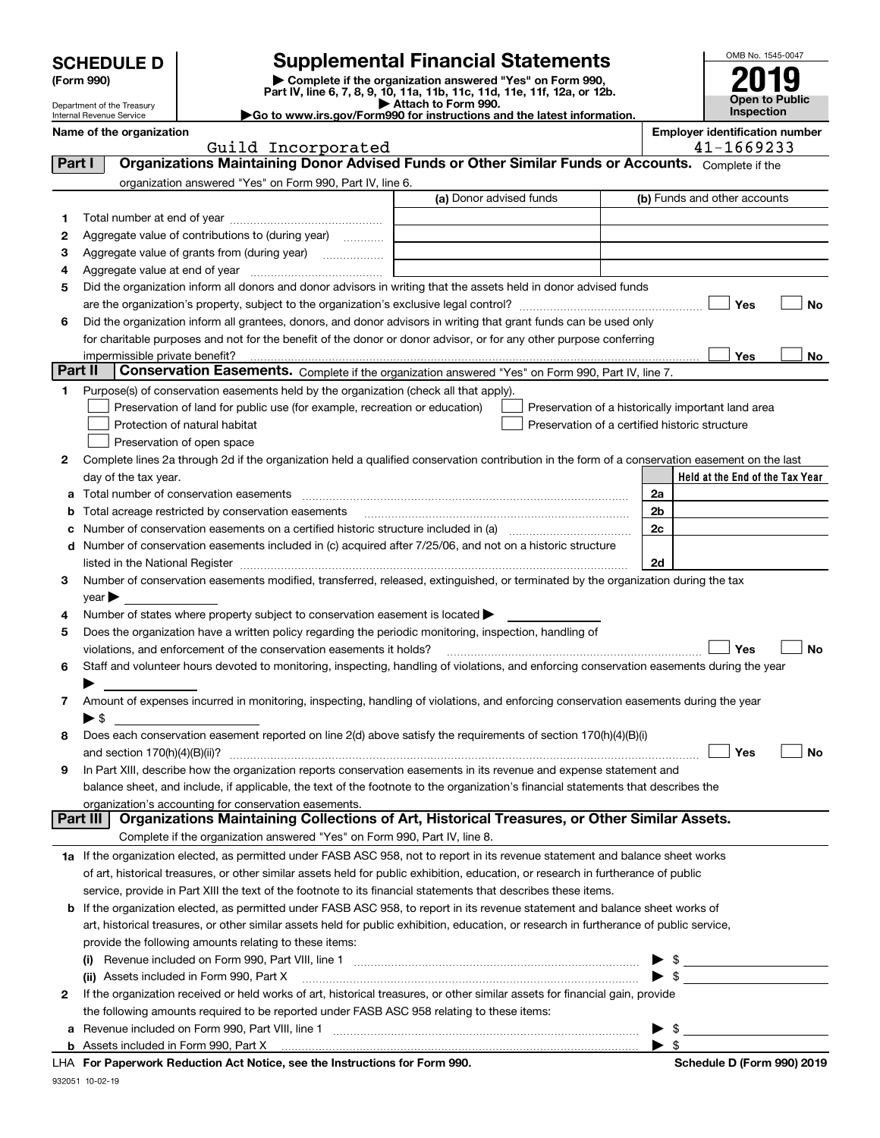Department of the Treasury

| (Form 990) |  |
|------------|--|
|------------|--|

# **Supplemental Financial Statements**

**(Form 990)** (**Form 990,**<br>Part IV, line 6, 7, 8, 9, 10, 11a, 11b, 11c, 11d, 11e, 11f, 12a, or 12b.<br>Department of the Treasury **and Exercise Connect Connect Connect Connect Connect Connect Connect Connect Connect** 

|  | Attach to Form 990. |  |
|--|---------------------|--|
|  |                     |  |



| <b>DUDAI HINIK OF HIGH HUGUGHY</b><br>$\blacktriangleright$ Go to www.irs.gov/Form990 for instructions and the latest information.<br>Internal Revenue Service |                    |  | <b>Inspection</b>                     |
|----------------------------------------------------------------------------------------------------------------------------------------------------------------|--------------------|--|---------------------------------------|
| Name of the organization                                                                                                                                       |                    |  | <b>Emplover identification number</b> |
|                                                                                                                                                                | Guild Incorporated |  | 41-1669233                            |

| Part I  | Organizations Maintaining Donor Advised Funds or Other Similar Funds or Accounts. Complete if the                                                                 |  |                                                    |  |  |  |
|---------|-------------------------------------------------------------------------------------------------------------------------------------------------------------------|--|----------------------------------------------------|--|--|--|
|         | organization answered "Yes" on Form 990, Part IV, line 6.                                                                                                         |  |                                                    |  |  |  |
|         | (a) Donor advised funds                                                                                                                                           |  | (b) Funds and other accounts                       |  |  |  |
| 1       |                                                                                                                                                                   |  |                                                    |  |  |  |
| 2       | Aggregate value of contributions to (during year)                                                                                                                 |  |                                                    |  |  |  |
| з       |                                                                                                                                                                   |  |                                                    |  |  |  |
| 4       |                                                                                                                                                                   |  |                                                    |  |  |  |
| 5       | Did the organization inform all donors and donor advisors in writing that the assets held in donor advised funds                                                  |  |                                                    |  |  |  |
|         |                                                                                                                                                                   |  | Yes<br>No                                          |  |  |  |
| 6       | Did the organization inform all grantees, donors, and donor advisors in writing that grant funds can be used only                                                 |  |                                                    |  |  |  |
|         | for charitable purposes and not for the benefit of the donor or donor advisor, or for any other purpose conferring                                                |  |                                                    |  |  |  |
|         |                                                                                                                                                                   |  | Yes<br>No                                          |  |  |  |
| Part II | Conservation Easements. Complete if the organization answered "Yes" on Form 990, Part IV, line 7.                                                                 |  |                                                    |  |  |  |
|         | Purpose(s) of conservation easements held by the organization (check all that apply).                                                                             |  |                                                    |  |  |  |
|         | Preservation of land for public use (for example, recreation or education)                                                                                        |  | Preservation of a historically important land area |  |  |  |
|         | Protection of natural habitat                                                                                                                                     |  | Preservation of a certified historic structure     |  |  |  |
|         | Preservation of open space                                                                                                                                        |  |                                                    |  |  |  |
| 2       | Complete lines 2a through 2d if the organization held a qualified conservation contribution in the form of a conservation easement on the last                    |  |                                                    |  |  |  |
|         | day of the tax year.                                                                                                                                              |  | Held at the End of the Tax Year                    |  |  |  |
| а       |                                                                                                                                                                   |  | 2a                                                 |  |  |  |
|         | Total acreage restricted by conservation easements                                                                                                                |  | 2b                                                 |  |  |  |
| с       | Number of conservation easements on a certified historic structure included in (a) manufacture included in (a)                                                    |  | 2c                                                 |  |  |  |
| d       | Number of conservation easements included in (c) acquired after 7/25/06, and not on a historic structure                                                          |  |                                                    |  |  |  |
|         |                                                                                                                                                                   |  | 2d                                                 |  |  |  |
| 3       | Number of conservation easements modified, transferred, released, extinguished, or terminated by the organization during the tax                                  |  |                                                    |  |  |  |
|         | year                                                                                                                                                              |  |                                                    |  |  |  |
| 4       | Number of states where property subject to conservation easement is located >                                                                                     |  |                                                    |  |  |  |
| 5       | Does the organization have a written policy regarding the periodic monitoring, inspection, handling of                                                            |  |                                                    |  |  |  |
|         | violations, and enforcement of the conservation easements it holds?                                                                                               |  | Yes<br>No                                          |  |  |  |
| 6       | Staff and volunteer hours devoted to monitoring, inspecting, handling of violations, and enforcing conservation easements during the year                         |  |                                                    |  |  |  |
|         |                                                                                                                                                                   |  |                                                    |  |  |  |
| 7       | Amount of expenses incurred in monitoring, inspecting, handling of violations, and enforcing conservation easements during the year                               |  |                                                    |  |  |  |
|         | $\blacktriangleright$ \$                                                                                                                                          |  |                                                    |  |  |  |
| 8       | Does each conservation easement reported on line 2(d) above satisfy the requirements of section 170(h)(4)(B)(i)                                                   |  |                                                    |  |  |  |
|         |                                                                                                                                                                   |  | Yes<br>No                                          |  |  |  |
| 9       | In Part XIII, describe how the organization reports conservation easements in its revenue and expense statement and                                               |  |                                                    |  |  |  |
|         | balance sheet, and include, if applicable, the text of the footnote to the organization's financial statements that describes the                                 |  |                                                    |  |  |  |
|         | organization's accounting for conservation easements.<br>Organizations Maintaining Collections of Art, Historical Treasures, or Other Similar Assets.<br>Part III |  |                                                    |  |  |  |
|         | Complete if the organization answered "Yes" on Form 990, Part IV, line 8.                                                                                         |  |                                                    |  |  |  |
|         |                                                                                                                                                                   |  |                                                    |  |  |  |
|         | 1a If the organization elected, as permitted under FASB ASC 958, not to report in its revenue statement and balance sheet works                                   |  |                                                    |  |  |  |
|         | of art, historical treasures, or other similar assets held for public exhibition, education, or research in furtherance of public                                 |  |                                                    |  |  |  |
|         | service, provide in Part XIII the text of the footnote to its financial statements that describes these items.                                                    |  |                                                    |  |  |  |
|         | If the organization elected, as permitted under FASB ASC 958, to report in its revenue statement and balance sheet works of<br>b                                  |  |                                                    |  |  |  |
|         | art, historical treasures, or other similar assets held for public exhibition, education, or research in furtherance of public service,                           |  |                                                    |  |  |  |
|         | provide the following amounts relating to these items:                                                                                                            |  |                                                    |  |  |  |
|         |                                                                                                                                                                   |  | \$                                                 |  |  |  |
|         | (ii) Assets included in Form 990, Part X                                                                                                                          |  | $\triangleright$ \$                                |  |  |  |
| 2       | If the organization received or held works of art, historical treasures, or other similar assets for financial gain, provide                                      |  |                                                    |  |  |  |
|         | the following amounts required to be reported under FASB ASC 958 relating to these items:                                                                         |  |                                                    |  |  |  |
| а       |                                                                                                                                                                   |  | - \$<br>▶<br>$\blacktriangleright$ \$              |  |  |  |
|         | <b>LUA For Department Reduction Act Notice, see the Instructions for Form 000</b>                                                                                 |  | Pohodulo D (Form 000) 2010                         |  |  |  |

932051 10-02-19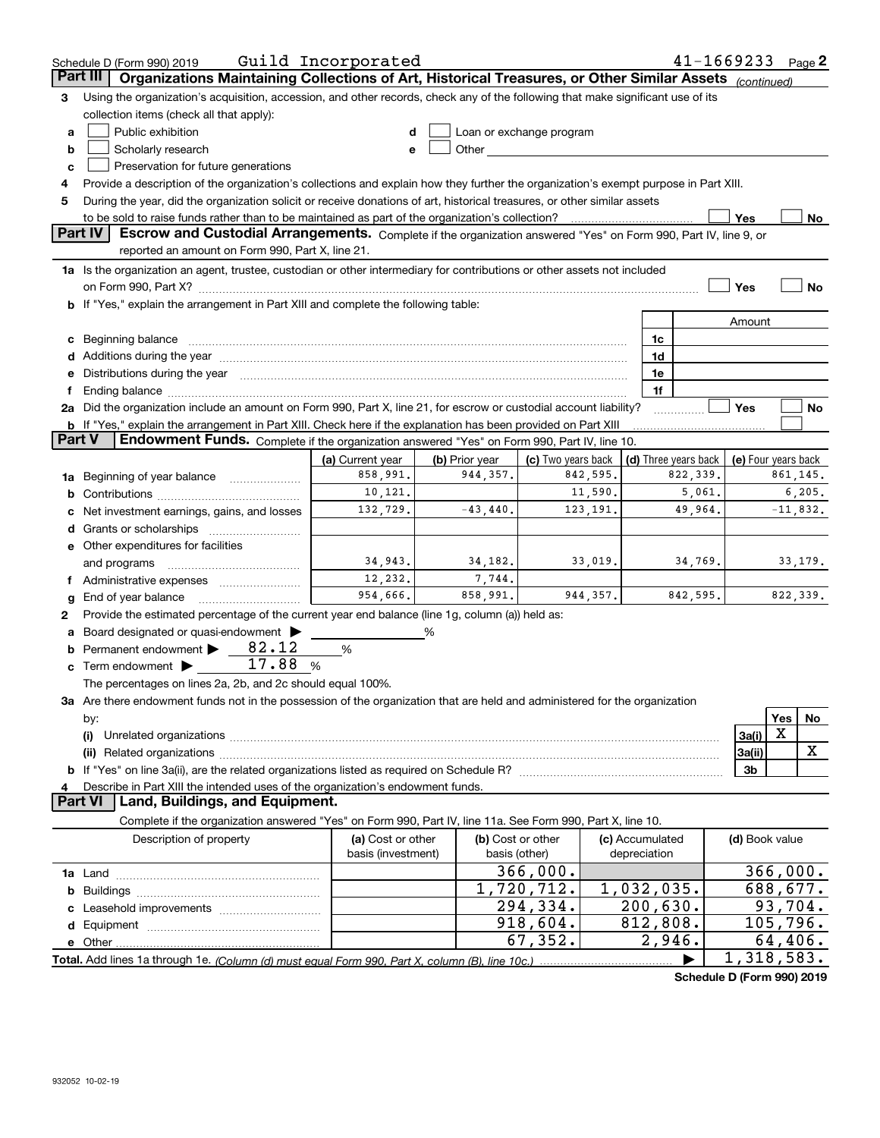|                 | Schedule D (Form 990) 2019                                                                                                                                                                                                     | Guild Incorporated |                |                                                                                                                                                                                                                                |           |                      | $41 - 1669233$ Page 2      |                     |           |            |
|-----------------|--------------------------------------------------------------------------------------------------------------------------------------------------------------------------------------------------------------------------------|--------------------|----------------|--------------------------------------------------------------------------------------------------------------------------------------------------------------------------------------------------------------------------------|-----------|----------------------|----------------------------|---------------------|-----------|------------|
| <b>Part III</b> | Organizations Maintaining Collections of Art, Historical Treasures, or Other Similar Assets (continued)                                                                                                                        |                    |                |                                                                                                                                                                                                                                |           |                      |                            |                     |           |            |
| 3               | Using the organization's acquisition, accession, and other records, check any of the following that make significant use of its                                                                                                |                    |                |                                                                                                                                                                                                                                |           |                      |                            |                     |           |            |
|                 | collection items (check all that apply):                                                                                                                                                                                       |                    |                |                                                                                                                                                                                                                                |           |                      |                            |                     |           |            |
| a               | Public exhibition                                                                                                                                                                                                              |                    |                | Loan or exchange program                                                                                                                                                                                                       |           |                      |                            |                     |           |            |
| b               | Scholarly research                                                                                                                                                                                                             | е                  |                | Other and the control of the control of the control of the control of the control of the control of the control of the control of the control of the control of the control of the control of the control of the control of th |           |                      |                            |                     |           |            |
| c               | Preservation for future generations                                                                                                                                                                                            |                    |                |                                                                                                                                                                                                                                |           |                      |                            |                     |           |            |
|                 | Provide a description of the organization's collections and explain how they further the organization's exempt purpose in Part XIII.                                                                                           |                    |                |                                                                                                                                                                                                                                |           |                      |                            |                     |           |            |
| 5               | During the year, did the organization solicit or receive donations of art, historical treasures, or other similar assets                                                                                                       |                    |                |                                                                                                                                                                                                                                |           |                      |                            |                     |           |            |
|                 | to be sold to raise funds rather than to be maintained as part of the organization's collection?                                                                                                                               |                    |                |                                                                                                                                                                                                                                |           |                      |                            | Yes                 |           | No         |
| Part IV         | Escrow and Custodial Arrangements. Complete if the organization answered "Yes" on Form 990, Part IV, line 9, or                                                                                                                |                    |                |                                                                                                                                                                                                                                |           |                      |                            |                     |           |            |
|                 | reported an amount on Form 990, Part X, line 21.                                                                                                                                                                               |                    |                |                                                                                                                                                                                                                                |           |                      |                            |                     |           |            |
|                 | 1a Is the organization an agent, trustee, custodian or other intermediary for contributions or other assets not included                                                                                                       |                    |                |                                                                                                                                                                                                                                |           |                      |                            |                     |           |            |
|                 |                                                                                                                                                                                                                                |                    |                |                                                                                                                                                                                                                                |           |                      |                            | Yes                 |           | No         |
|                 | b If "Yes," explain the arrangement in Part XIII and complete the following table:                                                                                                                                             |                    |                |                                                                                                                                                                                                                                |           |                      |                            |                     |           |            |
|                 |                                                                                                                                                                                                                                |                    |                |                                                                                                                                                                                                                                |           |                      |                            | Amount              |           |            |
|                 |                                                                                                                                                                                                                                |                    |                |                                                                                                                                                                                                                                |           | 1c                   |                            |                     |           |            |
|                 |                                                                                                                                                                                                                                |                    |                |                                                                                                                                                                                                                                |           | 1d                   |                            |                     |           |            |
|                 | e Distributions during the year manufactured and contain an account of the year manufactured and the year manufactured and the year manufactured and the year manufactured and the year manufactured and the year manufactured |                    |                |                                                                                                                                                                                                                                |           | 1e                   |                            |                     |           |            |
|                 |                                                                                                                                                                                                                                |                    |                |                                                                                                                                                                                                                                |           | 1f                   |                            |                     |           |            |
|                 | 2a Did the organization include an amount on Form 990, Part X, line 21, for escrow or custodial account liability?                                                                                                             |                    |                |                                                                                                                                                                                                                                |           |                      |                            | Yes                 |           | No         |
|                 | <b>b</b> If "Yes," explain the arrangement in Part XIII. Check here if the explanation has been provided on Part XIII                                                                                                          |                    |                |                                                                                                                                                                                                                                |           |                      |                            |                     |           |            |
| <b>Part V</b>   | <b>Endowment Funds.</b> Complete if the organization answered "Yes" on Form 990, Part IV, line 10.                                                                                                                             |                    |                |                                                                                                                                                                                                                                |           |                      |                            |                     |           |            |
|                 |                                                                                                                                                                                                                                | (a) Current year   | (b) Prior year | (c) Two years back                                                                                                                                                                                                             |           | (d) Three years back |                            | (e) Four years back |           |            |
| 1a              | Beginning of year balance                                                                                                                                                                                                      | 858,991.           | 944, 357.      |                                                                                                                                                                                                                                | 842,595.  |                      | 822,339.                   |                     |           | 861,145.   |
| b               |                                                                                                                                                                                                                                | 10, 121.           |                |                                                                                                                                                                                                                                | 11,590.   |                      | 5,061.                     |                     |           | 6, 205.    |
|                 | Net investment earnings, gains, and losses                                                                                                                                                                                     | 132,729.           | $-43,440.$     |                                                                                                                                                                                                                                | 123, 191. |                      | 49,964.                    |                     |           | $-11,832.$ |
|                 |                                                                                                                                                                                                                                |                    |                |                                                                                                                                                                                                                                |           |                      |                            |                     |           |            |
|                 | e Other expenditures for facilities                                                                                                                                                                                            |                    |                |                                                                                                                                                                                                                                |           |                      |                            |                     |           |            |
|                 | and programs                                                                                                                                                                                                                   | 34,943.            | 34, 182.       |                                                                                                                                                                                                                                | 33,019.   |                      | 34,769.                    |                     |           | 33,179.    |
|                 |                                                                                                                                                                                                                                | 12,232.            | 7,744.         |                                                                                                                                                                                                                                |           |                      |                            |                     |           |            |
|                 | End of year balance                                                                                                                                                                                                            | 954,666.           | 858,991.       |                                                                                                                                                                                                                                | 944, 357. |                      | 842,595.                   |                     |           | 822,339.   |
| 2               | Provide the estimated percentage of the current year end balance (line 1g, column (a)) held as:                                                                                                                                |                    |                |                                                                                                                                                                                                                                |           |                      |                            |                     |           |            |
|                 | Board designated or quasi-endowment                                                                                                                                                                                            |                    | %              |                                                                                                                                                                                                                                |           |                      |                            |                     |           |            |
| b               | Permanent endowment $82.12$<br>17.88                                                                                                                                                                                           | %                  |                |                                                                                                                                                                                                                                |           |                      |                            |                     |           |            |
| c               | Term endowment >                                                                                                                                                                                                               | %                  |                |                                                                                                                                                                                                                                |           |                      |                            |                     |           |            |
|                 | The percentages on lines 2a, 2b, and 2c should equal 100%.                                                                                                                                                                     |                    |                |                                                                                                                                                                                                                                |           |                      |                            |                     |           |            |
|                 | <b>3a</b> Are there endowment funds not in the possession of the organization that are held and administered for the organization                                                                                              |                    |                |                                                                                                                                                                                                                                |           |                      |                            |                     |           |            |
|                 | by:                                                                                                                                                                                                                            |                    |                |                                                                                                                                                                                                                                |           |                      |                            |                     | Yes<br>Χ  | No         |
|                 | (i)                                                                                                                                                                                                                            |                    |                |                                                                                                                                                                                                                                |           |                      |                            | 3a(i)               |           | X          |
|                 |                                                                                                                                                                                                                                |                    |                |                                                                                                                                                                                                                                |           |                      |                            | 3a(ii)<br>3b        |           |            |
|                 |                                                                                                                                                                                                                                |                    |                |                                                                                                                                                                                                                                |           |                      |                            |                     |           |            |
| <b>Part VI</b>  | Describe in Part XIII the intended uses of the organization's endowment funds.<br>Land, Buildings, and Equipment.                                                                                                              |                    |                |                                                                                                                                                                                                                                |           |                      |                            |                     |           |            |
|                 | Complete if the organization answered "Yes" on Form 990, Part IV, line 11a. See Form 990, Part X, line 10.                                                                                                                     |                    |                |                                                                                                                                                                                                                                |           |                      |                            |                     |           |            |
|                 | Description of property                                                                                                                                                                                                        | (a) Cost or other  |                | (b) Cost or other                                                                                                                                                                                                              |           | (c) Accumulated      |                            | (d) Book value      |           |            |
|                 |                                                                                                                                                                                                                                | basis (investment) | basis (other)  |                                                                                                                                                                                                                                |           | depreciation         |                            |                     |           |            |
|                 |                                                                                                                                                                                                                                |                    |                | 366,000.                                                                                                                                                                                                                       |           |                      |                            |                     |           | 366,000.   |
|                 |                                                                                                                                                                                                                                |                    |                | 1,720,712.                                                                                                                                                                                                                     |           | 1,032,035.           |                            |                     |           | 688, 677.  |
|                 |                                                                                                                                                                                                                                |                    |                | 294,334.                                                                                                                                                                                                                       |           | 200,630.             |                            |                     | 93,704.   |            |
|                 |                                                                                                                                                                                                                                |                    |                | 918,604.                                                                                                                                                                                                                       |           | 812,808.             |                            |                     | 105, 796. |            |
|                 |                                                                                                                                                                                                                                |                    |                | 67,352.                                                                                                                                                                                                                        |           | 2,946.               |                            |                     | 64,406.   |            |
|                 |                                                                                                                                                                                                                                |                    |                |                                                                                                                                                                                                                                |           |                      |                            | 1,318,583.          |           |            |
|                 |                                                                                                                                                                                                                                |                    |                |                                                                                                                                                                                                                                |           |                      | Cahadula D (Faum 000) 0040 |                     |           |            |

**Schedule D (Form 990) 2019**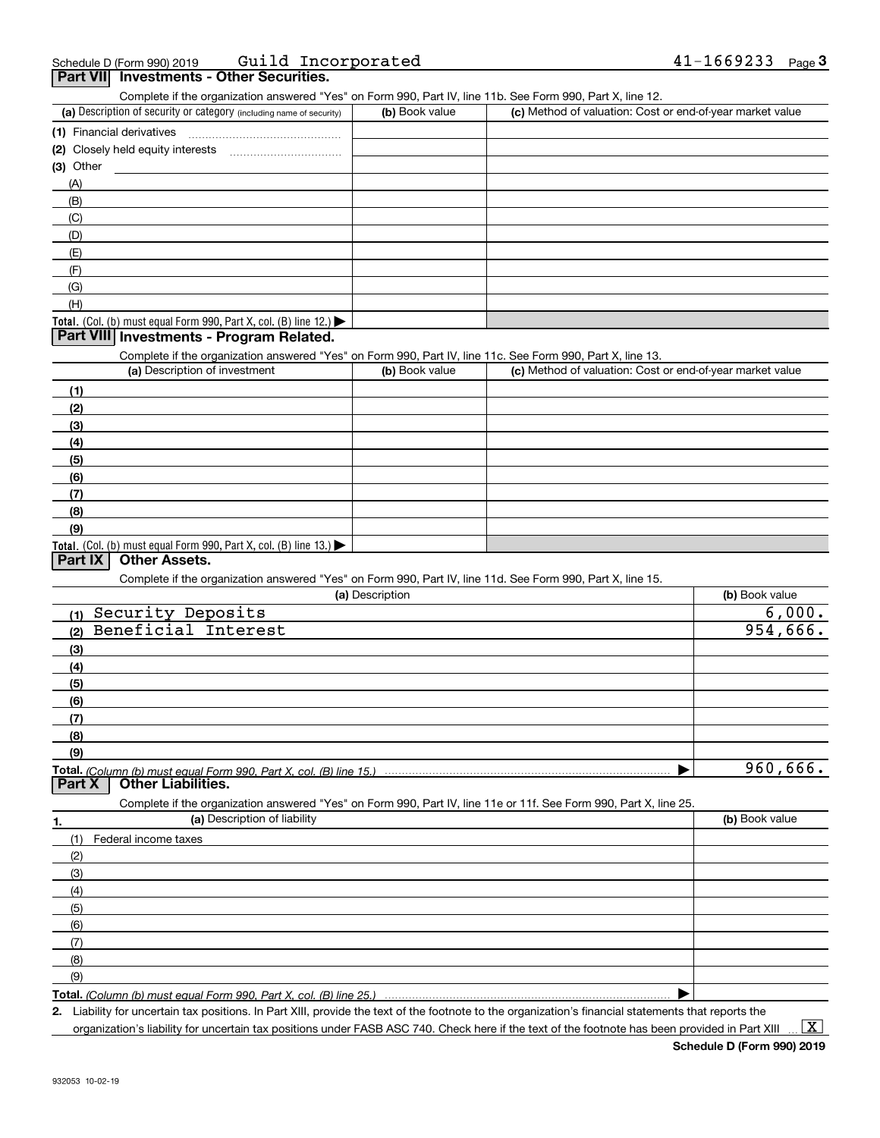ichedule D (Form 990) 2019 Guild Incorporated <br><mark>Part VII</mark> Investments - Other Securities.<br>Complete if the organization answered "Yes" on Form 990, Part IV, line 11b. See Form 990, Part

| (a) Description of security or category (including name of security)       | (b) Book value | (c) Method of valuation: Cost or end-of-year market value |
|----------------------------------------------------------------------------|----------------|-----------------------------------------------------------|
| (1) Financial derivatives                                                  |                |                                                           |
| (2) Closely held equity interests                                          |                |                                                           |
| $(3)$ Other                                                                |                |                                                           |
| (A)                                                                        |                |                                                           |
| (B)                                                                        |                |                                                           |
| (C)                                                                        |                |                                                           |
| (D)                                                                        |                |                                                           |
| (E)                                                                        |                |                                                           |
| (F)                                                                        |                |                                                           |
| (G)                                                                        |                |                                                           |
| (H)                                                                        |                |                                                           |
| <b>Total.</b> (Col. (b) must equal Form 990, Part X, col. (B) line $12$ .) |                |                                                           |

#### **Part VIII Investments - Program Related.**

Complete if the organization answered "Yes" on Form 990, Part IV, line 11c. See Form 990, Part X, line 13.

| (a) Description of investment                                                                 | (b) Book value | (c) Method of valuation: Cost or end-of-year market value |
|-----------------------------------------------------------------------------------------------|----------------|-----------------------------------------------------------|
| (1)                                                                                           |                |                                                           |
| (2)                                                                                           |                |                                                           |
| $\left(3\right)$                                                                              |                |                                                           |
| (4)                                                                                           |                |                                                           |
| $\left(5\right)$                                                                              |                |                                                           |
| (6)                                                                                           |                |                                                           |
| (7)                                                                                           |                |                                                           |
| (8)                                                                                           |                |                                                           |
| (9)                                                                                           |                |                                                           |
| <b>Total.</b> (Col. (b) must equal Form 990, Part X, col. (B) line 13.) $\blacktriangleright$ |                |                                                           |

#### **Part IX Other Assets.**

Complete if the organization answered "Yes" on Form 990, Part IV, line 11d. See Form 990, Part X, line 15.

| (a) Description                                                                                                   | (b) Book value |
|-------------------------------------------------------------------------------------------------------------------|----------------|
| Security Deposits<br>(1)                                                                                          | 6,000.         |
| Beneficial Interest<br>(2)                                                                                        | 954,666.       |
| (3)                                                                                                               |                |
| (4)                                                                                                               |                |
| (5)                                                                                                               |                |
| (6)                                                                                                               |                |
| (7)                                                                                                               |                |
| (8)                                                                                                               |                |
| (9)                                                                                                               |                |
|                                                                                                                   | 960, 666.      |
| <b>Other Liabilities.</b><br>Part X                                                                               |                |
| Complete if the organization answered "Yes" on Form 990, Part IV, line 11e or 11f. See Form 990, Part X, line 25. |                |
| (a) Description of liability<br>1.                                                                                | (b) Book value |
| Federal income taxes<br>(1)                                                                                       |                |
| (2)                                                                                                               |                |
| (3)                                                                                                               |                |
| (4)                                                                                                               |                |
| (5)                                                                                                               |                |
| (6)                                                                                                               |                |
| (7)                                                                                                               |                |
| (8)                                                                                                               |                |
| (9)                                                                                                               |                |

**Total.**  *(Column (b) must equal Form 990, Part X, col. (B) line 25.)*

**2.** | Liability for uncertain tax positions. In Part XIII, provide the text of the footnote to the organization's financial statements that reports the

organization's liability for uncertain tax positions under FASB ASC 740. Check here if the text of the footnote has been provided in Part XIII

 $\vert$  X  $\vert$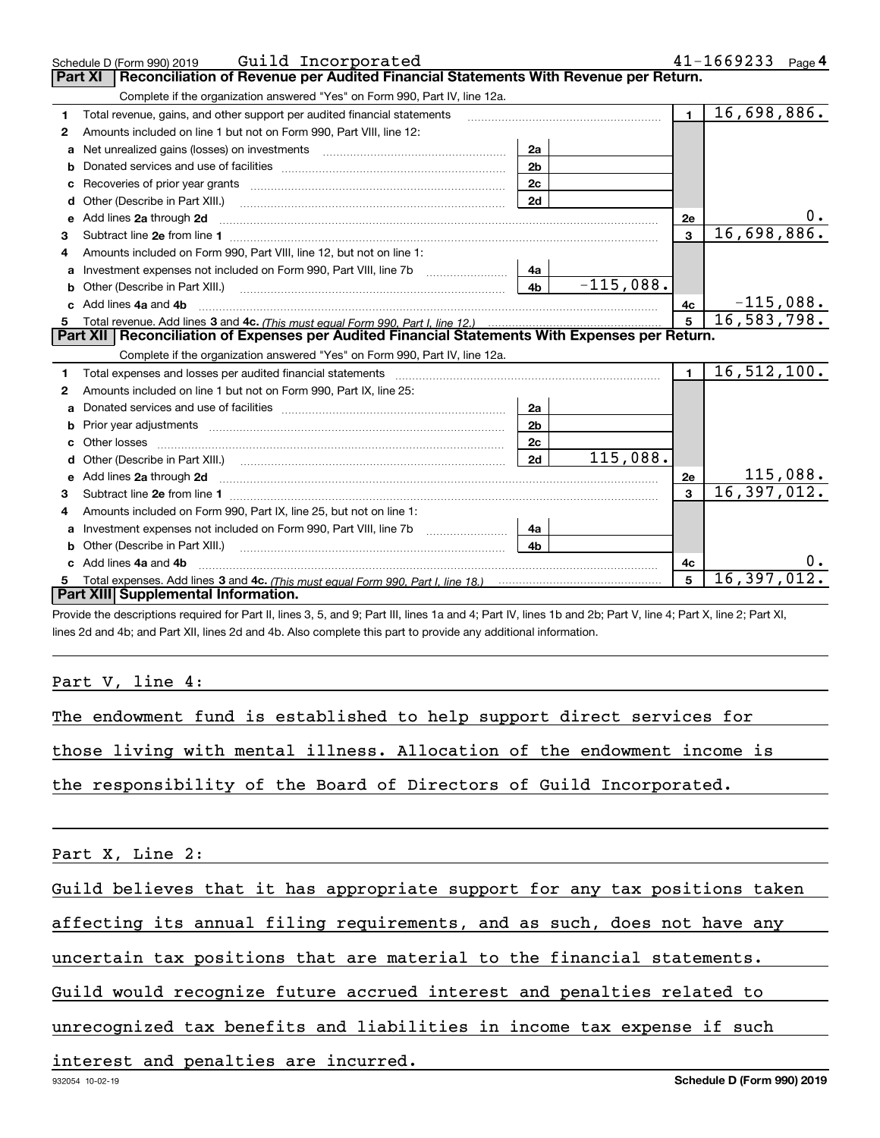|    | Guild Incorporated<br>Schedule D (Form 990) 2019                                                                                                                                                                                    |                |             |                | 41-1669233    | Page 4 |
|----|-------------------------------------------------------------------------------------------------------------------------------------------------------------------------------------------------------------------------------------|----------------|-------------|----------------|---------------|--------|
|    | Reconciliation of Revenue per Audited Financial Statements With Revenue per Return.<br><b>Part XI</b>                                                                                                                               |                |             |                |               |        |
|    | Complete if the organization answered "Yes" on Form 990, Part IV, line 12a.                                                                                                                                                         |                |             |                |               |        |
| 1. | Total revenue, gains, and other support per audited financial statements                                                                                                                                                            |                |             | $\blacksquare$ | 16,698,886.   |        |
| 2  | Amounts included on line 1 but not on Form 990, Part VIII, line 12:                                                                                                                                                                 |                |             |                |               |        |
| a  | Net unrealized gains (losses) on investments [11] [11] Net unrealized gains (losses) on investments                                                                                                                                 | 2a             |             |                |               |        |
| b  |                                                                                                                                                                                                                                     | 2 <sub>b</sub> |             |                |               |        |
|    |                                                                                                                                                                                                                                     | 2c             |             |                |               |        |
|    |                                                                                                                                                                                                                                     | 2d             |             |                |               |        |
| e  | Add lines 2a through 2d                                                                                                                                                                                                             |                |             | 2e             |               |        |
| 3  |                                                                                                                                                                                                                                     |                |             | $\mathbf{3}$   | 16,698,886.   |        |
| 4  | Amounts included on Form 990, Part VIII, line 12, but not on line 1:                                                                                                                                                                |                |             |                |               |        |
| a  |                                                                                                                                                                                                                                     | 4a             |             |                |               |        |
| b  | Other (Describe in Part XIII.) [100] [100] [100] [100] [100] [100] [100] [100] [100] [100] [100] [100] [100] [                                                                                                                      | 4 <sub>b</sub> | $-115,088.$ |                |               |        |
|    | Add lines 4a and 4b                                                                                                                                                                                                                 |                |             | 4c             | $-115,088.$   |        |
|    |                                                                                                                                                                                                                                     |                |             | 5              | 16, 583, 798. |        |
|    | Part XII   Reconciliation of Expenses per Audited Financial Statements With Expenses per Return.                                                                                                                                    |                |             |                |               |        |
|    | Complete if the organization answered "Yes" on Form 990, Part IV, line 12a.                                                                                                                                                         |                |             |                |               |        |
| 1  | Total expenses and losses per audited financial statements                                                                                                                                                                          |                |             | $\mathbf{1}$   | 16, 512, 100. |        |
| 2  | Amounts included on line 1 but not on Form 990, Part IX, line 25:                                                                                                                                                                   |                |             |                |               |        |
| a  |                                                                                                                                                                                                                                     | 2a             |             |                |               |        |
| b  |                                                                                                                                                                                                                                     | 2 <sub>b</sub> |             |                |               |        |
|    |                                                                                                                                                                                                                                     | 2c             |             |                |               |        |
| d  |                                                                                                                                                                                                                                     | 2d             | 115,088.    |                |               |        |
| e  | Add lines 2a through 2d <b>contract and all anomalisation</b> and all anomalisation of the state of the state of the state of the state of the state of the state of the state of the state of the state of the state of the state  |                |             | 2e             | 115,088.      |        |
| 3  |                                                                                                                                                                                                                                     |                |             | 3              | 16,397,012.   |        |
| 4  | Amounts included on Form 990, Part IX, line 25, but not on line 1:                                                                                                                                                                  |                |             |                |               |        |
| a  |                                                                                                                                                                                                                                     | 4a             |             |                |               |        |
| b  | Other (Describe in Part XIII.) <b>Construction Contract Construction</b> Chemical Construction Chemical Chemical Chemical Chemical Chemical Chemical Chemical Chemical Chemical Chemical Chemical Chemical Chemical Chemical Chemic | 4 <sub>h</sub> |             |                |               |        |
|    | Add lines 4a and 4b                                                                                                                                                                                                                 |                |             | 4c             |               | 0.     |
| 5. |                                                                                                                                                                                                                                     |                |             | 5              | 16, 397, 012. |        |
|    | Part XIII Supplemental Information.                                                                                                                                                                                                 |                |             |                |               |        |
|    |                                                                                                                                                                                                                                     |                |             |                |               |        |

lines 2d and 4b; and Part XII, lines 2d and 4b. Also complete this part to provide any additional information.

Part V, line 4:

The endowment fund is established to help support direct services for

those living with mental illness. Allocation of the endowment income is

the responsibility of the Board of Directors of Guild Incorporated.

Part X, Line 2:

Guild believes that it has appropriate support for any tax positions taken

affecting its annual filing requirements, and as such, does not have any

uncertain tax positions that are material to the financial statements.

Guild would recognize future accrued interest and penalties related to

unrecognized tax benefits and liabilities in income tax expense if such

interest and penalties are incurred.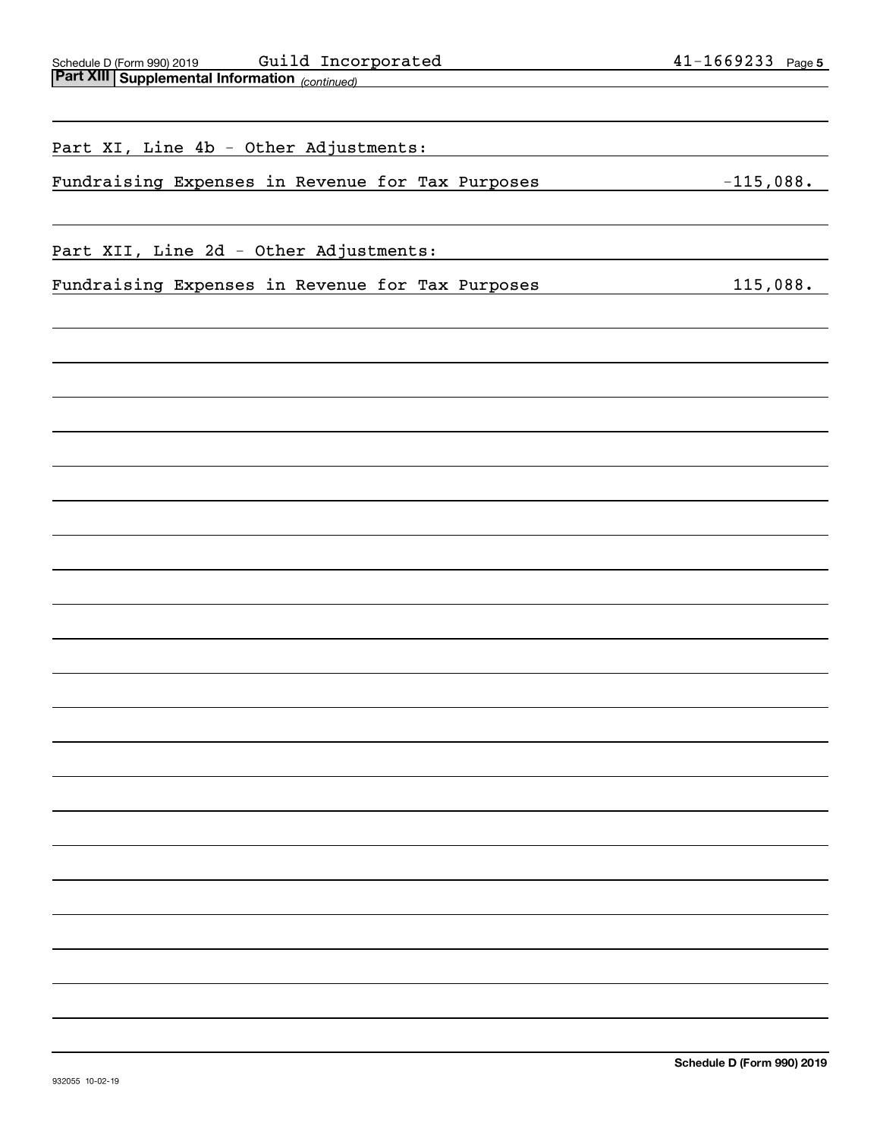| Guild Incorporated                                                                              | $41 - 1669233$ Page 5 |
|-------------------------------------------------------------------------------------------------|-----------------------|
| Schedule D (Form 990) 2019 Guild Incol<br><b>Part XIII Supplemental Information</b> (continued) |                       |
|                                                                                                 |                       |
| Part XI, Line 4b - Other Adjustments:                                                           |                       |
| Fundraising Expenses in Revenue for Tax Purposes                                                | $-115,088.$           |
|                                                                                                 |                       |
| Part XII, Line 2d - Other Adjustments:                                                          |                       |
| Fundraising Expenses in Revenue for Tax Purposes                                                | 115,088.              |
|                                                                                                 |                       |
|                                                                                                 |                       |
|                                                                                                 |                       |
|                                                                                                 |                       |
|                                                                                                 |                       |
|                                                                                                 |                       |
|                                                                                                 |                       |
|                                                                                                 |                       |
|                                                                                                 |                       |
|                                                                                                 |                       |
|                                                                                                 |                       |
|                                                                                                 |                       |
|                                                                                                 |                       |
|                                                                                                 |                       |
|                                                                                                 |                       |
|                                                                                                 |                       |
|                                                                                                 |                       |
|                                                                                                 |                       |
|                                                                                                 |                       |
|                                                                                                 |                       |
|                                                                                                 |                       |
|                                                                                                 |                       |
|                                                                                                 |                       |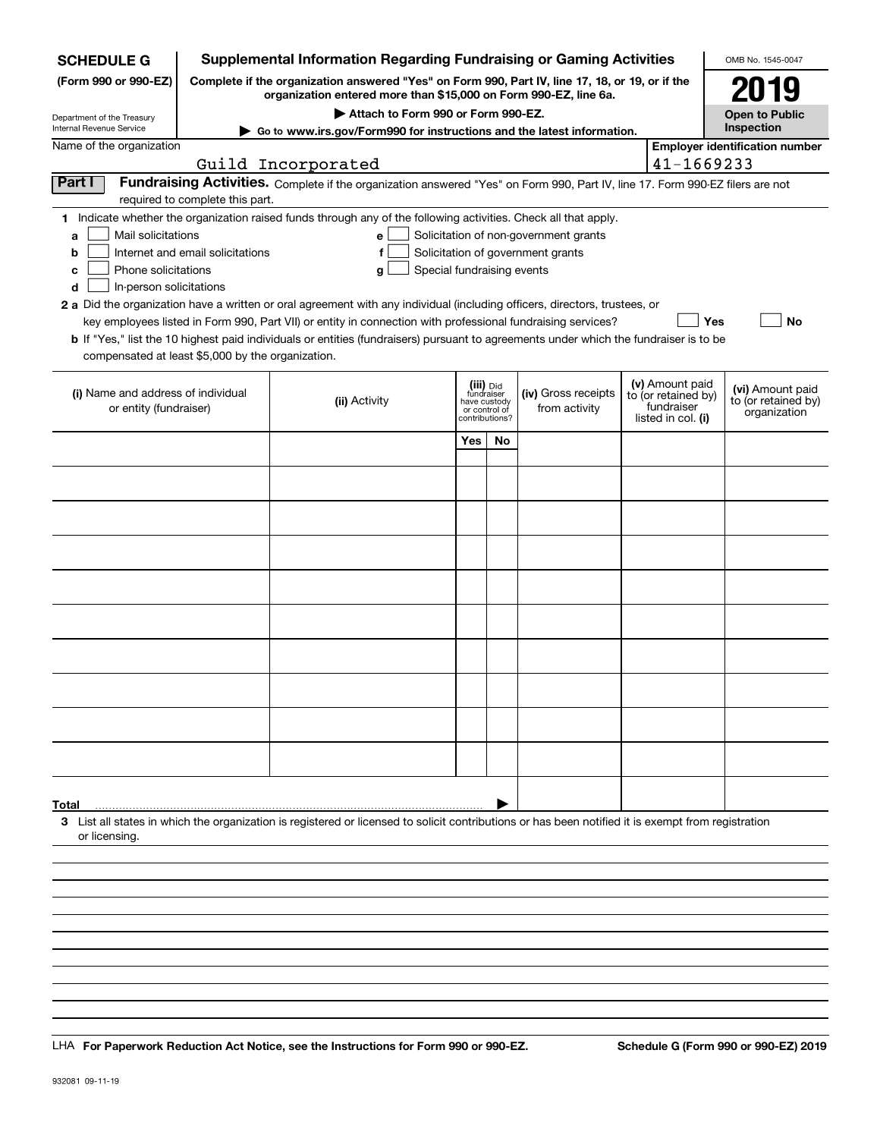| <b>SCHEDULE G</b>                                    |                                                                                                                                                                     | <b>Supplemental Information Regarding Fundraising or Gaming Activities</b>                                                                         |                                                 |    |                                       |                                  |                                        | OMB No. 1545-0047                     |
|------------------------------------------------------|---------------------------------------------------------------------------------------------------------------------------------------------------------------------|----------------------------------------------------------------------------------------------------------------------------------------------------|-------------------------------------------------|----|---------------------------------------|----------------------------------|----------------------------------------|---------------------------------------|
| (Form 990 or 990-EZ)                                 | Complete if the organization answered "Yes" on Form 990, Part IV, line 17, 18, or 19, or if the<br>organization entered more than \$15,000 on Form 990-EZ, line 6a. | 2019                                                                                                                                               |                                                 |    |                                       |                                  |                                        |                                       |
| Department of the Treasury                           |                                                                                                                                                                     | Attach to Form 990 or Form 990-EZ.                                                                                                                 |                                                 |    |                                       |                                  |                                        | <b>Open to Public</b><br>Inspection   |
| Internal Revenue Service<br>Name of the organization |                                                                                                                                                                     | ► Go to www.irs.gov/Form990 for instructions and the latest information.                                                                           |                                                 |    |                                       |                                  |                                        | <b>Employer identification number</b> |
|                                                      |                                                                                                                                                                     | Guild Incorporated                                                                                                                                 |                                                 |    |                                       |                                  | 41-1669233                             |                                       |
| Part I                                               |                                                                                                                                                                     | Fundraising Activities. Complete if the organization answered "Yes" on Form 990, Part IV, line 17. Form 990-EZ filers are not                      |                                                 |    |                                       |                                  |                                        |                                       |
|                                                      | required to complete this part.                                                                                                                                     |                                                                                                                                                    |                                                 |    |                                       |                                  |                                        |                                       |
|                                                      |                                                                                                                                                                     | 1 Indicate whether the organization raised funds through any of the following activities. Check all that apply.                                    |                                                 |    |                                       |                                  |                                        |                                       |
| Mail solicitations<br>a                              |                                                                                                                                                                     | е<br>f                                                                                                                                             |                                                 |    | Solicitation of non-government grants |                                  |                                        |                                       |
| b<br>Phone solicitations<br>c                        | Internet and email solicitations                                                                                                                                    | Special fundraising events<br>g                                                                                                                    |                                                 |    | Solicitation of government grants     |                                  |                                        |                                       |
| In-person solicitations<br>d                         |                                                                                                                                                                     |                                                                                                                                                    |                                                 |    |                                       |                                  |                                        |                                       |
|                                                      |                                                                                                                                                                     | 2 a Did the organization have a written or oral agreement with any individual (including officers, directors, trustees, or                         |                                                 |    |                                       |                                  |                                        |                                       |
|                                                      |                                                                                                                                                                     | key employees listed in Form 990, Part VII) or entity in connection with professional fundraising services?                                        |                                                 |    |                                       |                                  |                                        | Yes<br>No                             |
| compensated at least \$5,000 by the organization.    |                                                                                                                                                                     | <b>b</b> If "Yes," list the 10 highest paid individuals or entities (fundraisers) pursuant to agreements under which the fundraiser is to be       |                                                 |    |                                       |                                  |                                        |                                       |
|                                                      |                                                                                                                                                                     |                                                                                                                                                    |                                                 |    |                                       |                                  |                                        |                                       |
| (i) Name and address of individual                   |                                                                                                                                                                     |                                                                                                                                                    | (iii) Did<br>fundraiser                         |    | (iv) Gross receipts                   |                                  | (v) Amount paid<br>to (or retained by) | (vi) Amount paid                      |
| or entity (fundraiser)                               |                                                                                                                                                                     | (ii) Activity                                                                                                                                      | have custody<br>or control of<br>contributions? |    | from activity                         | fundraiser<br>listed in col. (i) |                                        | to (or retained by)<br>organization   |
|                                                      |                                                                                                                                                                     |                                                                                                                                                    |                                                 |    |                                       |                                  |                                        |                                       |
|                                                      |                                                                                                                                                                     |                                                                                                                                                    | Yes                                             | No |                                       |                                  |                                        |                                       |
|                                                      |                                                                                                                                                                     |                                                                                                                                                    |                                                 |    |                                       |                                  |                                        |                                       |
|                                                      |                                                                                                                                                                     |                                                                                                                                                    |                                                 |    |                                       |                                  |                                        |                                       |
|                                                      |                                                                                                                                                                     |                                                                                                                                                    |                                                 |    |                                       |                                  |                                        |                                       |
|                                                      |                                                                                                                                                                     |                                                                                                                                                    |                                                 |    |                                       |                                  |                                        |                                       |
|                                                      |                                                                                                                                                                     |                                                                                                                                                    |                                                 |    |                                       |                                  |                                        |                                       |
|                                                      |                                                                                                                                                                     |                                                                                                                                                    |                                                 |    |                                       |                                  |                                        |                                       |
|                                                      |                                                                                                                                                                     |                                                                                                                                                    |                                                 |    |                                       |                                  |                                        |                                       |
|                                                      |                                                                                                                                                                     |                                                                                                                                                    |                                                 |    |                                       |                                  |                                        |                                       |
|                                                      |                                                                                                                                                                     |                                                                                                                                                    |                                                 |    |                                       |                                  |                                        |                                       |
|                                                      |                                                                                                                                                                     |                                                                                                                                                    |                                                 |    |                                       |                                  |                                        |                                       |
|                                                      |                                                                                                                                                                     |                                                                                                                                                    |                                                 |    |                                       |                                  |                                        |                                       |
| Total                                                |                                                                                                                                                                     |                                                                                                                                                    |                                                 |    |                                       |                                  |                                        |                                       |
| or licensing.                                        |                                                                                                                                                                     | 3 List all states in which the organization is registered or licensed to solicit contributions or has been notified it is exempt from registration |                                                 |    |                                       |                                  |                                        |                                       |
|                                                      |                                                                                                                                                                     |                                                                                                                                                    |                                                 |    |                                       |                                  |                                        |                                       |
|                                                      |                                                                                                                                                                     |                                                                                                                                                    |                                                 |    |                                       |                                  |                                        |                                       |
|                                                      |                                                                                                                                                                     |                                                                                                                                                    |                                                 |    |                                       |                                  |                                        |                                       |
|                                                      |                                                                                                                                                                     |                                                                                                                                                    |                                                 |    |                                       |                                  |                                        |                                       |

LHA For Paperwork Reduction Act Notice, see the Instructions for Form 990 or 990-EZ. Schedule G (Form 990 or 990-EZ) 2019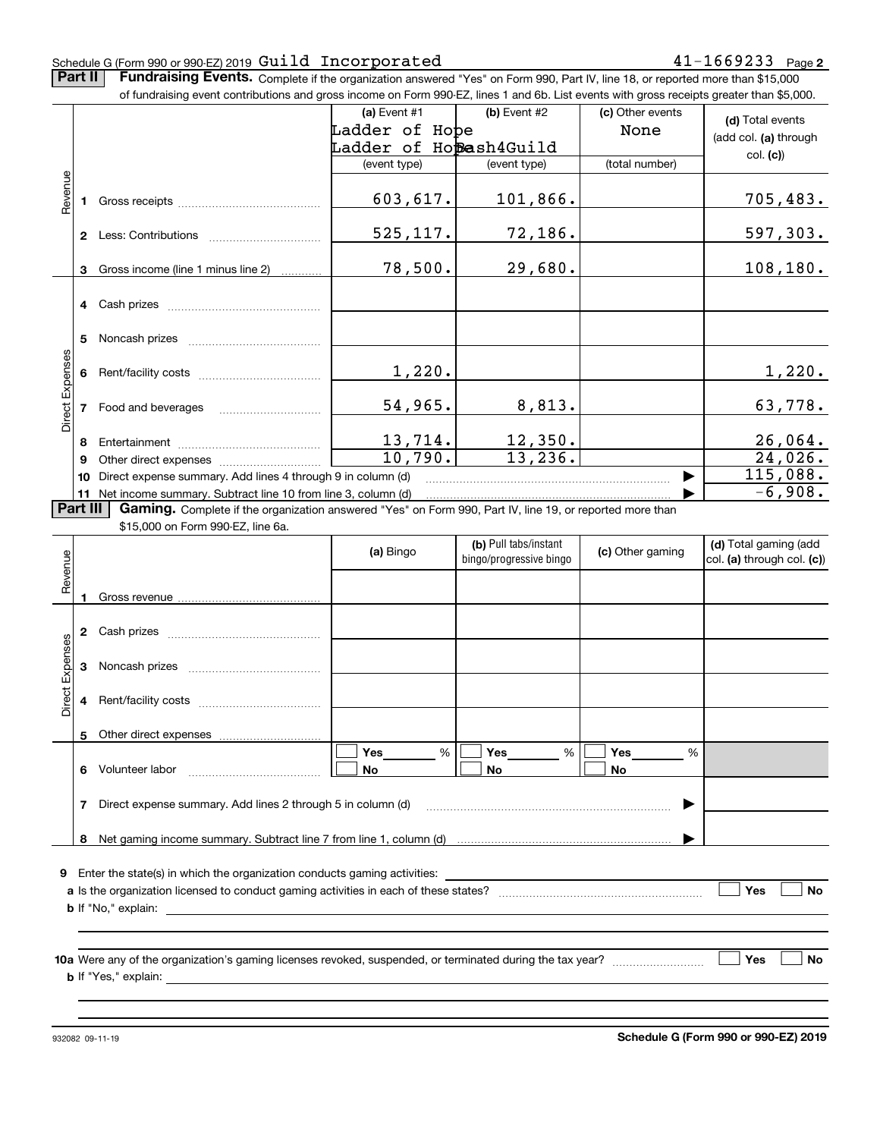#### Schedule G (Form 990 or 990-EZ) 2019  ${\color{red}{\rm Guild}}$  . Incorporated  ${\color{red}{\rm Quilb}}$  and  ${\color{red}{\rm Quilb}}$  and  ${\color{red}{\rm Quilb}}$  and  ${\color{red}{\rm Quilb}}$

**2**

**Part II Fundraising Events.** Complete if the organization answered "Yes" on Form 990, Part IV, line 18, or reported more than \$15,000<br>15.000 of fundraising event contributions and gross income on Form 990-EZ. lines 1 an of fundraising event contributions and gross income on Form 990-EZ, lines 1 and 6b. List events with gross receipts greater than \$5,000. ┱ ┓ **(a)** Event #1 **(b)** Event #2 **(c)** Other events

|                 |                                                                 |                                                                                                          | täj⊏ve⊓t#i                      | $(D)$ cvent $HZ$ | <b>ICI</b> Other events | (d) Total events      |  |
|-----------------|-----------------------------------------------------------------|----------------------------------------------------------------------------------------------------------|---------------------------------|------------------|-------------------------|-----------------------|--|
|                 |                                                                 |                                                                                                          | Ladder of Hope                  |                  | None                    |                       |  |
|                 |                                                                 |                                                                                                          | Ladder of Ho <b>Ba</b> sh4Guild |                  |                         | (add col. (a) through |  |
|                 |                                                                 |                                                                                                          | (event type)                    | (event type)     | (total number)          | col. (c)              |  |
|                 |                                                                 |                                                                                                          |                                 |                  |                         |                       |  |
| Revenue         |                                                                 |                                                                                                          | 603,617.                        | 101,866.         |                         | 705,483.              |  |
|                 |                                                                 |                                                                                                          |                                 |                  |                         |                       |  |
|                 |                                                                 | Less: Contributions                                                                                      | 525, 117.                       | 72,186.          |                         | 597,303.              |  |
|                 |                                                                 |                                                                                                          |                                 |                  |                         |                       |  |
|                 |                                                                 | Gross income (line 1 minus line 2)                                                                       | 78,500.                         | 29,680.          |                         | 108, 180.             |  |
|                 |                                                                 |                                                                                                          |                                 |                  |                         |                       |  |
|                 |                                                                 |                                                                                                          |                                 |                  |                         |                       |  |
|                 |                                                                 |                                                                                                          |                                 |                  |                         |                       |  |
|                 | 5                                                               |                                                                                                          |                                 |                  |                         |                       |  |
| Direct Expenses | 6                                                               |                                                                                                          | 1,220.                          |                  |                         | 1,220.                |  |
|                 |                                                                 |                                                                                                          |                                 |                  |                         |                       |  |
|                 |                                                                 |                                                                                                          | 54,965.                         | 8,813.           |                         | 63,778.               |  |
|                 |                                                                 |                                                                                                          |                                 |                  |                         |                       |  |
|                 | 8                                                               |                                                                                                          | 13,714.                         | 12,350.          |                         | 26,064.               |  |
|                 | 9                                                               |                                                                                                          | 10,790.                         | 13,236.          |                         | 24,026.               |  |
|                 | 10                                                              | 115,088.                                                                                                 |                                 |                  |                         |                       |  |
|                 | 11 Net income summary. Subtract line 10 from line 3, column (d) |                                                                                                          |                                 |                  |                         |                       |  |
| <b>Part III</b> |                                                                 | Gaming. Complete if the organization answered "Yes" on Form 990, Part IV, line 19, or reported more than |                                 |                  |                         |                       |  |
|                 |                                                                 | \$15,000 on Form 990-EZ, line 6a.                                                                        |                                 |                  |                         |                       |  |
|                 |                                                                 |                                                                                                          |                                 |                  |                         |                       |  |

| Revenue         |              | (a) Bingo                 | (b) Pull tabs/instant<br>bingo/progressive bingo | (c) Other gaming      | (d) Total gaming (add<br>col. (a) through col. (c)) |
|-----------------|--------------|---------------------------|--------------------------------------------------|-----------------------|-----------------------------------------------------|
|                 |              |                           |                                                  |                       |                                                     |
|                 | $\mathbf{2}$ |                           |                                                  |                       |                                                     |
| Direct Expenses | 3            |                           |                                                  |                       |                                                     |
|                 | 4            |                           |                                                  |                       |                                                     |
|                 | 5            |                           |                                                  |                       |                                                     |
|                 | 6            | <b>Yes</b> %<br><b>No</b> | <b>Yes</b><br>%<br><b>No</b>                     | <b>Yes</b><br>%<br>No |                                                     |
|                 | 7            |                           |                                                  |                       |                                                     |
|                 |              |                           |                                                  |                       |                                                     |
| 9               |              |                           |                                                  |                       |                                                     |
|                 |              |                           |                                                  |                       | Yes<br><b>No</b>                                    |
|                 |              |                           |                                                  |                       |                                                     |
|                 |              |                           |                                                  |                       | Yes<br><b>No</b>                                    |
|                 |              |                           |                                                  |                       |                                                     |
|                 |              |                           |                                                  |                       |                                                     |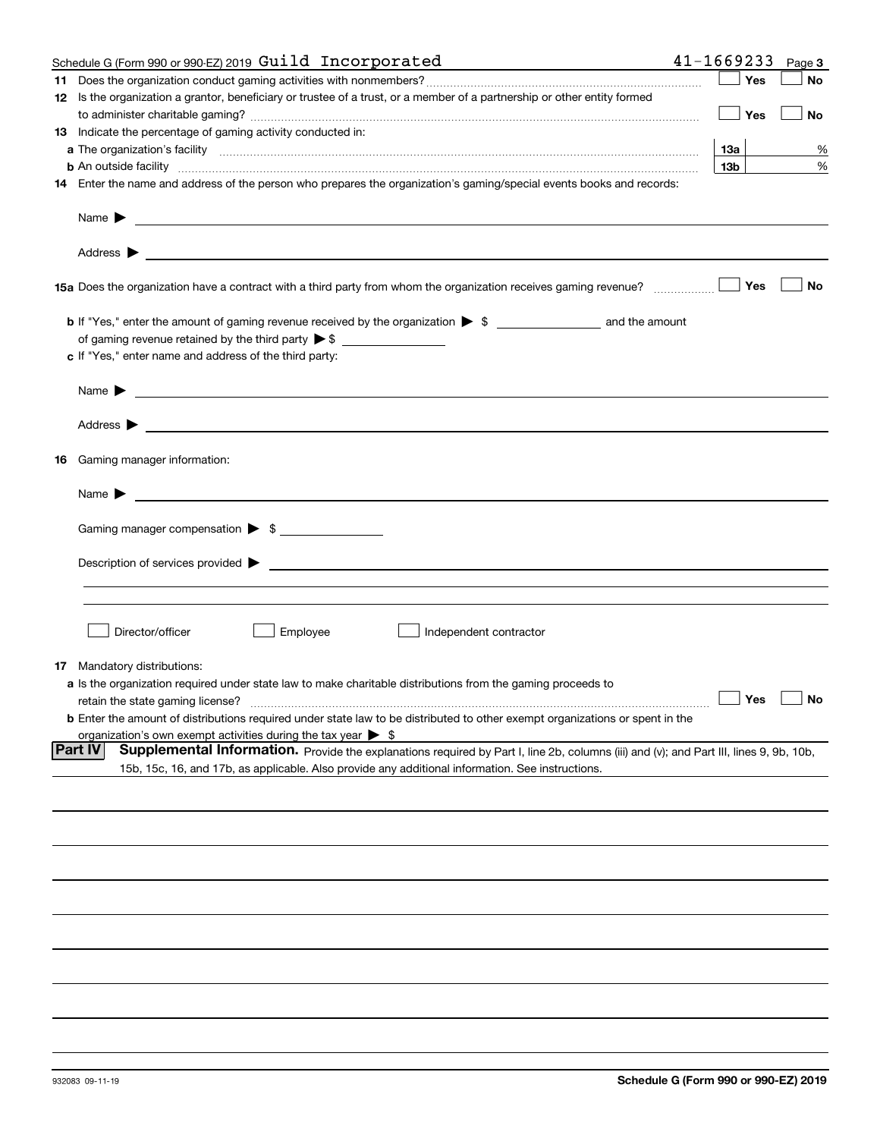| Yes<br>No<br>12 Is the organization a grantor, beneficiary or trustee of a trust, or a member of a partnership or other entity formed<br>Yes<br>No<br>13 Indicate the percentage of gaming activity conducted in:<br>13а<br>13 <sub>b</sub><br><b>b</b> An outside facility <i>www.communically.communically.communically.communically.communically.communically.communically.communically.communically.communically.communically.communically.communically.communically.communicall</i><br>14 Enter the name and address of the person who prepares the organization's gaming/special events books and records:<br>Name $\blacktriangleright$<br><u>and the contract of the contract of the contract of the contract of the contract of the contract of the contract of</u><br>Address $\blacktriangleright$<br><u> 1989 - Andrea State Barbara, amerikan personal di sebagai personal di sebagai personal di sebagai personal di</u><br>Yes<br>No<br>c If "Yes," enter name and address of the third party:<br>Name $\blacktriangleright$<br><u> 1989 - Andrea State Barbara, amerikan personal di sebagai personal di sebagai personal di sebagai personal di</u><br><b>16</b> Gaming manager information:<br>Name $\blacktriangleright$<br>Gaming manager compensation > \$<br>Description of services provided $\blacktriangleright$<br>Director/officer<br>Employee<br>Independent contractor<br><b>17</b> Mandatory distributions:<br><b>a</b> Is the organization required under state law to make charitable distributions from the gaming proceeds to<br>$\Box$ Yes $\Box$ No<br>retain the state gaming license?<br><b>b</b> Enter the amount of distributions required under state law to be distributed to other exempt organizations or spent in the<br>organization's own exempt activities during the tax year $\triangleright$ \$<br><b>Part IV</b><br>Supplemental Information. Provide the explanations required by Part I, line 2b, columns (iii) and (v); and Part III, lines 9, 9b, 10b,<br>15b, 15c, 16, and 17b, as applicable. Also provide any additional information. See instructions. | Schedule G (Form 990 or 990-EZ) 2019 Guild Incorporated | 41-1669233 | Page 3 |
|--------------------------------------------------------------------------------------------------------------------------------------------------------------------------------------------------------------------------------------------------------------------------------------------------------------------------------------------------------------------------------------------------------------------------------------------------------------------------------------------------------------------------------------------------------------------------------------------------------------------------------------------------------------------------------------------------------------------------------------------------------------------------------------------------------------------------------------------------------------------------------------------------------------------------------------------------------------------------------------------------------------------------------------------------------------------------------------------------------------------------------------------------------------------------------------------------------------------------------------------------------------------------------------------------------------------------------------------------------------------------------------------------------------------------------------------------------------------------------------------------------------------------------------------------------------------------------------------------------------------------------------------------------------------------------------------------------------------------------------------------------------------------------------------------------------------------------------------------------------------------------------------------------------------------------------------------------------------------------------------------------------------------------------------------------------------------------------------------------------------|---------------------------------------------------------|------------|--------|
|                                                                                                                                                                                                                                                                                                                                                                                                                                                                                                                                                                                                                                                                                                                                                                                                                                                                                                                                                                                                                                                                                                                                                                                                                                                                                                                                                                                                                                                                                                                                                                                                                                                                                                                                                                                                                                                                                                                                                                                                                                                                                                                    |                                                         |            |        |
|                                                                                                                                                                                                                                                                                                                                                                                                                                                                                                                                                                                                                                                                                                                                                                                                                                                                                                                                                                                                                                                                                                                                                                                                                                                                                                                                                                                                                                                                                                                                                                                                                                                                                                                                                                                                                                                                                                                                                                                                                                                                                                                    |                                                         |            |        |
|                                                                                                                                                                                                                                                                                                                                                                                                                                                                                                                                                                                                                                                                                                                                                                                                                                                                                                                                                                                                                                                                                                                                                                                                                                                                                                                                                                                                                                                                                                                                                                                                                                                                                                                                                                                                                                                                                                                                                                                                                                                                                                                    |                                                         |            |        |
|                                                                                                                                                                                                                                                                                                                                                                                                                                                                                                                                                                                                                                                                                                                                                                                                                                                                                                                                                                                                                                                                                                                                                                                                                                                                                                                                                                                                                                                                                                                                                                                                                                                                                                                                                                                                                                                                                                                                                                                                                                                                                                                    |                                                         |            |        |
|                                                                                                                                                                                                                                                                                                                                                                                                                                                                                                                                                                                                                                                                                                                                                                                                                                                                                                                                                                                                                                                                                                                                                                                                                                                                                                                                                                                                                                                                                                                                                                                                                                                                                                                                                                                                                                                                                                                                                                                                                                                                                                                    |                                                         |            | %      |
|                                                                                                                                                                                                                                                                                                                                                                                                                                                                                                                                                                                                                                                                                                                                                                                                                                                                                                                                                                                                                                                                                                                                                                                                                                                                                                                                                                                                                                                                                                                                                                                                                                                                                                                                                                                                                                                                                                                                                                                                                                                                                                                    |                                                         |            | %      |
|                                                                                                                                                                                                                                                                                                                                                                                                                                                                                                                                                                                                                                                                                                                                                                                                                                                                                                                                                                                                                                                                                                                                                                                                                                                                                                                                                                                                                                                                                                                                                                                                                                                                                                                                                                                                                                                                                                                                                                                                                                                                                                                    |                                                         |            |        |
|                                                                                                                                                                                                                                                                                                                                                                                                                                                                                                                                                                                                                                                                                                                                                                                                                                                                                                                                                                                                                                                                                                                                                                                                                                                                                                                                                                                                                                                                                                                                                                                                                                                                                                                                                                                                                                                                                                                                                                                                                                                                                                                    |                                                         |            |        |
|                                                                                                                                                                                                                                                                                                                                                                                                                                                                                                                                                                                                                                                                                                                                                                                                                                                                                                                                                                                                                                                                                                                                                                                                                                                                                                                                                                                                                                                                                                                                                                                                                                                                                                                                                                                                                                                                                                                                                                                                                                                                                                                    |                                                         |            |        |
|                                                                                                                                                                                                                                                                                                                                                                                                                                                                                                                                                                                                                                                                                                                                                                                                                                                                                                                                                                                                                                                                                                                                                                                                                                                                                                                                                                                                                                                                                                                                                                                                                                                                                                                                                                                                                                                                                                                                                                                                                                                                                                                    |                                                         |            |        |
|                                                                                                                                                                                                                                                                                                                                                                                                                                                                                                                                                                                                                                                                                                                                                                                                                                                                                                                                                                                                                                                                                                                                                                                                                                                                                                                                                                                                                                                                                                                                                                                                                                                                                                                                                                                                                                                                                                                                                                                                                                                                                                                    |                                                         |            |        |
|                                                                                                                                                                                                                                                                                                                                                                                                                                                                                                                                                                                                                                                                                                                                                                                                                                                                                                                                                                                                                                                                                                                                                                                                                                                                                                                                                                                                                                                                                                                                                                                                                                                                                                                                                                                                                                                                                                                                                                                                                                                                                                                    |                                                         |            |        |
|                                                                                                                                                                                                                                                                                                                                                                                                                                                                                                                                                                                                                                                                                                                                                                                                                                                                                                                                                                                                                                                                                                                                                                                                                                                                                                                                                                                                                                                                                                                                                                                                                                                                                                                                                                                                                                                                                                                                                                                                                                                                                                                    |                                                         |            |        |
|                                                                                                                                                                                                                                                                                                                                                                                                                                                                                                                                                                                                                                                                                                                                                                                                                                                                                                                                                                                                                                                                                                                                                                                                                                                                                                                                                                                                                                                                                                                                                                                                                                                                                                                                                                                                                                                                                                                                                                                                                                                                                                                    |                                                         |            |        |
|                                                                                                                                                                                                                                                                                                                                                                                                                                                                                                                                                                                                                                                                                                                                                                                                                                                                                                                                                                                                                                                                                                                                                                                                                                                                                                                                                                                                                                                                                                                                                                                                                                                                                                                                                                                                                                                                                                                                                                                                                                                                                                                    |                                                         |            |        |
|                                                                                                                                                                                                                                                                                                                                                                                                                                                                                                                                                                                                                                                                                                                                                                                                                                                                                                                                                                                                                                                                                                                                                                                                                                                                                                                                                                                                                                                                                                                                                                                                                                                                                                                                                                                                                                                                                                                                                                                                                                                                                                                    |                                                         |            |        |
|                                                                                                                                                                                                                                                                                                                                                                                                                                                                                                                                                                                                                                                                                                                                                                                                                                                                                                                                                                                                                                                                                                                                                                                                                                                                                                                                                                                                                                                                                                                                                                                                                                                                                                                                                                                                                                                                                                                                                                                                                                                                                                                    |                                                         |            |        |
|                                                                                                                                                                                                                                                                                                                                                                                                                                                                                                                                                                                                                                                                                                                                                                                                                                                                                                                                                                                                                                                                                                                                                                                                                                                                                                                                                                                                                                                                                                                                                                                                                                                                                                                                                                                                                                                                                                                                                                                                                                                                                                                    |                                                         |            |        |
|                                                                                                                                                                                                                                                                                                                                                                                                                                                                                                                                                                                                                                                                                                                                                                                                                                                                                                                                                                                                                                                                                                                                                                                                                                                                                                                                                                                                                                                                                                                                                                                                                                                                                                                                                                                                                                                                                                                                                                                                                                                                                                                    |                                                         |            |        |
|                                                                                                                                                                                                                                                                                                                                                                                                                                                                                                                                                                                                                                                                                                                                                                                                                                                                                                                                                                                                                                                                                                                                                                                                                                                                                                                                                                                                                                                                                                                                                                                                                                                                                                                                                                                                                                                                                                                                                                                                                                                                                                                    |                                                         |            |        |
|                                                                                                                                                                                                                                                                                                                                                                                                                                                                                                                                                                                                                                                                                                                                                                                                                                                                                                                                                                                                                                                                                                                                                                                                                                                                                                                                                                                                                                                                                                                                                                                                                                                                                                                                                                                                                                                                                                                                                                                                                                                                                                                    |                                                         |            |        |
|                                                                                                                                                                                                                                                                                                                                                                                                                                                                                                                                                                                                                                                                                                                                                                                                                                                                                                                                                                                                                                                                                                                                                                                                                                                                                                                                                                                                                                                                                                                                                                                                                                                                                                                                                                                                                                                                                                                                                                                                                                                                                                                    |                                                         |            |        |
|                                                                                                                                                                                                                                                                                                                                                                                                                                                                                                                                                                                                                                                                                                                                                                                                                                                                                                                                                                                                                                                                                                                                                                                                                                                                                                                                                                                                                                                                                                                                                                                                                                                                                                                                                                                                                                                                                                                                                                                                                                                                                                                    |                                                         |            |        |
|                                                                                                                                                                                                                                                                                                                                                                                                                                                                                                                                                                                                                                                                                                                                                                                                                                                                                                                                                                                                                                                                                                                                                                                                                                                                                                                                                                                                                                                                                                                                                                                                                                                                                                                                                                                                                                                                                                                                                                                                                                                                                                                    |                                                         |            |        |
|                                                                                                                                                                                                                                                                                                                                                                                                                                                                                                                                                                                                                                                                                                                                                                                                                                                                                                                                                                                                                                                                                                                                                                                                                                                                                                                                                                                                                                                                                                                                                                                                                                                                                                                                                                                                                                                                                                                                                                                                                                                                                                                    |                                                         |            |        |
|                                                                                                                                                                                                                                                                                                                                                                                                                                                                                                                                                                                                                                                                                                                                                                                                                                                                                                                                                                                                                                                                                                                                                                                                                                                                                                                                                                                                                                                                                                                                                                                                                                                                                                                                                                                                                                                                                                                                                                                                                                                                                                                    |                                                         |            |        |
|                                                                                                                                                                                                                                                                                                                                                                                                                                                                                                                                                                                                                                                                                                                                                                                                                                                                                                                                                                                                                                                                                                                                                                                                                                                                                                                                                                                                                                                                                                                                                                                                                                                                                                                                                                                                                                                                                                                                                                                                                                                                                                                    |                                                         |            |        |
|                                                                                                                                                                                                                                                                                                                                                                                                                                                                                                                                                                                                                                                                                                                                                                                                                                                                                                                                                                                                                                                                                                                                                                                                                                                                                                                                                                                                                                                                                                                                                                                                                                                                                                                                                                                                                                                                                                                                                                                                                                                                                                                    |                                                         |            |        |
|                                                                                                                                                                                                                                                                                                                                                                                                                                                                                                                                                                                                                                                                                                                                                                                                                                                                                                                                                                                                                                                                                                                                                                                                                                                                                                                                                                                                                                                                                                                                                                                                                                                                                                                                                                                                                                                                                                                                                                                                                                                                                                                    |                                                         |            |        |
|                                                                                                                                                                                                                                                                                                                                                                                                                                                                                                                                                                                                                                                                                                                                                                                                                                                                                                                                                                                                                                                                                                                                                                                                                                                                                                                                                                                                                                                                                                                                                                                                                                                                                                                                                                                                                                                                                                                                                                                                                                                                                                                    |                                                         |            |        |
|                                                                                                                                                                                                                                                                                                                                                                                                                                                                                                                                                                                                                                                                                                                                                                                                                                                                                                                                                                                                                                                                                                                                                                                                                                                                                                                                                                                                                                                                                                                                                                                                                                                                                                                                                                                                                                                                                                                                                                                                                                                                                                                    |                                                         |            |        |
|                                                                                                                                                                                                                                                                                                                                                                                                                                                                                                                                                                                                                                                                                                                                                                                                                                                                                                                                                                                                                                                                                                                                                                                                                                                                                                                                                                                                                                                                                                                                                                                                                                                                                                                                                                                                                                                                                                                                                                                                                                                                                                                    |                                                         |            |        |
|                                                                                                                                                                                                                                                                                                                                                                                                                                                                                                                                                                                                                                                                                                                                                                                                                                                                                                                                                                                                                                                                                                                                                                                                                                                                                                                                                                                                                                                                                                                                                                                                                                                                                                                                                                                                                                                                                                                                                                                                                                                                                                                    |                                                         |            |        |
|                                                                                                                                                                                                                                                                                                                                                                                                                                                                                                                                                                                                                                                                                                                                                                                                                                                                                                                                                                                                                                                                                                                                                                                                                                                                                                                                                                                                                                                                                                                                                                                                                                                                                                                                                                                                                                                                                                                                                                                                                                                                                                                    |                                                         |            |        |
|                                                                                                                                                                                                                                                                                                                                                                                                                                                                                                                                                                                                                                                                                                                                                                                                                                                                                                                                                                                                                                                                                                                                                                                                                                                                                                                                                                                                                                                                                                                                                                                                                                                                                                                                                                                                                                                                                                                                                                                                                                                                                                                    |                                                         |            |        |
|                                                                                                                                                                                                                                                                                                                                                                                                                                                                                                                                                                                                                                                                                                                                                                                                                                                                                                                                                                                                                                                                                                                                                                                                                                                                                                                                                                                                                                                                                                                                                                                                                                                                                                                                                                                                                                                                                                                                                                                                                                                                                                                    |                                                         |            |        |
|                                                                                                                                                                                                                                                                                                                                                                                                                                                                                                                                                                                                                                                                                                                                                                                                                                                                                                                                                                                                                                                                                                                                                                                                                                                                                                                                                                                                                                                                                                                                                                                                                                                                                                                                                                                                                                                                                                                                                                                                                                                                                                                    |                                                         |            |        |
|                                                                                                                                                                                                                                                                                                                                                                                                                                                                                                                                                                                                                                                                                                                                                                                                                                                                                                                                                                                                                                                                                                                                                                                                                                                                                                                                                                                                                                                                                                                                                                                                                                                                                                                                                                                                                                                                                                                                                                                                                                                                                                                    |                                                         |            |        |
|                                                                                                                                                                                                                                                                                                                                                                                                                                                                                                                                                                                                                                                                                                                                                                                                                                                                                                                                                                                                                                                                                                                                                                                                                                                                                                                                                                                                                                                                                                                                                                                                                                                                                                                                                                                                                                                                                                                                                                                                                                                                                                                    |                                                         |            |        |
|                                                                                                                                                                                                                                                                                                                                                                                                                                                                                                                                                                                                                                                                                                                                                                                                                                                                                                                                                                                                                                                                                                                                                                                                                                                                                                                                                                                                                                                                                                                                                                                                                                                                                                                                                                                                                                                                                                                                                                                                                                                                                                                    |                                                         |            |        |
|                                                                                                                                                                                                                                                                                                                                                                                                                                                                                                                                                                                                                                                                                                                                                                                                                                                                                                                                                                                                                                                                                                                                                                                                                                                                                                                                                                                                                                                                                                                                                                                                                                                                                                                                                                                                                                                                                                                                                                                                                                                                                                                    |                                                         |            |        |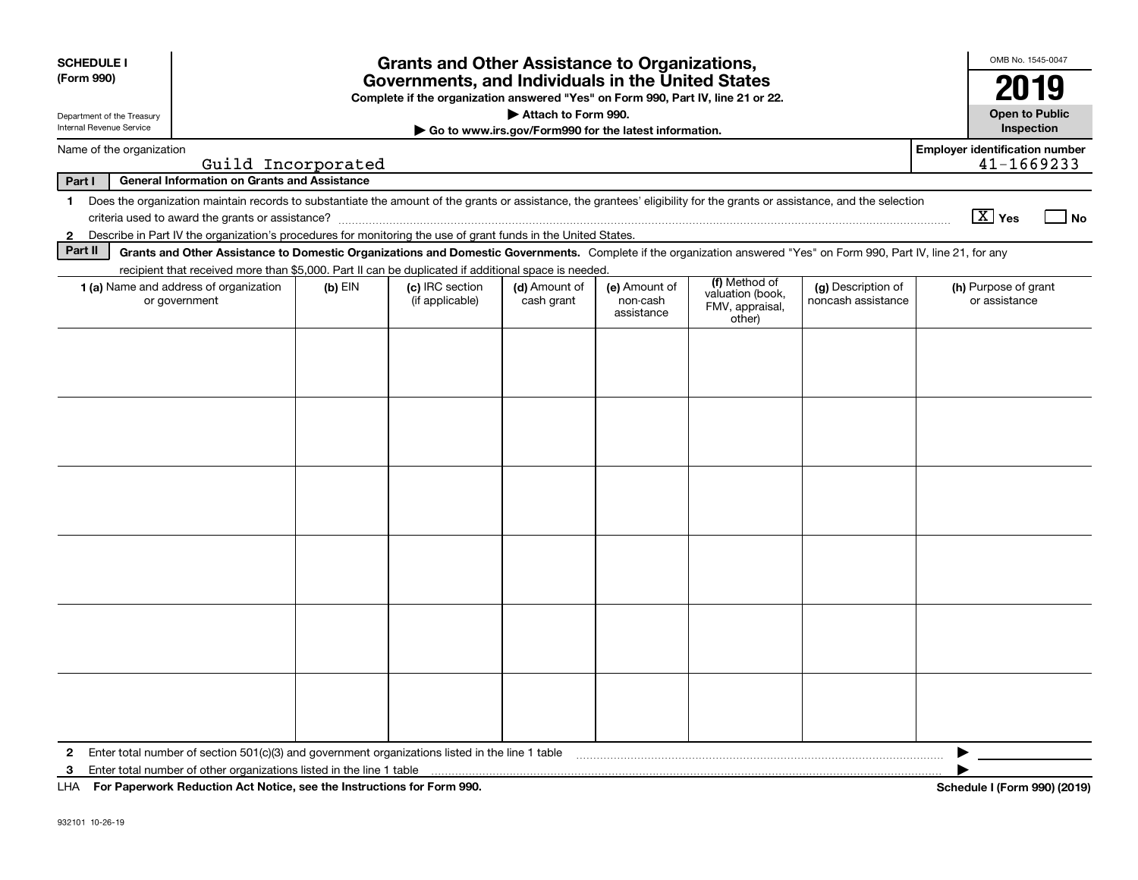| <b>SCHEDULE I</b><br>(Form 990) |                                                                                                                                                                                                                                                                                           |           | <b>Grants and Other Assistance to Organizations,</b> |                             |                                         |                                                                |                                          | OMB No. 1545-0047                                   |  |  |
|---------------------------------|-------------------------------------------------------------------------------------------------------------------------------------------------------------------------------------------------------------------------------------------------------------------------------------------|-----------|------------------------------------------------------|-----------------------------|-----------------------------------------|----------------------------------------------------------------|------------------------------------------|-----------------------------------------------------|--|--|
|                                 |                                                                                                                                                                                                                                                                                           |           | Governments, and Individuals in the United States    |                             |                                         |                                                                |                                          | 2019                                                |  |  |
| Department of the Treasury      | Complete if the organization answered "Yes" on Form 990, Part IV, line 21 or 22.<br>Attach to Form 990.<br><b>Open to Public</b>                                                                                                                                                          |           |                                                      |                             |                                         |                                                                |                                          |                                                     |  |  |
| Internal Revenue Service        | Go to www.irs.gov/Form990 for the latest information.                                                                                                                                                                                                                                     |           |                                                      |                             |                                         |                                                                |                                          |                                                     |  |  |
| Name of the organization        | Guild Incorporated                                                                                                                                                                                                                                                                        |           |                                                      |                             |                                         |                                                                |                                          | <b>Employer identification number</b><br>41-1669233 |  |  |
| Part I                          | <b>General Information on Grants and Assistance</b>                                                                                                                                                                                                                                       |           |                                                      |                             |                                         |                                                                |                                          |                                                     |  |  |
| 1.<br>$\mathbf{2}$              | Does the organization maintain records to substantiate the amount of the grants or assistance, the grantees' eligibility for the grants or assistance, and the selection<br>Describe in Part IV the organization's procedures for monitoring the use of grant funds in the United States. |           |                                                      |                             |                                         |                                                                |                                          | $\boxed{\text{X}}$ Yes<br>  No                      |  |  |
| Part II                         | Grants and Other Assistance to Domestic Organizations and Domestic Governments. Complete if the organization answered "Yes" on Form 990, Part IV, line 21, for any                                                                                                                        |           |                                                      |                             |                                         |                                                                |                                          |                                                     |  |  |
|                                 | recipient that received more than \$5,000. Part II can be duplicated if additional space is needed.                                                                                                                                                                                       |           |                                                      |                             |                                         |                                                                |                                          |                                                     |  |  |
|                                 | 1 (a) Name and address of organization<br>or government                                                                                                                                                                                                                                   | $(b)$ EIN | (c) IRC section<br>(if applicable)                   | (d) Amount of<br>cash grant | (e) Amount of<br>non-cash<br>assistance | (f) Method of<br>valuation (book,<br>FMV, appraisal,<br>other) | (g) Description of<br>noncash assistance | (h) Purpose of grant<br>or assistance               |  |  |
|                                 |                                                                                                                                                                                                                                                                                           |           |                                                      |                             |                                         |                                                                |                                          |                                                     |  |  |
|                                 |                                                                                                                                                                                                                                                                                           |           |                                                      |                             |                                         |                                                                |                                          |                                                     |  |  |
|                                 |                                                                                                                                                                                                                                                                                           |           |                                                      |                             |                                         |                                                                |                                          |                                                     |  |  |
|                                 |                                                                                                                                                                                                                                                                                           |           |                                                      |                             |                                         |                                                                |                                          |                                                     |  |  |
|                                 |                                                                                                                                                                                                                                                                                           |           |                                                      |                             |                                         |                                                                |                                          |                                                     |  |  |
|                                 |                                                                                                                                                                                                                                                                                           |           |                                                      |                             |                                         |                                                                |                                          |                                                     |  |  |
| $\mathbf{2}$<br>3               | Enter total number of other organizations listed in the line 1 table                                                                                                                                                                                                                      |           |                                                      |                             |                                         |                                                                |                                          |                                                     |  |  |
|                                 | LHA For Paperwork Reduction Act Notice, see the Instructions for Form 990.                                                                                                                                                                                                                |           |                                                      |                             |                                         |                                                                |                                          | Schedule I (Form 990) (2019)                        |  |  |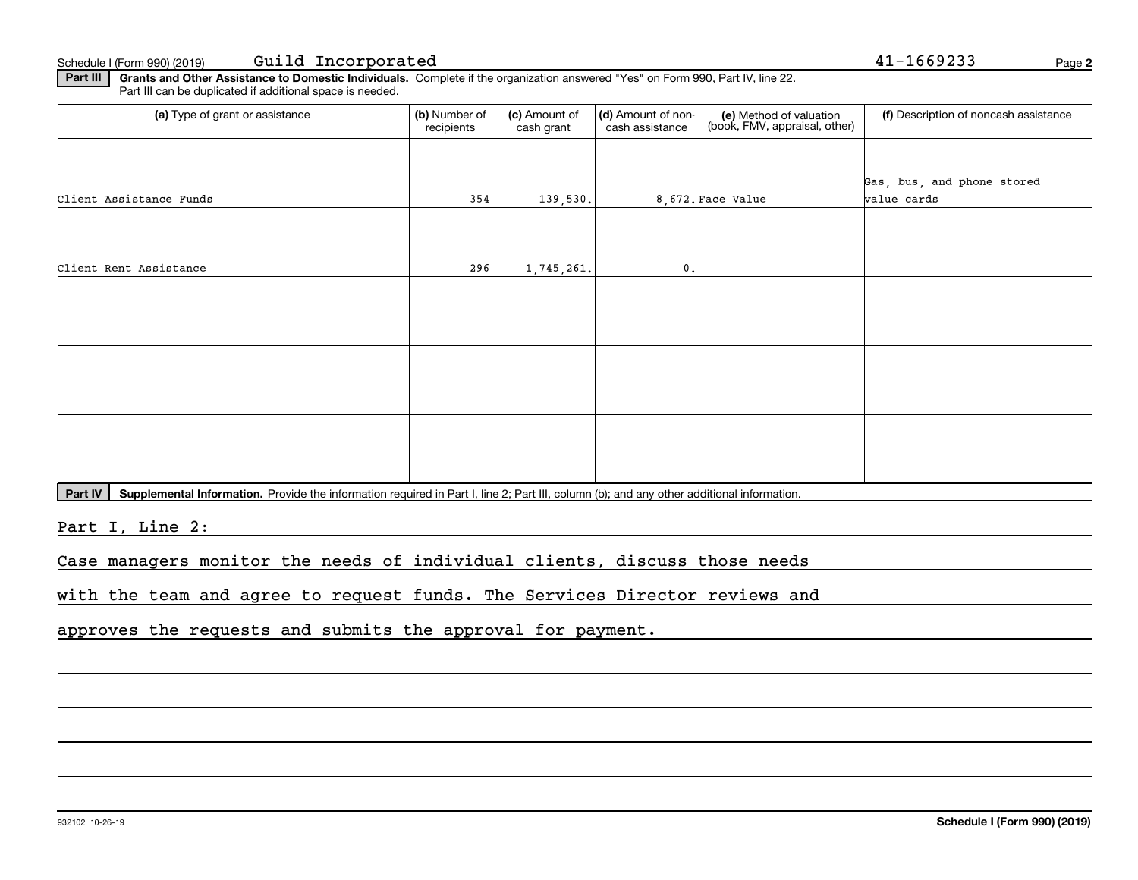**Part III | Grants and Other Assistance to Domestic Individuals. Complete if the organization answered "Yes" on Form 990, Part IV, line 22.** Part III can be duplicated if additional space is needed.

| (a) Type of grant or assistance | (b) Number of<br>recipients | (c) Amount of<br>cash grant | (d) Amount of non-<br>cash assistance | (e) Method of valuation<br>(book, FMV, appraisal, other) | (f) Description of noncash assistance |
|---------------------------------|-----------------------------|-----------------------------|---------------------------------------|----------------------------------------------------------|---------------------------------------|
|                                 |                             |                             |                                       |                                                          |                                       |
|                                 |                             |                             |                                       |                                                          | Gas, bus, and phone stored            |
| Client Assistance Funds         | 354                         | 139,530.                    |                                       | 8,672. Face Value                                        | value cards                           |
|                                 |                             |                             |                                       |                                                          |                                       |
|                                 |                             |                             |                                       |                                                          |                                       |
| Client Rent Assistance          | 296                         | 1,745,261.                  | $\mathfrak{o}$ .                      |                                                          |                                       |
|                                 |                             |                             |                                       |                                                          |                                       |
|                                 |                             |                             |                                       |                                                          |                                       |
|                                 |                             |                             |                                       |                                                          |                                       |
|                                 |                             |                             |                                       |                                                          |                                       |
|                                 |                             |                             |                                       |                                                          |                                       |
|                                 |                             |                             |                                       |                                                          |                                       |
|                                 |                             |                             |                                       |                                                          |                                       |
|                                 |                             |                             |                                       |                                                          |                                       |
|                                 |                             |                             |                                       |                                                          |                                       |
|                                 |                             |                             |                                       |                                                          |                                       |

**Part IV** | Supplemental Information. Provide the information required in Part I, line 2; Part III, column (b); and any other additional information.<br>

Part I, Line 2:

Case managers monitor the needs of individual clients, discuss those needs

with the team and agree to request funds. The Services Director reviews and

approves the requests and submits the approval for payment.

**2**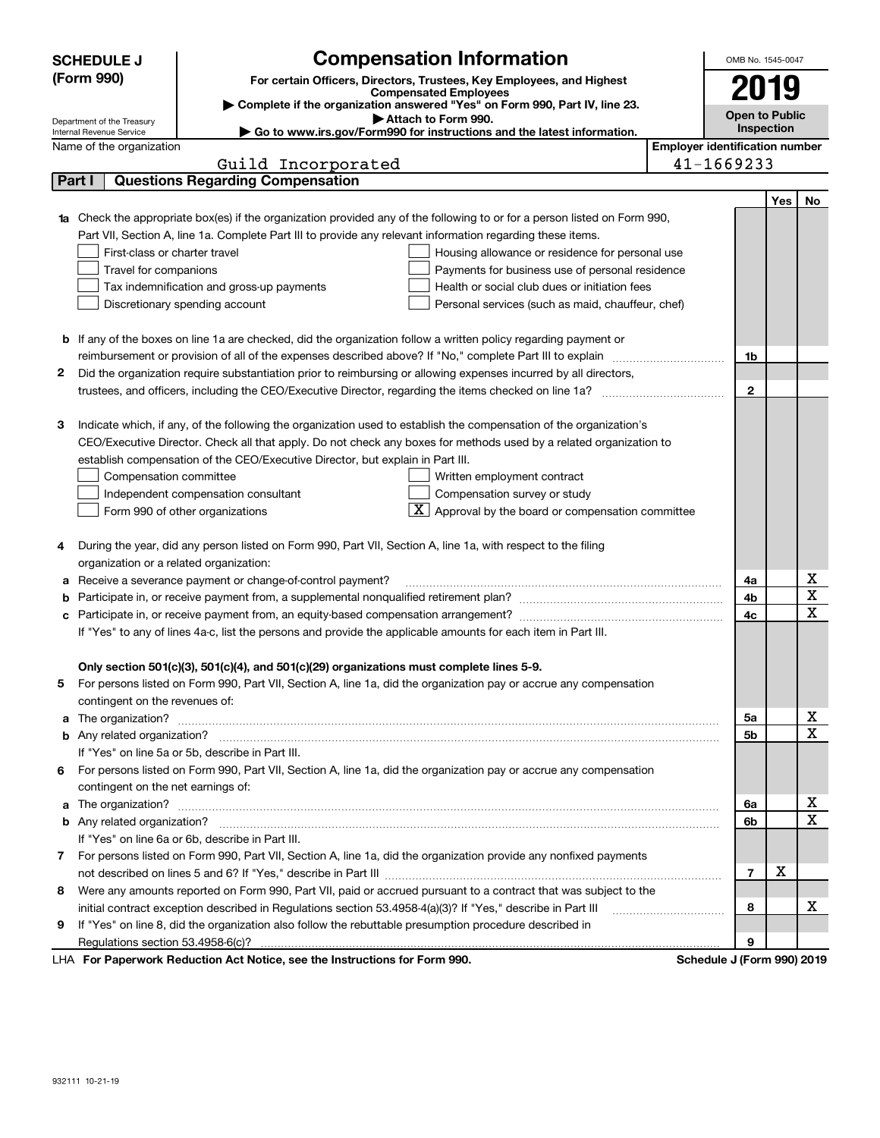|                                                                                                               | <b>SCHEDULE J</b>                                                                                          | <b>Compensation Information</b>                                                                                                                                                                                                      |                       |                                       | OMB No. 1545-0047          |      |    |  |  |
|---------------------------------------------------------------------------------------------------------------|------------------------------------------------------------------------------------------------------------|--------------------------------------------------------------------------------------------------------------------------------------------------------------------------------------------------------------------------------------|-----------------------|---------------------------------------|----------------------------|------|----|--|--|
|                                                                                                               | (Form 990)<br>For certain Officers, Directors, Trustees, Key Employees, and Highest                        |                                                                                                                                                                                                                                      |                       |                                       |                            | 2019 |    |  |  |
|                                                                                                               | <b>Compensated Employees</b><br>Complete if the organization answered "Yes" on Form 990, Part IV, line 23. |                                                                                                                                                                                                                                      |                       |                                       |                            |      |    |  |  |
|                                                                                                               | Department of the Treasury                                                                                 |                                                                                                                                                                                                                                      | <b>Open to Public</b> |                                       |                            |      |    |  |  |
|                                                                                                               | Internal Revenue Service                                                                                   | Attach to Form 990.<br>Go to www.irs.gov/Form990 for instructions and the latest information.                                                                                                                                        |                       |                                       | Inspection                 |      |    |  |  |
|                                                                                                               | Name of the organization                                                                                   |                                                                                                                                                                                                                                      |                       | <b>Employer identification number</b> |                            |      |    |  |  |
|                                                                                                               |                                                                                                            | Guild Incorporated                                                                                                                                                                                                                   |                       |                                       | 41-1669233                 |      |    |  |  |
|                                                                                                               | Part I                                                                                                     | <b>Questions Regarding Compensation</b>                                                                                                                                                                                              |                       |                                       |                            |      |    |  |  |
|                                                                                                               |                                                                                                            |                                                                                                                                                                                                                                      |                       |                                       |                            | Yes  | No |  |  |
|                                                                                                               |                                                                                                            | 1a Check the appropriate box(es) if the organization provided any of the following to or for a person listed on Form 990,                                                                                                            |                       |                                       |                            |      |    |  |  |
|                                                                                                               |                                                                                                            | Part VII, Section A, line 1a. Complete Part III to provide any relevant information regarding these items.                                                                                                                           |                       |                                       |                            |      |    |  |  |
|                                                                                                               | First-class or charter travel                                                                              | Housing allowance or residence for personal use                                                                                                                                                                                      |                       |                                       |                            |      |    |  |  |
|                                                                                                               | Travel for companions                                                                                      | Payments for business use of personal residence                                                                                                                                                                                      |                       |                                       |                            |      |    |  |  |
|                                                                                                               |                                                                                                            | Tax indemnification and gross-up payments<br>Health or social club dues or initiation fees                                                                                                                                           |                       |                                       |                            |      |    |  |  |
|                                                                                                               |                                                                                                            | Discretionary spending account<br>Personal services (such as maid, chauffeur, chef)                                                                                                                                                  |                       |                                       |                            |      |    |  |  |
|                                                                                                               |                                                                                                            |                                                                                                                                                                                                                                      |                       |                                       |                            |      |    |  |  |
|                                                                                                               |                                                                                                            | <b>b</b> If any of the boxes on line 1a are checked, did the organization follow a written policy regarding payment or                                                                                                               |                       |                                       |                            |      |    |  |  |
|                                                                                                               |                                                                                                            |                                                                                                                                                                                                                                      |                       |                                       | 1b                         |      |    |  |  |
| 2                                                                                                             |                                                                                                            | Did the organization require substantiation prior to reimbursing or allowing expenses incurred by all directors,                                                                                                                     |                       |                                       | $\mathbf{2}$               |      |    |  |  |
|                                                                                                               |                                                                                                            |                                                                                                                                                                                                                                      |                       |                                       |                            |      |    |  |  |
| З                                                                                                             |                                                                                                            | Indicate which, if any, of the following the organization used to establish the compensation of the organization's                                                                                                                   |                       |                                       |                            |      |    |  |  |
|                                                                                                               |                                                                                                            | CEO/Executive Director. Check all that apply. Do not check any boxes for methods used by a related organization to                                                                                                                   |                       |                                       |                            |      |    |  |  |
|                                                                                                               |                                                                                                            | establish compensation of the CEO/Executive Director, but explain in Part III.                                                                                                                                                       |                       |                                       |                            |      |    |  |  |
|                                                                                                               | Compensation committee                                                                                     | Written employment contract                                                                                                                                                                                                          |                       |                                       |                            |      |    |  |  |
|                                                                                                               |                                                                                                            | Compensation survey or study<br>Independent compensation consultant                                                                                                                                                                  |                       |                                       |                            |      |    |  |  |
|                                                                                                               |                                                                                                            | $\boxed{\textbf{X}}$ Approval by the board or compensation committee<br>Form 990 of other organizations                                                                                                                              |                       |                                       |                            |      |    |  |  |
|                                                                                                               |                                                                                                            |                                                                                                                                                                                                                                      |                       |                                       |                            |      |    |  |  |
| 4                                                                                                             |                                                                                                            | During the year, did any person listed on Form 990, Part VII, Section A, line 1a, with respect to the filing                                                                                                                         |                       |                                       |                            |      |    |  |  |
|                                                                                                               | organization or a related organization:                                                                    |                                                                                                                                                                                                                                      |                       |                                       |                            |      |    |  |  |
| а                                                                                                             |                                                                                                            | Receive a severance payment or change-of-control payment?                                                                                                                                                                            |                       |                                       | 4a                         |      | х  |  |  |
| b                                                                                                             |                                                                                                            |                                                                                                                                                                                                                                      |                       |                                       | 4b                         |      | X  |  |  |
| c                                                                                                             |                                                                                                            |                                                                                                                                                                                                                                      |                       |                                       | 4с                         |      | х  |  |  |
| If "Yes" to any of lines 4a-c, list the persons and provide the applicable amounts for each item in Part III. |                                                                                                            |                                                                                                                                                                                                                                      |                       |                                       |                            |      |    |  |  |
|                                                                                                               |                                                                                                            |                                                                                                                                                                                                                                      |                       |                                       |                            |      |    |  |  |
|                                                                                                               |                                                                                                            | Only section 501(c)(3), 501(c)(4), and 501(c)(29) organizations must complete lines 5-9.                                                                                                                                             |                       |                                       |                            |      |    |  |  |
|                                                                                                               |                                                                                                            | For persons listed on Form 990, Part VII, Section A, line 1a, did the organization pay or accrue any compensation                                                                                                                    |                       |                                       |                            |      |    |  |  |
|                                                                                                               | contingent on the revenues of:                                                                             |                                                                                                                                                                                                                                      |                       |                                       |                            |      |    |  |  |
|                                                                                                               |                                                                                                            | a The organization? <b>Constitution</b> and the organization?                                                                                                                                                                        |                       |                                       | 5а                         |      | х  |  |  |
|                                                                                                               |                                                                                                            |                                                                                                                                                                                                                                      |                       |                                       | 5b                         |      | х  |  |  |
|                                                                                                               |                                                                                                            | If "Yes" on line 5a or 5b, describe in Part III.                                                                                                                                                                                     |                       |                                       |                            |      |    |  |  |
| 6.                                                                                                            |                                                                                                            | For persons listed on Form 990, Part VII, Section A, line 1a, did the organization pay or accrue any compensation                                                                                                                    |                       |                                       |                            |      |    |  |  |
|                                                                                                               | contingent on the net earnings of:                                                                         |                                                                                                                                                                                                                                      |                       |                                       |                            |      |    |  |  |
| a                                                                                                             |                                                                                                            | The organization? <b>With the contract of the contract of the contract of the contract of the contract of the contract of the contract of the contract of the contract of the contract of the contract of the contract of the co</b> |                       |                                       | 6a                         |      | х  |  |  |
|                                                                                                               |                                                                                                            |                                                                                                                                                                                                                                      |                       |                                       | 6b                         |      | х  |  |  |
|                                                                                                               |                                                                                                            | If "Yes" on line 6a or 6b, describe in Part III.                                                                                                                                                                                     |                       |                                       |                            |      |    |  |  |
|                                                                                                               |                                                                                                            | 7 For persons listed on Form 990, Part VII, Section A, line 1a, did the organization provide any nonfixed payments                                                                                                                   |                       |                                       |                            |      |    |  |  |
|                                                                                                               |                                                                                                            |                                                                                                                                                                                                                                      |                       |                                       | $\overline{7}$             | X    |    |  |  |
| 8                                                                                                             |                                                                                                            | Were any amounts reported on Form 990, Part VII, paid or accrued pursuant to a contract that was subject to the                                                                                                                      |                       |                                       |                            |      |    |  |  |
|                                                                                                               |                                                                                                            | initial contract exception described in Regulations section 53.4958-4(a)(3)? If "Yes," describe in Part III                                                                                                                          |                       |                                       | 8                          |      | х  |  |  |
| 9                                                                                                             |                                                                                                            | If "Yes" on line 8, did the organization also follow the rebuttable presumption procedure described in                                                                                                                               |                       |                                       |                            |      |    |  |  |
|                                                                                                               |                                                                                                            |                                                                                                                                                                                                                                      |                       |                                       | 9                          |      |    |  |  |
|                                                                                                               |                                                                                                            | LHA For Paperwork Reduction Act Notice, see the Instructions for Form 990.                                                                                                                                                           |                       |                                       | Schedule J (Form 990) 2019 |      |    |  |  |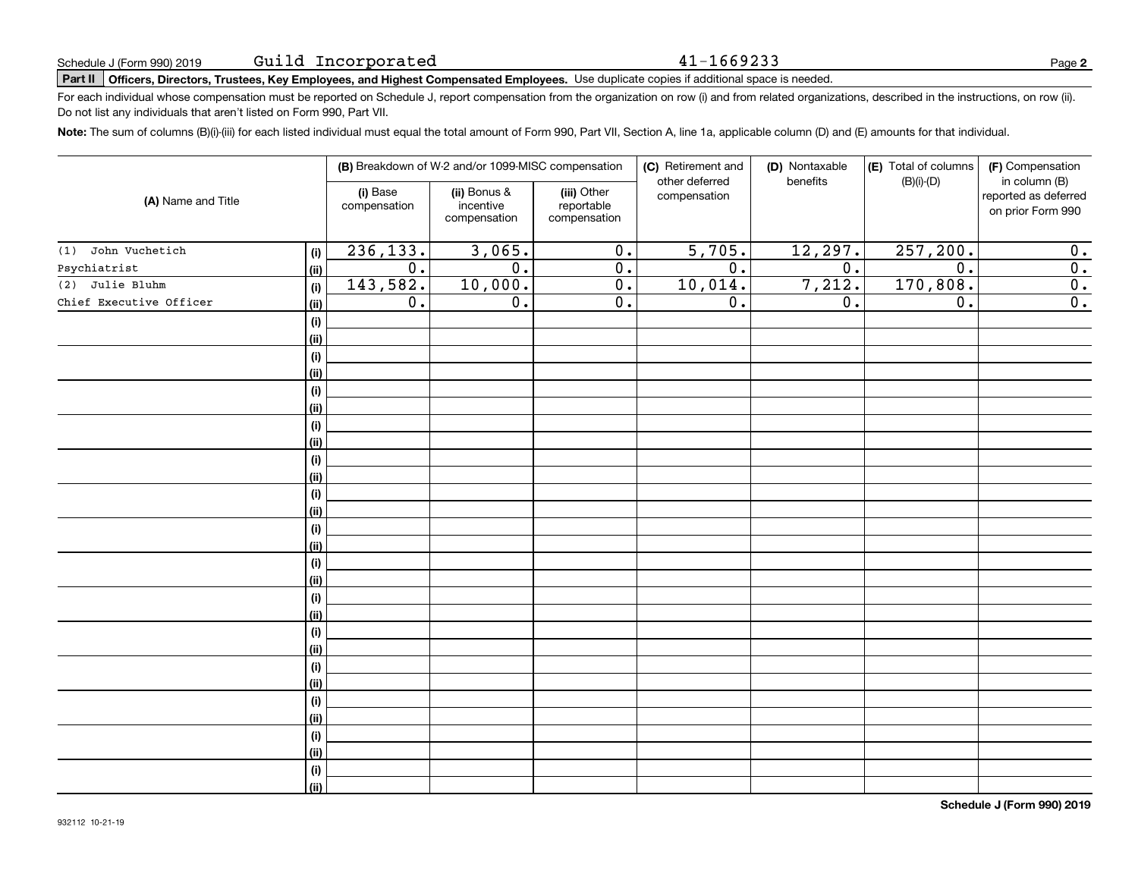#### 41-1669233

**2**

# **Part II Officers, Directors, Trustees, Key Employees, and Highest Compensated Employees.**  Schedule J (Form 990) 2019 Page Use duplicate copies if additional space is needed.

For each individual whose compensation must be reported on Schedule J, report compensation from the organization on row (i) and from related organizations, described in the instructions, on row (ii). Do not list any individuals that aren't listed on Form 990, Part VII.

**Note:**  The sum of columns (B)(i)-(iii) for each listed individual must equal the total amount of Form 990, Part VII, Section A, line 1a, applicable column (D) and (E) amounts for that individual.

| (A) Name and Title      |             |                          | (B) Breakdown of W-2 and/or 1099-MISC compensation |                                           | (C) Retirement and<br>other deferred | (D) Nontaxable<br>benefits | (E) Total of columns<br>$(B)(i)-(D)$ | (F) Compensation<br>in column (B)         |
|-------------------------|-------------|--------------------------|----------------------------------------------------|-------------------------------------------|--------------------------------------|----------------------------|--------------------------------------|-------------------------------------------|
|                         |             | (i) Base<br>compensation | (ii) Bonus &<br>incentive<br>compensation          | (iii) Other<br>reportable<br>compensation | compensation                         |                            |                                      | reported as deferred<br>on prior Form 990 |
| (1) John Vuchetich      | (i)         | 236, 133.                | 3,065.                                             | $\overline{0}$ .                          | 5,705.                               | 12, 297.                   | 257, 200.                            | 0.                                        |
| Psychiatrist            | (ii)        | $\overline{0}$ .         | $\overline{0}$ .                                   | $\overline{0}$ .                          | $\overline{0}$ .                     | $\overline{0}$ .           | $\overline{0}$ .                     | $\overline{\mathbf{0}}$ .                 |
| (2) Julie Bluhm         | (i)         | 143,582.                 | 10,000.                                            | $\overline{0}$ .                          | 10,014.                              | 7,212.                     | 170,808.                             | $\overline{\mathbf{0}}$ .                 |
| Chief Executive Officer | (ii)        | 0.                       | $\overline{0}$ .                                   | $\overline{0}$ .                          | $\overline{0}$ .                     | 0.                         | $\overline{0}$ .                     | $\overline{0}$ .                          |
|                         | $(\sf{i})$  |                          |                                                    |                                           |                                      |                            |                                      |                                           |
|                         | (ii)        |                          |                                                    |                                           |                                      |                            |                                      |                                           |
|                         | $(\sf{i})$  |                          |                                                    |                                           |                                      |                            |                                      |                                           |
|                         | (ii)        |                          |                                                    |                                           |                                      |                            |                                      |                                           |
|                         | $(\sf{i})$  |                          |                                                    |                                           |                                      |                            |                                      |                                           |
|                         | (ii)        |                          |                                                    |                                           |                                      |                            |                                      |                                           |
|                         | $(\sf{i})$  |                          |                                                    |                                           |                                      |                            |                                      |                                           |
|                         | (ii)        |                          |                                                    |                                           |                                      |                            |                                      |                                           |
|                         | $(\sf{i})$  |                          |                                                    |                                           |                                      |                            |                                      |                                           |
|                         | (ii)        |                          |                                                    |                                           |                                      |                            |                                      |                                           |
|                         | $(\sf{i})$  |                          |                                                    |                                           |                                      |                            |                                      |                                           |
|                         | (ii)        |                          |                                                    |                                           |                                      |                            |                                      |                                           |
|                         | $(\sf{i})$  |                          |                                                    |                                           |                                      |                            |                                      |                                           |
|                         | (ii)        |                          |                                                    |                                           |                                      |                            |                                      |                                           |
|                         | (i)         |                          |                                                    |                                           |                                      |                            |                                      |                                           |
|                         | (ii)<br>(i) |                          |                                                    |                                           |                                      |                            |                                      |                                           |
|                         | (ii)        |                          |                                                    |                                           |                                      |                            |                                      |                                           |
|                         | (i)         |                          |                                                    |                                           |                                      |                            |                                      |                                           |
|                         | (ii)        |                          |                                                    |                                           |                                      |                            |                                      |                                           |
|                         | (i)         |                          |                                                    |                                           |                                      |                            |                                      |                                           |
|                         | (ii)        |                          |                                                    |                                           |                                      |                            |                                      |                                           |
|                         | $(\sf{i})$  |                          |                                                    |                                           |                                      |                            |                                      |                                           |
|                         | (ii)        |                          |                                                    |                                           |                                      |                            |                                      |                                           |
|                         | $(\sf{i})$  |                          |                                                    |                                           |                                      |                            |                                      |                                           |
|                         | (ii)        |                          |                                                    |                                           |                                      |                            |                                      |                                           |
|                         | $(\sf{i})$  |                          |                                                    |                                           |                                      |                            |                                      |                                           |
|                         | (ii)        |                          |                                                    |                                           |                                      |                            |                                      |                                           |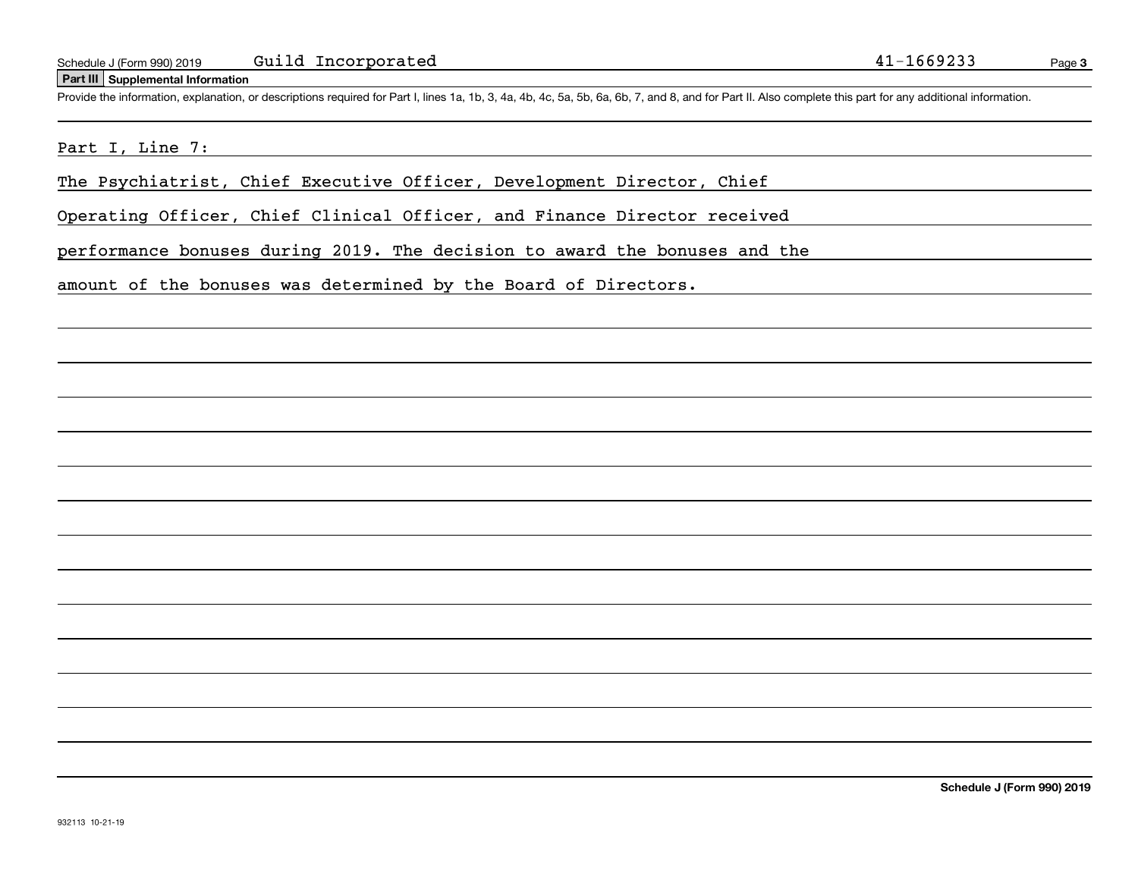#### **Part III Supplemental Information**

Schedule J (Form 990) 2019 Guild Incorporated 41-1669233<br>
Part III Supplemental Information<br>
Provide the information, explanation, or descriptions required for Part I, lines 1a, 1b, 3, 4a, 4b, 4c, 5a, 5b, 6a, 6b, 7, and 8,

#### Part I, Line 7:

The Psychiatrist, Chief Executive Officer, Development Director, Chief

Operating Officer, Chief Clinical Officer, and Finance Director received

performance bonuses during 2019. The decision to award the bonuses and the

amount of the bonuses was determined by the Board of Directors.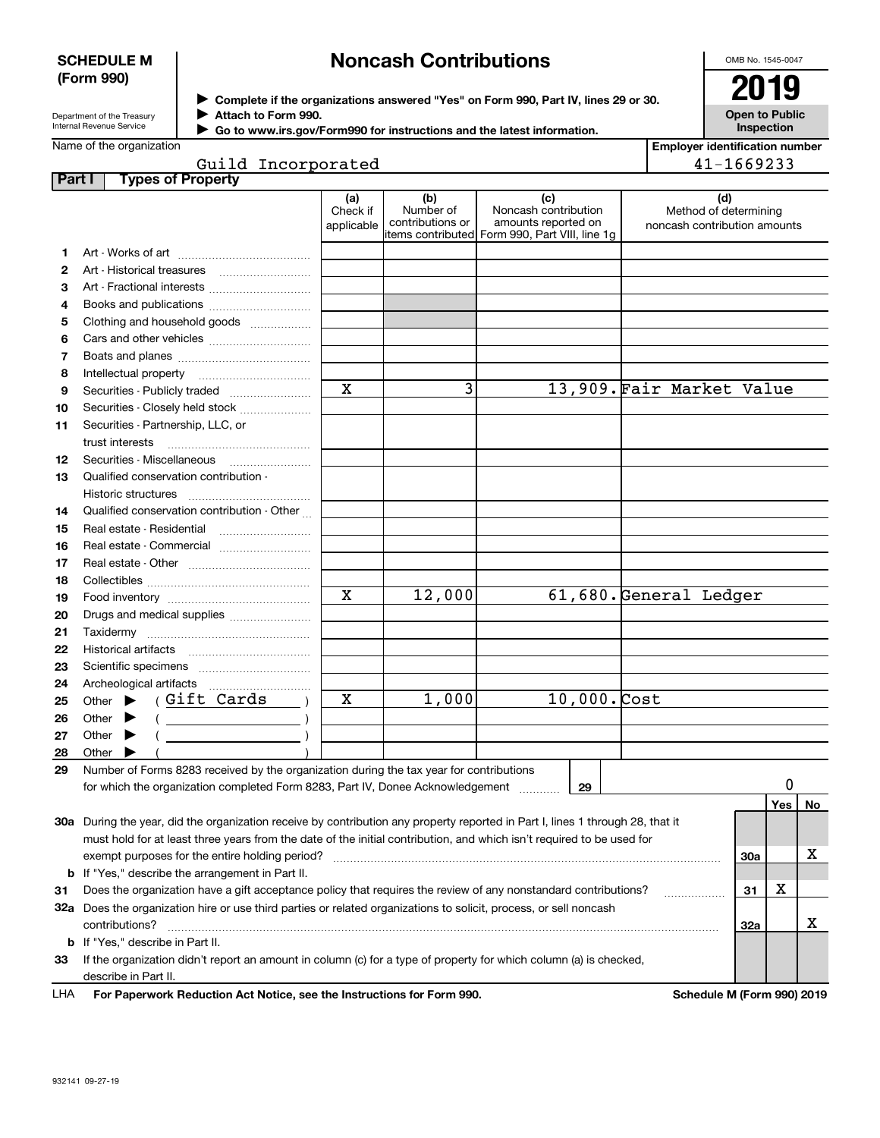#### **SCHEDULE M (Form 990)**

# **Noncash Contributions**

OMB No. 1545-0047

| Department of the Treasury      |
|---------------------------------|
| <b>Internal Revenue Service</b> |

**Complete if the organizations answered "Yes" on Form 990, Part IV, lines 29 or 30.** <sup>J</sup>**2019 Attach to Form 990.** J

**Open to Public Inspection**

|  | Name of the organization |
|--|--------------------------|

| ▶ Go to www.irs.gov/Form990 for instructions and the latest information. |
|--------------------------------------------------------------------------|

| Employer identification number |
|--------------------------------|
| $41 - 1669233$                 |

|  | Guild Incorporated |
|--|--------------------|
|  |                    |

| Part I |                                                                                                                                                                           |  | <b>Types of Property</b>                |                                                |  |                        |                                                                                                                                |                                             |                             |   |                                                       |     |     |    |
|--------|---------------------------------------------------------------------------------------------------------------------------------------------------------------------------|--|-----------------------------------------|------------------------------------------------|--|------------------------|--------------------------------------------------------------------------------------------------------------------------------|---------------------------------------------|-----------------------------|---|-------------------------------------------------------|-----|-----|----|
|        |                                                                                                                                                                           |  |                                         |                                                |  | (a)                    | (b)                                                                                                                            | (c)                                         |                             |   | (d)                                                   |     |     |    |
|        |                                                                                                                                                                           |  |                                         |                                                |  | Check if<br>applicable | Number of<br>contributions or                                                                                                  | Noncash contribution<br>amounts reported on |                             |   | Method of determining<br>noncash contribution amounts |     |     |    |
|        |                                                                                                                                                                           |  |                                         |                                                |  |                        | items contributed  Form 990, Part VIII, line 1g                                                                                |                                             |                             |   |                                                       |     |     |    |
| 1      |                                                                                                                                                                           |  |                                         |                                                |  |                        |                                                                                                                                |                                             |                             |   |                                                       |     |     |    |
| 2      |                                                                                                                                                                           |  |                                         |                                                |  |                        |                                                                                                                                |                                             |                             |   |                                                       |     |     |    |
| з      |                                                                                                                                                                           |  |                                         | Art - Fractional interests                     |  |                        |                                                                                                                                |                                             |                             |   |                                                       |     |     |    |
| 4      |                                                                                                                                                                           |  |                                         | Books and publications                         |  |                        |                                                                                                                                |                                             |                             |   |                                                       |     |     |    |
| 5      |                                                                                                                                                                           |  |                                         | Clothing and household goods                   |  |                        |                                                                                                                                |                                             |                             |   |                                                       |     |     |    |
| 6      |                                                                                                                                                                           |  |                                         |                                                |  |                        |                                                                                                                                |                                             |                             |   |                                                       |     |     |    |
| 7      |                                                                                                                                                                           |  |                                         |                                                |  |                        |                                                                                                                                |                                             |                             |   |                                                       |     |     |    |
| 8      | Intellectual property                                                                                                                                                     |  |                                         |                                                |  |                        |                                                                                                                                |                                             |                             |   |                                                       |     |     |    |
| 9      |                                                                                                                                                                           |  |                                         | Securities - Publicly traded                   |  | $\mathbf x$            | 3                                                                                                                              |                                             |                             |   | 13,909. Fair Market Value                             |     |     |    |
| 10     |                                                                                                                                                                           |  |                                         | Securities - Closely held stock                |  |                        |                                                                                                                                |                                             |                             |   |                                                       |     |     |    |
| 11     |                                                                                                                                                                           |  | Securities - Partnership, LLC, or       |                                                |  |                        |                                                                                                                                |                                             |                             |   |                                                       |     |     |    |
|        | trust interests                                                                                                                                                           |  |                                         |                                                |  |                        |                                                                                                                                |                                             |                             |   |                                                       |     |     |    |
| 12     |                                                                                                                                                                           |  |                                         |                                                |  |                        |                                                                                                                                |                                             |                             |   |                                                       |     |     |    |
| 13     |                                                                                                                                                                           |  |                                         | Qualified conservation contribution -          |  |                        |                                                                                                                                |                                             |                             |   |                                                       |     |     |    |
|        | Historic structures                                                                                                                                                       |  |                                         |                                                |  |                        |                                                                                                                                |                                             |                             |   |                                                       |     |     |    |
| 14     |                                                                                                                                                                           |  |                                         | Qualified conservation contribution - Other    |  |                        |                                                                                                                                |                                             |                             |   |                                                       |     |     |    |
| 15     |                                                                                                                                                                           |  | Real estate - Residential               |                                                |  |                        |                                                                                                                                |                                             |                             |   |                                                       |     |     |    |
| 16     |                                                                                                                                                                           |  |                                         | Real estate - Commercial                       |  |                        |                                                                                                                                |                                             |                             |   |                                                       |     |     |    |
| 17     |                                                                                                                                                                           |  |                                         |                                                |  |                        |                                                                                                                                |                                             |                             |   |                                                       |     |     |    |
| 18     |                                                                                                                                                                           |  |                                         |                                                |  |                        |                                                                                                                                |                                             |                             |   |                                                       |     |     |    |
| 19     |                                                                                                                                                                           |  |                                         |                                                |  | X                      | 12,000                                                                                                                         |                                             |                             |   | 61,680. General Ledger                                |     |     |    |
| 20     |                                                                                                                                                                           |  |                                         | Drugs and medical supplies                     |  |                        |                                                                                                                                |                                             |                             |   |                                                       |     |     |    |
| 21     |                                                                                                                                                                           |  |                                         |                                                |  |                        |                                                                                                                                |                                             |                             |   |                                                       |     |     |    |
| 22     |                                                                                                                                                                           |  |                                         |                                                |  |                        |                                                                                                                                |                                             |                             |   |                                                       |     |     |    |
| 23     |                                                                                                                                                                           |  |                                         |                                                |  |                        |                                                                                                                                |                                             |                             |   |                                                       |     |     |    |
| 24     |                                                                                                                                                                           |  |                                         |                                                |  |                        |                                                                                                                                |                                             |                             |   |                                                       |     |     |    |
| 25     | Other $\blacktriangleright$                                                                                                                                               |  |                                         | (Gift Cards                                    |  | X                      | 1,000                                                                                                                          |                                             | $\overline{10}$ , 000. Cost |   |                                                       |     |     |    |
| 26     | Other                                                                                                                                                                     |  |                                         |                                                |  |                        |                                                                                                                                |                                             |                             |   |                                                       |     |     |    |
| 27     | Other                                                                                                                                                                     |  |                                         |                                                |  |                        |                                                                                                                                |                                             |                             |   |                                                       |     |     |    |
| 28     | Other                                                                                                                                                                     |  |                                         |                                                |  |                        |                                                                                                                                |                                             |                             |   |                                                       |     |     |    |
| 29     |                                                                                                                                                                           |  |                                         |                                                |  |                        | Number of Forms 8283 received by the organization during the tax year for contributions                                        |                                             |                             |   |                                                       |     |     |    |
|        |                                                                                                                                                                           |  |                                         |                                                |  |                        | for which the organization completed Form 8283, Part IV, Donee Acknowledgement                                                 |                                             | 29                          |   |                                                       |     | 0   |    |
|        |                                                                                                                                                                           |  |                                         |                                                |  |                        |                                                                                                                                |                                             |                             |   |                                                       |     | Yes | No |
|        |                                                                                                                                                                           |  |                                         |                                                |  |                        | 30a During the year, did the organization receive by contribution any property reported in Part I, lines 1 through 28, that it |                                             |                             |   |                                                       |     |     |    |
|        |                                                                                                                                                                           |  |                                         |                                                |  |                        | must hold for at least three years from the date of the initial contribution, and which isn't required to be used for          |                                             |                             |   |                                                       |     |     |    |
|        |                                                                                                                                                                           |  |                                         | exempt purposes for the entire holding period? |  |                        |                                                                                                                                |                                             |                             |   |                                                       | 30a |     | х  |
|        |                                                                                                                                                                           |  |                                         |                                                |  |                        |                                                                                                                                |                                             |                             |   |                                                       |     |     |    |
| 31     | <b>b</b> If "Yes," describe the arrangement in Part II.<br>Does the organization have a gift acceptance policy that requires the review of any nonstandard contributions? |  |                                         |                                                |  |                        |                                                                                                                                |                                             | 31                          | х |                                                       |     |     |    |
|        | 32a Does the organization hire or use third parties or related organizations to solicit, process, or sell noncash                                                         |  |                                         |                                                |  |                        |                                                                                                                                |                                             |                             |   |                                                       |     |     |    |
|        | contributions?                                                                                                                                                            |  |                                         |                                                |  |                        |                                                                                                                                |                                             |                             |   |                                                       | 32a |     | х  |
|        |                                                                                                                                                                           |  | <b>b</b> If "Yes," describe in Part II. |                                                |  |                        |                                                                                                                                |                                             |                             |   |                                                       |     |     |    |
| 33     |                                                                                                                                                                           |  |                                         |                                                |  |                        | If the organization didn't report an amount in column (c) for a type of property for which column (a) is checked,              |                                             |                             |   |                                                       |     |     |    |
|        | describe in Part II.                                                                                                                                                      |  |                                         |                                                |  |                        |                                                                                                                                |                                             |                             |   |                                                       |     |     |    |
| LHA    |                                                                                                                                                                           |  |                                         |                                                |  |                        | For Paperwork Reduction Act Notice, see the Instructions for Form 990.                                                         |                                             |                             |   | Schedule M (Form 990) 2019                            |     |     |    |
|        |                                                                                                                                                                           |  |                                         |                                                |  |                        |                                                                                                                                |                                             |                             |   |                                                       |     |     |    |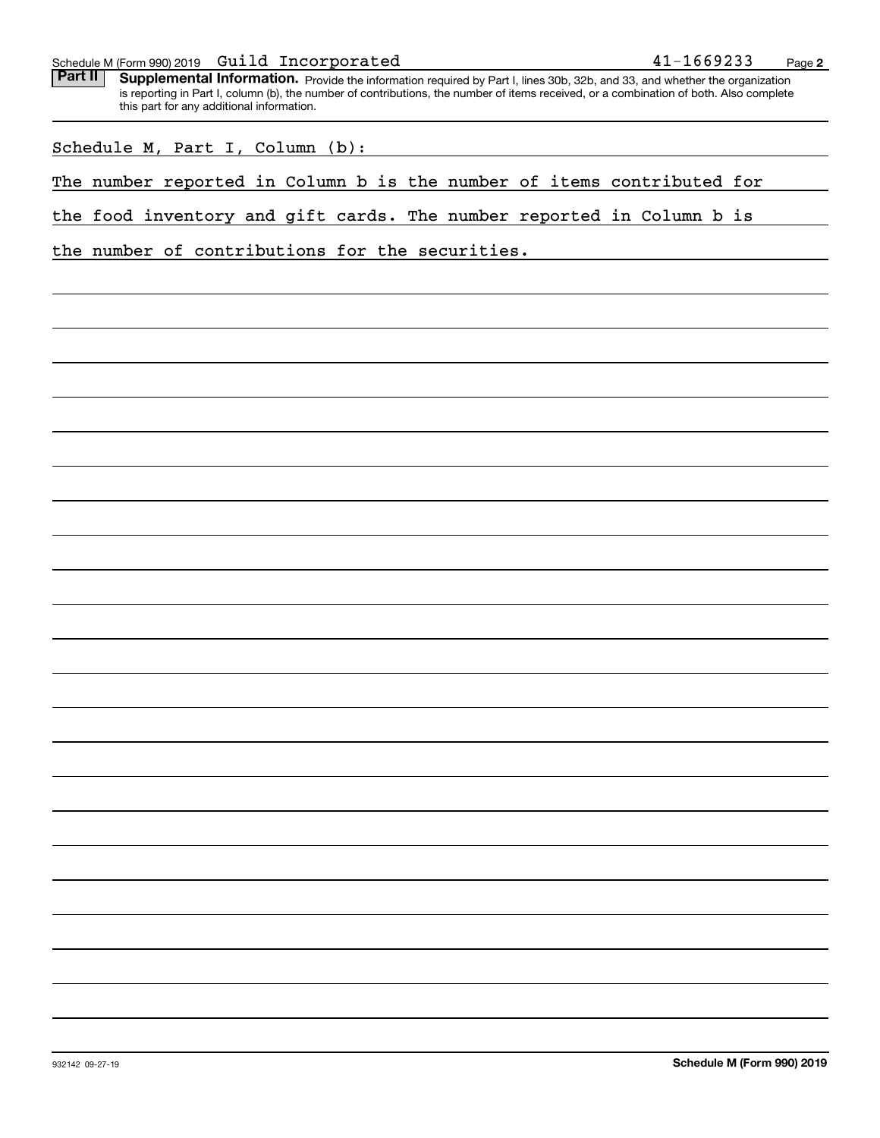| Guild Incorporated<br>Schedule M (Form 990) 2019                                                                                                                                                                                                                                                                                    | 41-1669233 | Page 2 |
|-------------------------------------------------------------------------------------------------------------------------------------------------------------------------------------------------------------------------------------------------------------------------------------------------------------------------------------|------------|--------|
| <b>Part II</b><br>Supplemental Information. Provide the information required by Part I, lines 30b, 32b, and 33, and whether the organization<br>is reporting in Part I, column (b), the number of contributions, the number of items received, or a combination of both. Also complete<br>this part for any additional information. |            |        |
| Schedule M, Part I, Column (b):                                                                                                                                                                                                                                                                                                     |            |        |
| The number reported in Column b is the number of items contributed for                                                                                                                                                                                                                                                              |            |        |
| the food inventory and gift cards. The number reported in Column b is                                                                                                                                                                                                                                                               |            |        |
| the number of contributions for the securities.                                                                                                                                                                                                                                                                                     |            |        |
|                                                                                                                                                                                                                                                                                                                                     |            |        |
|                                                                                                                                                                                                                                                                                                                                     |            |        |
|                                                                                                                                                                                                                                                                                                                                     |            |        |
|                                                                                                                                                                                                                                                                                                                                     |            |        |
|                                                                                                                                                                                                                                                                                                                                     |            |        |
|                                                                                                                                                                                                                                                                                                                                     |            |        |
|                                                                                                                                                                                                                                                                                                                                     |            |        |
|                                                                                                                                                                                                                                                                                                                                     |            |        |
|                                                                                                                                                                                                                                                                                                                                     |            |        |
|                                                                                                                                                                                                                                                                                                                                     |            |        |
|                                                                                                                                                                                                                                                                                                                                     |            |        |
|                                                                                                                                                                                                                                                                                                                                     |            |        |
|                                                                                                                                                                                                                                                                                                                                     |            |        |
|                                                                                                                                                                                                                                                                                                                                     |            |        |
|                                                                                                                                                                                                                                                                                                                                     |            |        |
|                                                                                                                                                                                                                                                                                                                                     |            |        |
|                                                                                                                                                                                                                                                                                                                                     |            |        |
|                                                                                                                                                                                                                                                                                                                                     |            |        |
|                                                                                                                                                                                                                                                                                                                                     |            |        |
|                                                                                                                                                                                                                                                                                                                                     |            |        |
|                                                                                                                                                                                                                                                                                                                                     |            |        |
|                                                                                                                                                                                                                                                                                                                                     |            |        |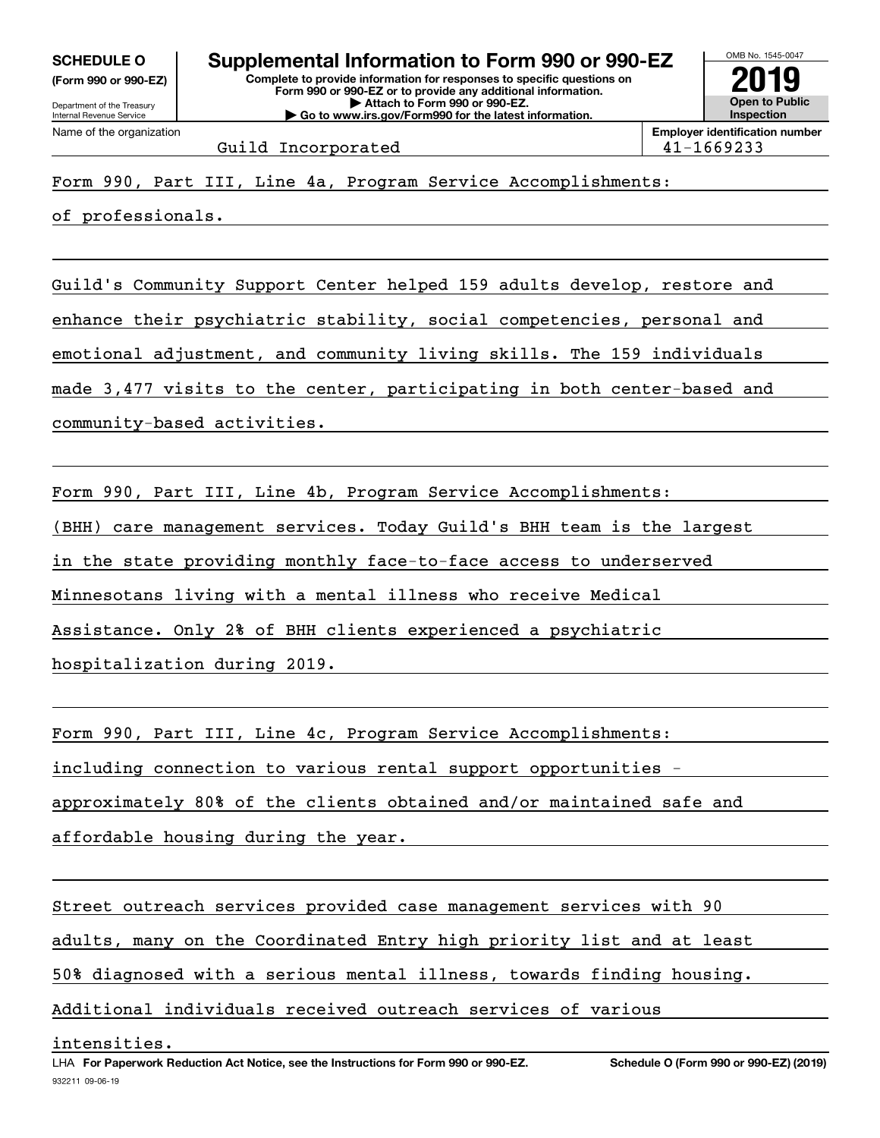**(Form 990 or 990-EZ)**

Department of the Treasury Internal Revenue Service Name of the organization

**Complete to provide information for responses to specific questions on Form 990 or 990-EZ or to provide any additional information. | Attach to Form 990 or 990-EZ. | Go to www.irs.gov/Form990 for the latest information. SCHEDULE O Supplemental Information to Form 990 or 990-EZ**

**Open to Public InspectionEmployer identification number 2019**

OMB No. 1545-0047

Guild Incorporated 141-1669233

Form 990, Part III, Line 4a, Program Service Accomplishments:

of professionals.

Guild's Community Support Center helped 159 adults develop, restore and enhance their psychiatric stability, social competencies, personal and emotional adjustment, and community living skills. The 159 individuals made 3,477 visits to the center, participating in both center-based and community-based activities.

Form 990, Part III, Line 4b, Program Service Accomplishments:

(BHH) care management services. Today Guild's BHH team is the largest

in the state providing monthly face-to-face access to underserved

Minnesotans living with a mental illness who receive Medical

Assistance. Only 2% of BHH clients experienced a psychiatric

hospitalization during 2019.

Form 990, Part III, Line 4c, Program Service Accomplishments:

including connection to various rental support opportunities -

approximately 80% of the clients obtained and/or maintained safe and

affordable housing during the year.

Street outreach services provided case management services with 90

adults, many on the Coordinated Entry high priority list and at least

50% diagnosed with a serious mental illness, towards finding housing.

Additional individuals received outreach services of various

intensities.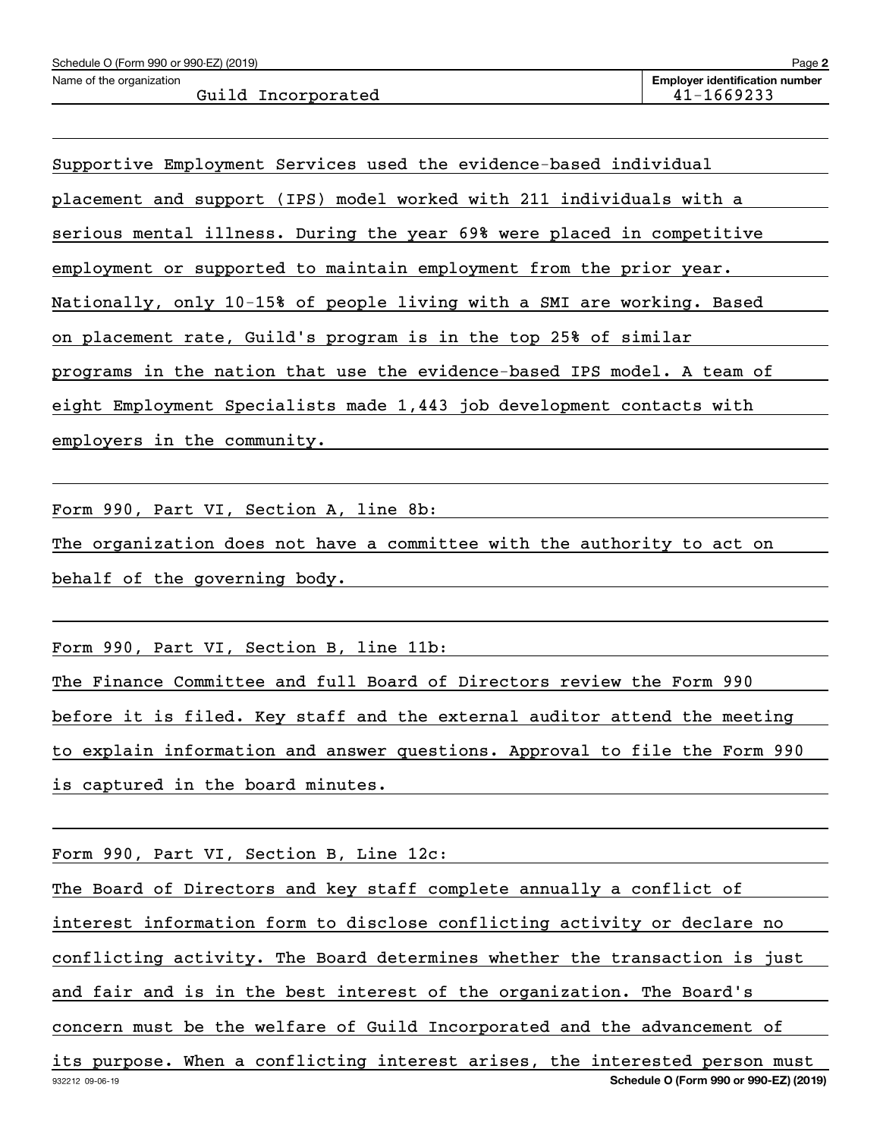| Schedule O (Form 990 or 990-EZ) (2019) | Page 2                                |
|----------------------------------------|---------------------------------------|
| Name of the organization               | <b>Employer identification number</b> |
| Guild Incorporated                     | $41 - 1669233$                        |

Supportive Employment Services used the evidence-based individual placement and support (IPS) model worked with 211 individuals with a serious mental illness. During the year 69% were placed in competitive employment or supported to maintain employment from the prior year. Nationally, only 10-15% of people living with a SMI are working. Based on placement rate, Guild's program is in the top 25% of similar programs in the nation that use the evidence-based IPS model. A team of eight Employment Specialists made 1,443 job development contacts with employers in the community.

Form 990, Part VI, Section A, line 8b:

The organization does not have a committee with the authority to act on behalf of the governing body.

Form 990, Part VI, Section B, line 11b:

The Finance Committee and full Board of Directors review the Form 990 before it is filed. Key staff and the external auditor attend the meeting to explain information and answer questions. Approval to file the Form 990 is captured in the board minutes.

Form 990, Part VI, Section B, Line 12c:

The Board of Directors and key staff complete annually a conflict of interest information form to disclose conflicting activity or declare no

conflicting activity. The Board determines whether the transaction is just

and fair and is in the best interest of the organization. The Board's

concern must be the welfare of Guild Incorporated and the advancement of

932212 09-06-19 **Schedule O (Form 990 or 990-EZ) (2019)** its purpose. When a conflicting interest arises, the interested person must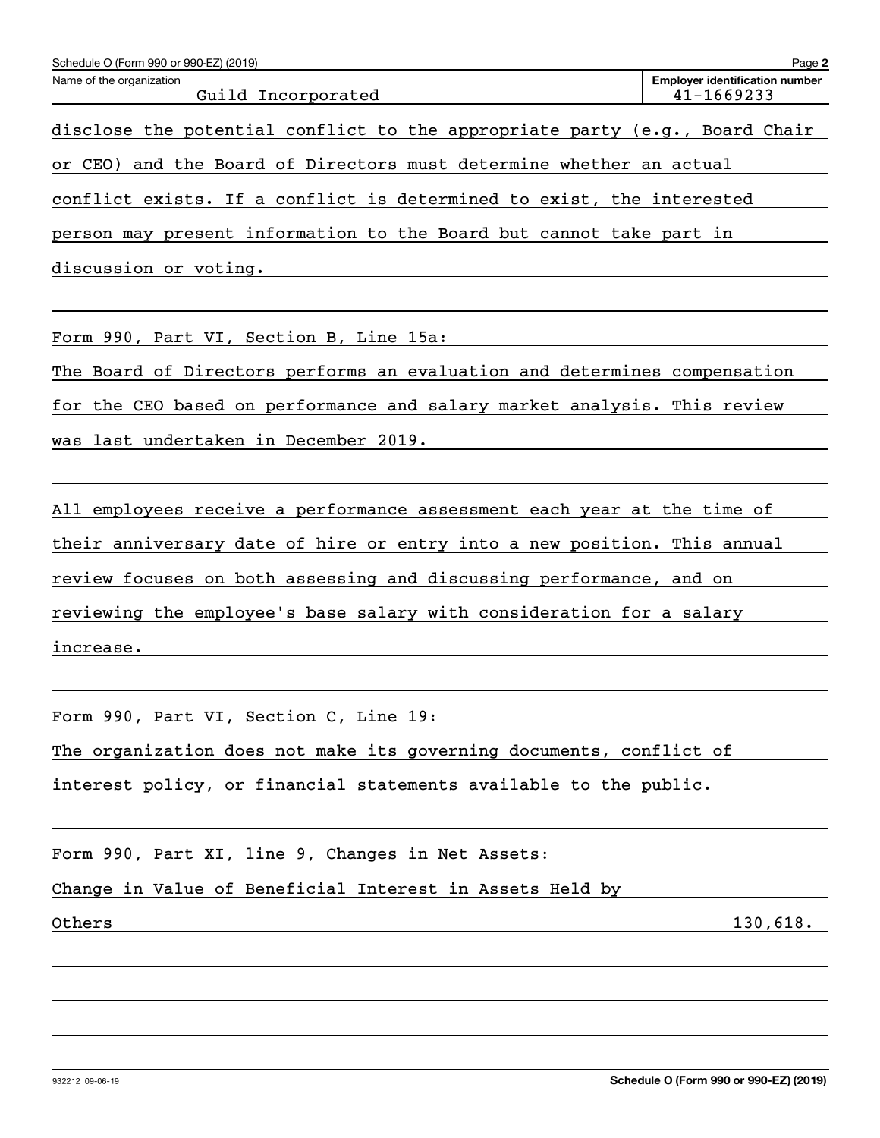| Schedule O (Form 990 or 990-EZ) (2019)                                      | Page 2                                              |  |  |
|-----------------------------------------------------------------------------|-----------------------------------------------------|--|--|
| Name of the organization<br>Guild Incorporated                              | <b>Employer identification number</b><br>41-1669233 |  |  |
| disclose the potential conflict to the appropriate party (e.g., Board Chair |                                                     |  |  |
| or CEO) and the Board of Directors must determine whether an actual         |                                                     |  |  |
| conflict exists. If a conflict is determined to exist, the interested       |                                                     |  |  |
| person may present information to the Board but cannot take part in         |                                                     |  |  |
| discussion or voting.                                                       |                                                     |  |  |

Form 990, Part VI, Section B, Line 15a:

The Board of Directors performs an evaluation and determines compensation for the CEO based on performance and salary market analysis. This review was last undertaken in December 2019.

All employees receive a performance assessment each year at the time of their anniversary date of hire or entry into a new position. This annual review focuses on both assessing and discussing performance, and on reviewing the employee's base salary with consideration for a salary

increase.

Form 990, Part VI, Section C, Line 19:

The organization does not make its governing documents, conflict of

interest policy, or financial statements available to the public.

Form 990, Part XI, line 9, Changes in Net Assets:

Change in Value of Beneficial Interest in Assets Held by

Others 130,618.